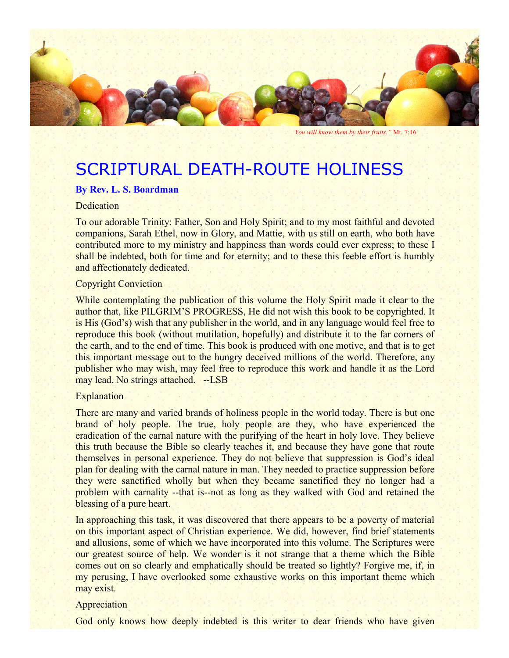

*You will know them by their fruits."* Mt. 7:16

# SCRIPTURAL DEATH-ROUTE HOLINESS

#### **By Rev. L. S. Boardman**

# **Dedication**

To our adorable Trinity: Father, Son and Holy Spirit; and to my most faithful and devoted companions, Sarah Ethel, now in Glory, and Mattie, with us still on earth, who both have contributed more to my ministry and happiness than words could ever express; to these I shall be indebted, both for time and for eternity; and to these this feeble effort is humbly and affectionately dedicated.

#### Copyright Conviction

While contemplating the publication of this volume the Holy Spirit made it clear to the author that, like PILGRIM'S PROGRESS, He did not wish this book to be copyrighted. It is His (God's) wish that any publisher in the world, and in any language would feel free to reproduce this book (without mutilation, hopefully) and distribute it to the far corners of the earth, and to the end of time. This book is produced with one motive, and that is to get this important message out to the hungry deceived millions of the world. Therefore, any publisher who may wish, may feel free to reproduce this work and handle it as the Lord may lead. No strings attached. --LSB

#### **Explanation**

There are many and varied brands of holiness people in the world today. There is but one brand of holy people. The true, holy people are they, who have experienced the eradication of the carnal nature with the purifying of the heart in holy love. They believe this truth because the Bible so clearly teaches it, and because they have gone that route themselves in personal experience. They do not believe that suppression is God's ideal plan for dealing with the carnal nature in man. They needed to practice suppression before they were sanctified wholly but when they became sanctified they no longer had a problem with carnality --that is--not as long as they walked with God and retained the blessing of a pure heart.

In approaching this task, it was discovered that there appears to be a poverty of material on this important aspect of Christian experience. We did, however, find brief statements and allusions, some of which we have incorporated into this volume. The Scriptures were our greatest source of help. We wonder is it not strange that a theme which the Bible comes out on so clearly and emphatically should be treated so lightly? Forgive me, if, in my perusing, I have overlooked some exhaustive works on this important theme which may exist.

#### Appreciation

God only knows how deeply indebted is this writer to dear friends who have given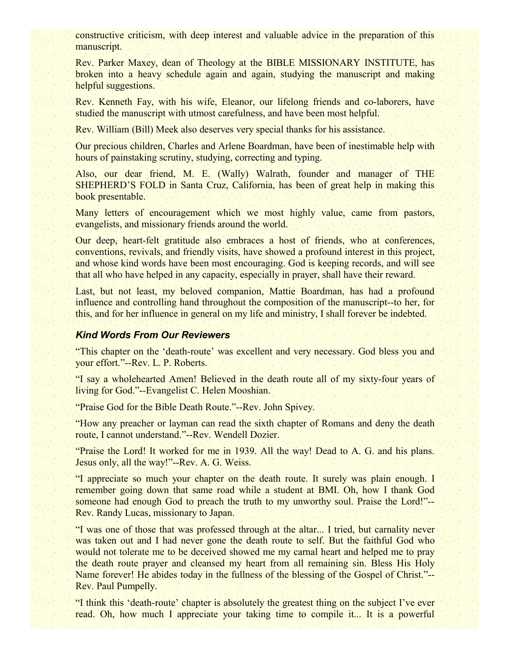constructive criticism, with deep interest and valuable advice in the preparation of this manuscript.

Rev. Parker Maxey, dean of Theology at the BIBLE MISSIONARY INSTITUTE, has broken into a heavy schedule again and again, studying the manuscript and making helpful suggestions.

Rev. Kenneth Fay, with his wife, Eleanor, our lifelong friends and co-laborers, have studied the manuscript with utmost carefulness, and have been most helpful.

Rev. William (Bill) Meek also deserves very special thanks for his assistance.

Our precious children, Charles and Arlene Boardman, have been of inestimable help with hours of painstaking scrutiny, studying, correcting and typing.

Also, our dear friend, M. E. (Wally) Walrath, founder and manager of THE SHEPHERD'S FOLD in Santa Cruz, California, has been of great help in making this book presentable.

Many letters of encouragement which we most highly value, came from pastors, evangelists, and missionary friends around the world.

Our deep, heart-felt gratitude also embraces a host of friends, who at conferences, conventions, revivals, and friendly visits, have showed a profound interest in this project, and whose kind words have been most encouraging. God is keeping records, and will see that all who have helped in any capacity, especially in prayer, shall have their reward.

Last, but not least, my beloved companion, Mattie Boardman, has had a profound influence and controlling hand throughout the composition of the manuscript--to her, for this, and for her influence in general on my life and ministry, I shall forever be indebted.

#### *Kind Words From Our Reviewers*

"This chapter on the 'death-route' was excellent and very necessary. God bless you and your effort."--Rev. L. P. Roberts.

"I say a wholehearted Amen! Believed in the death route all of my sixty-four years of living for God."--Evangelist C. Helen Mooshian.

"Praise God for the Bible Death Route."--Rev. John Spivey.

"How any preacher or layman can read the sixth chapter of Romans and deny the death route, I cannot understand."--Rev. Wendell Dozier.

"Praise the Lord! It worked for me in 1939. All the way! Dead to A. G. and his plans. Jesus only, all the way!"--Rev. A. G. Weiss.

"I appreciate so much your chapter on the death route. It surely was plain enough. I remember going down that same road while a student at BMI. Oh, how I thank God someone had enough God to preach the truth to my unworthy soul. Praise the Lord!"--Rev. Randy Lucas, missionary to Japan.

"I was one of those that was professed through at the altar... I tried, but carnality never was taken out and I had never gone the death route to self. But the faithful God who would not tolerate me to be deceived showed me my carnal heart and helped me to pray the death route prayer and cleansed my heart from all remaining sin. Bless His Holy Name forever! He abides today in the fullness of the blessing of the Gospel of Christ."-- Rev. Paul Pumpelly.

"I think this 'death-route' chapter is absolutely the greatest thing on the subject I've ever read. Oh, how much I appreciate your taking time to compile it... It is a powerful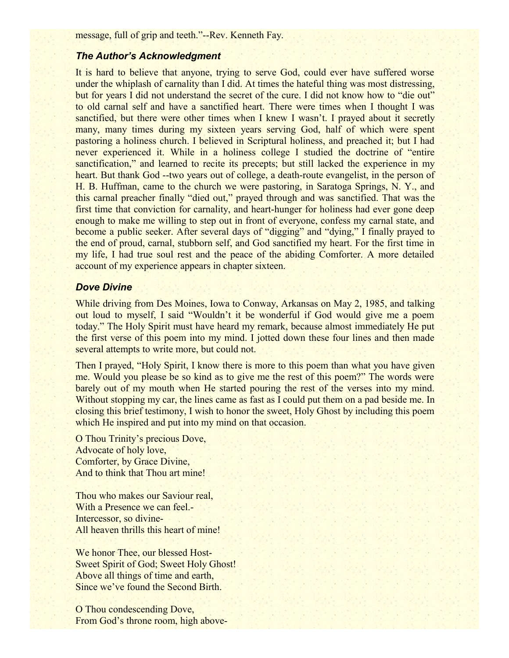message, full of grip and teeth."--Rev. Kenneth Fay.

# *The Author's Acknowledgment*

It is hard to believe that anyone, trying to serve God, could ever have suffered worse under the whiplash of carnality than I did. At times the hateful thing was most distressing, but for years I did not understand the secret of the cure. I did not know how to "die out" to old carnal self and have a sanctified heart. There were times when I thought I was sanctified, but there were other times when I knew I wasn't. I prayed about it secretly many, many times during my sixteen years serving God, half of which were spent pastoring a holiness church. I believed in Scriptural holiness, and preached it; but I had never experienced it. While in a holiness college I studied the doctrine of "entire sanctification," and learned to recite its precepts; but still lacked the experience in my heart. But thank God --two years out of college, a death-route evangelist, in the person of H. B. Huffman, came to the church we were pastoring, in Saratoga Springs, N. Y., and this carnal preacher finally "died out," prayed through and was sanctified. That was the first time that conviction for carnality, and heart-hunger for holiness had ever gone deep enough to make me willing to step out in front of everyone, confess my carnal state, and become a public seeker. After several days of "digging" and "dying," I finally prayed to the end of proud, carnal, stubborn self, and God sanctified my heart. For the first time in my life, I had true soul rest and the peace of the abiding Comforter. A more detailed account of my experience appears in chapter sixteen.

### *Dove Divine*

While driving from Des Moines, Iowa to Conway, Arkansas on May 2, 1985, and talking out loud to myself, I said "Wouldn't it be wonderful if God would give me a poem today." The Holy Spirit must have heard my remark, because almost immediately He put the first verse of this poem into my mind. I jotted down these four lines and then made several attempts to write more, but could not.

Then I prayed, "Holy Spirit, I know there is more to this poem than what you have given me. Would you please be so kind as to give me the rest of this poem?" The words were barely out of my mouth when He started pouring the rest of the verses into my mind. Without stopping my car, the lines came as fast as I could put them on a pad beside me. In closing this brief testimony, I wish to honor the sweet, Holy Ghost by including this poem which He inspired and put into my mind on that occasion.

O Thou Trinity's precious Dove, Advocate of holy love, Comforter, by Grace Divine, And to think that Thou art mine!

Thou who makes our Saviour real, With a Presence we can feel.-Intercessor, so divine-All heaven thrills this heart of mine!

We honor Thee, our blessed Host-Sweet Spirit of God; Sweet Holy Ghost! Above all things of time and earth, Since we've found the Second Birth.

O Thou condescending Dove, From God's throne room, high above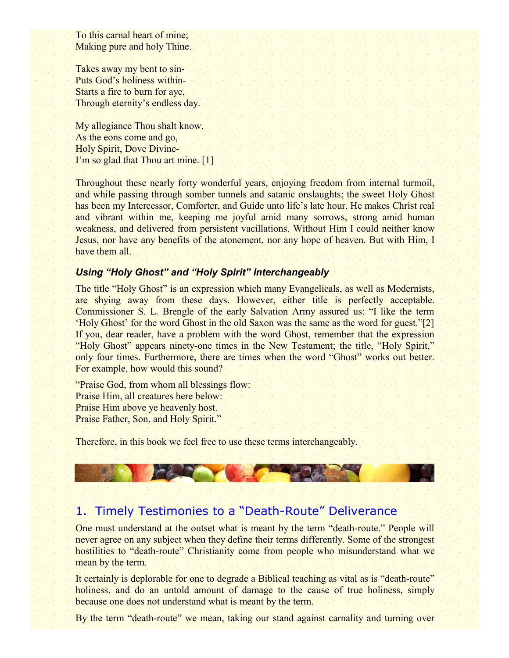To this carnal heart of mine; Making pure and holy Thine.

Takes away my bent to sin-Puts God's holiness within-Starts a fire to burn for aye, Through eternity's endless day.

My allegiance Thou shalt know, As the eons come and go, Holy Spirit, Dove Divine-I'm so glad that Thou art mine. [1]

Throughout these nearly forty wonderful years, enjoying freedom from internal turmoil, and while passing through somber tunnels and satanic onslaughts; the sweet Holy Ghost has been my Intercessor, Comforter, and Guide unto life's late hour. He makes Christ real and vibrant within me, keeping me joyful amid many sorrows, strong amid human weakness, and delivered from persistent vacillations. Without Him I could neither know Jesus, nor have any benefits of the atonement, nor any hope of heaven. But with Him, I have them all.

### *Using "Holy Ghost" and "Holy Spirit" Interchangeably*

The title "Holy Ghost" is an expression which many Evangelicals, as well as Modernists, are shying away from these days. However, either title is perfectly acceptable. Commissioner S. L. Brengle of the early Salvation Army assured us: "I like the term 'Holy Ghost' for the word Ghost in the old Saxon was the same as the word for guest."[2] If you, dear reader, have a problem with the word Ghost, remember that the expression "Holy Ghost" appears ninety-one times in the New Testament; the title, "Holy Spirit," only four times. Furthermore, there are times when the word "Ghost" works out better. For example, how would this sound?

"Praise God, from whom all blessings flow: Praise Him, all creatures here below: Praise Him above ye heavenly host. Praise Father, Son, and Holy Spirit."

Therefore, in this book we feel free to use these terms interchangeably.

# 1. Timely Testimonies to a "Death-Route" Deliverance

One must understand at the outset what is meant by the term "death-route." People will never agree on any subject when they define their terms differently. Some of the strongest hostilities to "death-route" Christianity come from people who misunderstand what we mean by the term.

It certainly is deplorable for one to degrade a Biblical teaching as vital as is "death-route" holiness, and do an untold amount of damage to the cause of true holiness, simply because one does not understand what is meant by the term.

By the term "death-route" we mean, taking our stand against carnality and turning over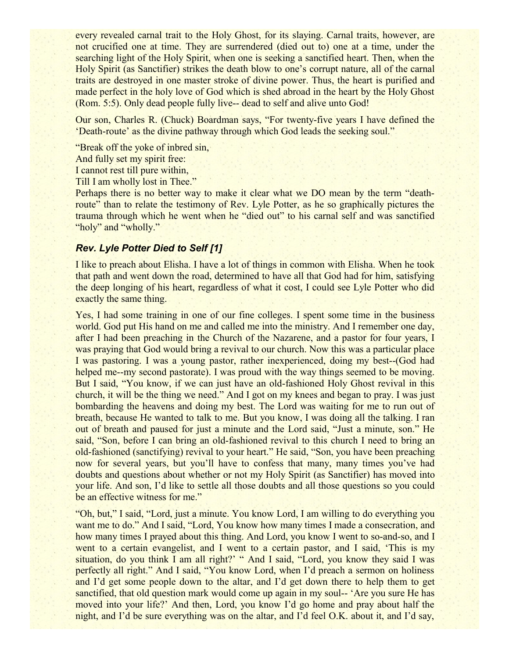every revealed carnal trait to the Holy Ghost, for its slaying. Carnal traits, however, are not crucified one at time. They are surrendered (died out to) one at a time, under the searching light of the Holy Spirit, when one is seeking a sanctified heart. Then, when the Holy Spirit (as Sanctifier) strikes the death blow to one's corrupt nature, all of the carnal traits are destroyed in one master stroke of divine power. Thus, the heart is purified and made perfect in the holy love of God which is shed abroad in the heart by the Holy Ghost (Rom. 5:5). Only dead people fully live-- dead to self and alive unto God!

Our son, Charles R. (Chuck) Boardman says, "For twenty-five years I have defined the 'Death-route' as the divine pathway through which God leads the seeking soul."

"Break off the yoke of inbred sin, And fully set my spirit free: I cannot rest till pure within,

Till I am wholly lost in Thee."

Perhaps there is no better way to make it clear what we DO mean by the term "deathroute" than to relate the testimony of Rev. Lyle Potter, as he so graphically pictures the trauma through which he went when he "died out" to his carnal self and was sanctified "holy" and "wholly."

# *Rev. Lyle Potter Died to Self [1]*

I like to preach about Elisha. I have a lot of things in common with Elisha. When he took that path and went down the road, determined to have all that God had for him, satisfying the deep longing of his heart, regardless of what it cost, I could see Lyle Potter who did exactly the same thing.

Yes, I had some training in one of our fine colleges. I spent some time in the business world. God put His hand on me and called me into the ministry. And I remember one day, after I had been preaching in the Church of the Nazarene, and a pastor for four years, I was praying that God would bring a revival to our church. Now this was a particular place I was pastoring. I was a young pastor, rather inexperienced, doing my best--(God had helped me--my second pastorate). I was proud with the way things seemed to be moving. But I said, "You know, if we can just have an old-fashioned Holy Ghost revival in this church, it will be the thing we need." And I got on my knees and began to pray. I was just bombarding the heavens and doing my best. The Lord was waiting for me to run out of breath, because He wanted to talk to me. But you know, I was doing all the talking. I ran out of breath and paused for just a minute and the Lord said, "Just a minute, son." He said, "Son, before I can bring an old-fashioned revival to this church I need to bring an old-fashioned (sanctifying) revival to your heart." He said, "Son, you have been preaching now for several years, but you'll have to confess that many, many times you've had doubts and questions about whether or not my Holy Spirit (as Sanctifier) has moved into your life. And son, I'd like to settle all those doubts and all those questions so you could be an effective witness for me."

"Oh, but," I said, "Lord, just a minute. You know Lord, I am willing to do everything you want me to do." And I said, "Lord, You know how many times I made a consecration, and how many times I prayed about this thing. And Lord, you know I went to so-and-so, and I went to a certain evangelist, and I went to a certain pastor, and I said, 'This is my situation, do you think I am all right?' " And I said, "Lord, you know they said I was perfectly all right." And I said, "You know Lord, when I'd preach a sermon on holiness and I'd get some people down to the altar, and I'd get down there to help them to get sanctified, that old question mark would come up again in my soul-- 'Are you sure He has moved into your life?' And then, Lord, you know I'd go home and pray about half the night, and I'd be sure everything was on the altar, and I'd feel O.K. about it, and I'd say,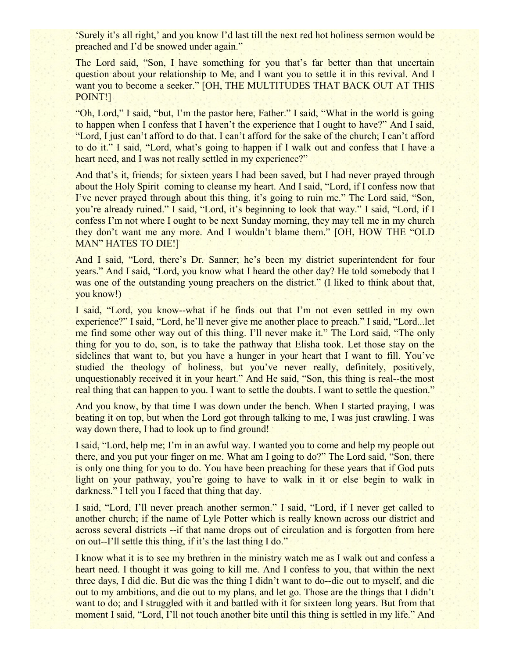'Surely it's all right,' and you know I'd last till the next red hot holiness sermon would be preached and I'd be snowed under again."

The Lord said, "Son, I have something for you that's far better than that uncertain question about your relationship to Me, and I want you to settle it in this revival. And I want you to become a seeker." [OH, THE MULTITUDES THAT BACK OUT AT THIS POINT!]

"Oh, Lord," I said, "but, I'm the pastor here, Father." I said, "What in the world is going to happen when I confess that I haven't the experience that I ought to have?" And I said, "Lord, I just can't afford to do that. I can't afford for the sake of the church; I can't afford to do it." I said, "Lord, what's going to happen if I walk out and confess that I have a heart need, and I was not really settled in my experience?"

And that's it, friends; for sixteen years I had been saved, but I had never prayed through about the Holy Spirit coming to cleanse my heart. And I said, "Lord, if I confess now that I've never prayed through about this thing, it's going to ruin me." The Lord said, "Son, you're already ruined." I said, "Lord, it's beginning to look that way." I said, "Lord, if I confess I'm not where I ought to be next Sunday morning, they may tell me in my church they don't want me any more. And I wouldn't blame them." [OH, HOW THE "OLD MAN" HATES TO DIE!]

And I said, "Lord, there's Dr. Sanner; he's been my district superintendent for four years." And I said, "Lord, you know what I heard the other day? He told somebody that I was one of the outstanding young preachers on the district." (I liked to think about that, you know!)

I said, "Lord, you know--what if he finds out that I'm not even settled in my own experience?" I said, "Lord, he'll never give me another place to preach." I said, "Lord...let me find some other way out of this thing. I'll never make it." The Lord said, "The only thing for you to do, son, is to take the pathway that Elisha took. Let those stay on the sidelines that want to, but you have a hunger in your heart that I want to fill. You've studied the theology of holiness, but you've never really, definitely, positively, unquestionably received it in your heart." And He said, "Son, this thing is real--the most real thing that can happen to you. I want to settle the doubts. I want to settle the question."

And you know, by that time I was down under the bench. When I started praying, I was beating it on top, but when the Lord got through talking to me, I was just crawling. I was way down there, I had to look up to find ground!

I said, "Lord, help me; I'm in an awful way. I wanted you to come and help my people out there, and you put your finger on me. What am I going to do?" The Lord said, "Son, there is only one thing for you to do. You have been preaching for these years that if God puts light on your pathway, you're going to have to walk in it or else begin to walk in darkness." I tell you I faced that thing that day.

I said, "Lord, I'll never preach another sermon." I said, "Lord, if I never get called to another church; if the name of Lyle Potter which is really known across our district and across several districts --if that name drops out of circulation and is forgotten from here on out--I'll settle this thing, if it's the last thing I do."

I know what it is to see my brethren in the ministry watch me as I walk out and confess a heart need. I thought it was going to kill me. And I confess to you, that within the next three days, I did die. But die was the thing I didn't want to do--die out to myself, and die out to my ambitions, and die out to my plans, and let go. Those are the things that I didn't want to do; and I struggled with it and battled with it for sixteen long years. But from that moment I said, "Lord, I'll not touch another bite until this thing is settled in my life." And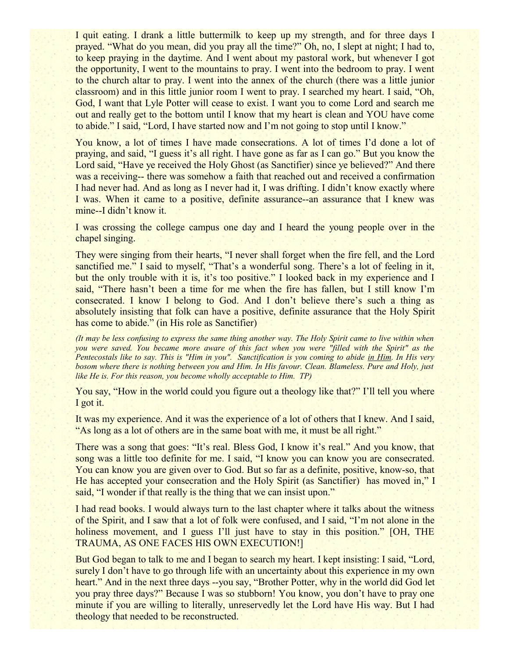I quit eating. I drank a little buttermilk to keep up my strength, and for three days I prayed. "What do you mean, did you pray all the time?" Oh, no, I slept at night; I had to, to keep praying in the daytime. And I went about my pastoral work, but whenever I got the opportunity, I went to the mountains to pray. I went into the bedroom to pray. I went to the church altar to pray. I went into the annex of the church (there was a little junior classroom) and in this little junior room I went to pray. I searched my heart. I said, "Oh, God, I want that Lyle Potter will cease to exist. I want you to come Lord and search me out and really get to the bottom until I know that my heart is clean and YOU have come to abide." I said, "Lord, I have started now and I'm not going to stop until I know."

You know, a lot of times I have made consecrations. A lot of times I'd done a lot of praying, and said, "I guess it's all right. I have gone as far as I can go." But you know the Lord said, "Have ye received the Holy Ghost (as Sanctifier) since ye believed?" And there was a receiving-- there was somehow a faith that reached out and received a confirmation I had never had. And as long as I never had it, I was drifting. I didn't know exactly where I was. When it came to a positive, definite assurance--an assurance that I knew was mine--I didn't know it.

I was crossing the college campus one day and I heard the young people over in the chapel singing.

They were singing from their hearts, "I never shall forget when the fire fell, and the Lord sanctified me." I said to myself, "That's a wonderful song. There's a lot of feeling in it, but the only trouble with it is, it's too positive." I looked back in my experience and I said, "There hasn't been a time for me when the fire has fallen, but I still know I'm consecrated. I know I belong to God. And I don't believe there's such a thing as absolutely insisting that folk can have a positive, definite assurance that the Holy Spirit has come to abide." (in His role as Sanctifier)

*(It may be less confusing to express the same thing another way. The Holy Spirit came to live within when you were saved. You became more aware of this fact when you were "filled with the Spirit" as the Pentecostals like to say. This is "Him in you". Sanctification is you coming to abide in Him. In His very bosom where there is nothing between you and Him. In His favour. Clean. Blameless. Pure and Holy, just like He is. For this reason, you become wholly acceptable to Him. TP)*

You say, "How in the world could you figure out a theology like that?" I'll tell you where I got it.

It was my experience. And it was the experience of a lot of others that I knew. And I said, "As long as a lot of others are in the same boat with me, it must be all right."

There was a song that goes: "It's real. Bless God, I know it's real." And you know, that song was a little too definite for me. I said, "I know you can know you are consecrated. You can know you are given over to God. But so far as a definite, positive, know-so, that He has accepted your consecration and the Holy Spirit (as Sanctifier) has moved in," I said, "I wonder if that really is the thing that we can insist upon."

I had read books. I would always turn to the last chapter where it talks about the witness of the Spirit, and I saw that a lot of folk were confused, and I said, "I'm not alone in the holiness movement, and I guess I'll just have to stay in this position." [OH, THE TRAUMA, AS ONE FACES HIS OWN EXECUTION!]

But God began to talk to me and I began to search my heart. I kept insisting: I said, "Lord, surely I don't have to go through life with an uncertainty about this experience in my own heart." And in the next three days --you say, "Brother Potter, why in the world did God let you pray three days?" Because I was so stubborn! You know, you don't have to pray one minute if you are willing to literally, unreservedly let the Lord have His way. But I had theology that needed to be reconstructed.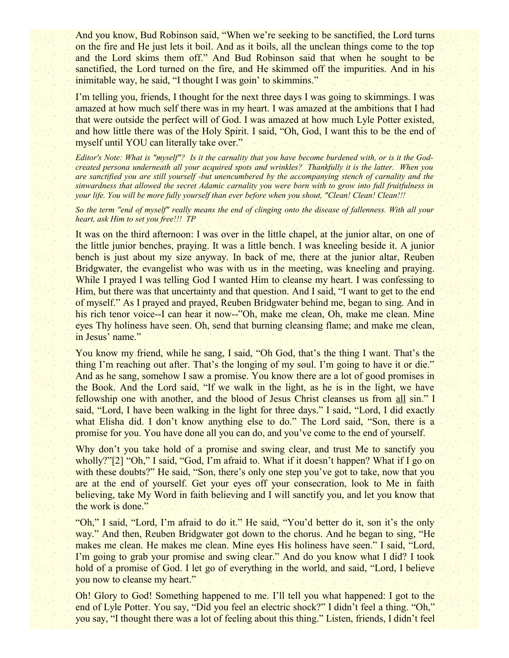And you know, Bud Robinson said, "When we're seeking to be sanctified, the Lord turns on the fire and He just lets it boil. And as it boils, all the unclean things come to the top and the Lord skims them off." And Bud Robinson said that when he sought to be sanctified, the Lord turned on the fire, and He skimmed off the impurities. And in his inimitable way, he said, "I thought I was goin' to skimmins."

I'm telling you, friends, I thought for the next three days I was going to skimmings. I was amazed at how much self there was in my heart. I was amazed at the ambitions that I had that were outside the perfect will of God. I was amazed at how much Lyle Potter existed, and how little there was of the Holy Spirit. I said, "Oh, God, I want this to be the end of myself until YOU can literally take over."

*Editor's Note: What is "myself"? Is it the carnality that you have become burdened with, or is it the Godcreated persona underneath all your acquired spots and wrinkles? Thankfully it is the latter. When you are sanctified you are still yourself -but unencumbered by the accompanying stench of carnality and the sinwardness that allowed the secret Adamic carnality you were born with to grow into full fruitfulness in your life. You will be more fully yourself than ever before when you shout, "Clean! Clean! Clean!!!* 

*So the term "end of myself" really means the end of clinging onto the disease of fallenness. With all your heart, ask Him to set you free!!! TP*

It was on the third afternoon: I was over in the little chapel, at the junior altar, on one of the little junior benches, praying. It was a little bench. I was kneeling beside it. A junior bench is just about my size anyway. In back of me, there at the junior altar, Reuben Bridgwater, the evangelist who was with us in the meeting, was kneeling and praying. While I prayed I was telling God I wanted Him to cleanse my heart. I was confessing to Him, but there was that uncertainty and that question. And I said, "I want to get to the end of myself." As I prayed and prayed, Reuben Bridgwater behind me, began to sing. And in his rich tenor voice--I can hear it now--"Oh, make me clean, Oh, make me clean. Mine eyes Thy holiness have seen. Oh, send that burning cleansing flame; and make me clean, in Jesus' name."

You know my friend, while he sang, I said, "Oh God, that's the thing I want. That's the thing I'm reaching out after. That's the longing of my soul. I'm going to have it or die." And as he sang, somehow I saw a promise. You know there are a lot of good promises in the Book. And the Lord said, "If we walk in the light, as he is in the light, we have fellowship one with another, and the blood of Jesus Christ cleanses us from all sin." I said, "Lord, I have been walking in the light for three days." I said, "Lord, I did exactly what Elisha did. I don't know anything else to do." The Lord said, "Son, there is a promise for you. You have done all you can do, and you've come to the end of yourself.

Why don't you take hold of a promise and swing clear, and trust Me to sanctify you wholly?"[2] "Oh," I said, "God, I'm afraid to. What if it doesn't happen? What if I go on with these doubts?" He said, "Son, there's only one step you've got to take, now that you are at the end of yourself. Get your eyes off your consecration, look to Me in faith believing, take My Word in faith believing and I will sanctify you, and let you know that the work is done."

"Oh," I said, "Lord, I'm afraid to do it." He said, "You'd better do it, son it's the only way." And then, Reuben Bridgwater got down to the chorus. And he began to sing, "He makes me clean. He makes me clean. Mine eyes His holiness have seen." I said, "Lord, I'm going to grab your promise and swing clear." And do you know what I did? I took hold of a promise of God. I let go of everything in the world, and said, "Lord, I believe you now to cleanse my heart."

Oh! Glory to God! Something happened to me. I'll tell you what happened: I got to the end of Lyle Potter. You say, "Did you feel an electric shock?" I didn't feel a thing. "Oh," you say, "I thought there was a lot of feeling about this thing." Listen, friends, I didn't feel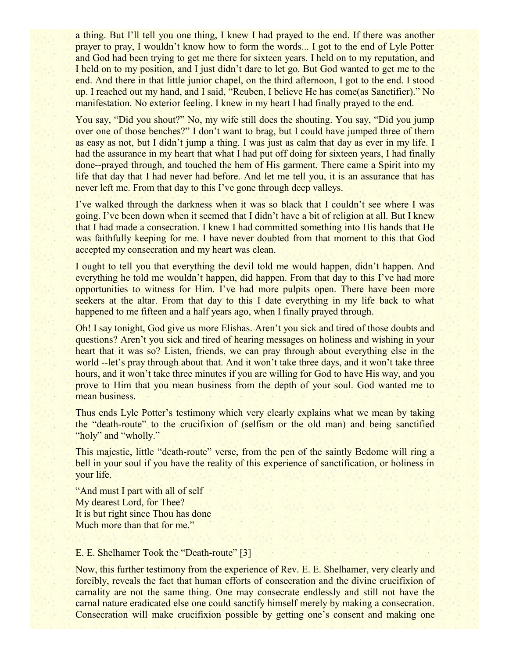a thing. But I'll tell you one thing, I knew I had prayed to the end. If there was another prayer to pray, I wouldn't know how to form the words... I got to the end of Lyle Potter and God had been trying to get me there for sixteen years. I held on to my reputation, and I held on to my position, and I just didn't dare to let go. But God wanted to get me to the end. And there in that little junior chapel, on the third afternoon, I got to the end. I stood up. I reached out my hand, and I said, "Reuben, I believe He has come(as Sanctifier)." No manifestation. No exterior feeling. I knew in my heart I had finally prayed to the end.

You say, "Did you shout?" No, my wife still does the shouting. You say, "Did you jump over one of those benches?" I don't want to brag, but I could have jumped three of them as easy as not, but I didn't jump a thing. I was just as calm that day as ever in my life. I had the assurance in my heart that what I had put off doing for sixteen years, I had finally done--prayed through, and touched the hem of His garment. There came a Spirit into my life that day that I had never had before. And let me tell you, it is an assurance that has never left me. From that day to this I've gone through deep valleys.

I've walked through the darkness when it was so black that I couldn't see where I was going. I've been down when it seemed that I didn't have a bit of religion at all. But I knew that I had made a consecration. I knew I had committed something into His hands that He was faithfully keeping for me. I have never doubted from that moment to this that God accepted my consecration and my heart was clean.

I ought to tell you that everything the devil told me would happen, didn't happen. And everything he told me wouldn't happen, did happen. From that day to this I've had more opportunities to witness for Him. I've had more pulpits open. There have been more seekers at the altar. From that day to this I date everything in my life back to what happened to me fifteen and a half years ago, when I finally prayed through.

Oh! I say tonight, God give us more Elishas. Aren't you sick and tired of those doubts and questions? Aren't you sick and tired of hearing messages on holiness and wishing in your heart that it was so? Listen, friends, we can pray through about everything else in the world --let's pray through about that. And it won't take three days, and it won't take three hours, and it won't take three minutes if you are willing for God to have His way, and you prove to Him that you mean business from the depth of your soul. God wanted me to mean business.

Thus ends Lyle Potter's testimony which very clearly explains what we mean by taking the "death-route" to the crucifixion of (selfism or the old man) and being sanctified "holy" and "wholly."

This majestic, little "death-route" verse, from the pen of the saintly Bedome will ring a bell in your soul if you have the reality of this experience of sanctification, or holiness in your life.

"And must I part with all of self My dearest Lord, for Thee? It is but right since Thou has done Much more than that for me."

# E. E. Shelhamer Took the "Death-route" [3]

Now, this further testimony from the experience of Rev. E. E. Shelhamer, very clearly and forcibly, reveals the fact that human efforts of consecration and the divine crucifixion of carnality are not the same thing. One may consecrate endlessly and still not have the carnal nature eradicated else one could sanctify himself merely by making a consecration. Consecration will make crucifixion possible by getting one's consent and making one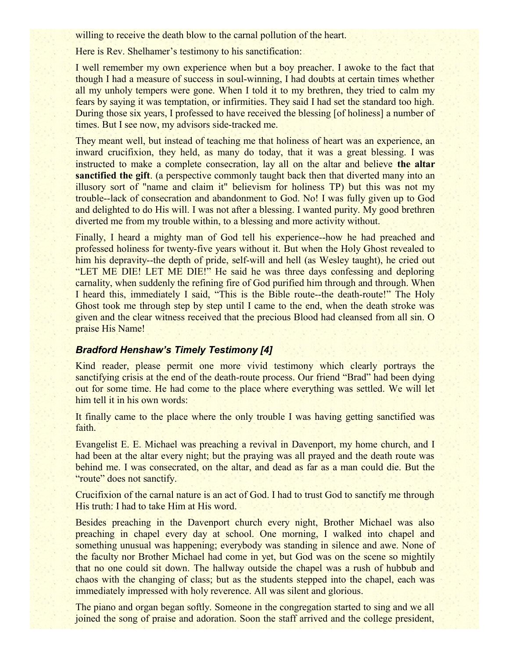willing to receive the death blow to the carnal pollution of the heart.

Here is Rev. Shelhamer's testimony to his sanctification:

I well remember my own experience when but a boy preacher. I awoke to the fact that though I had a measure of success in soul-winning, I had doubts at certain times whether all my unholy tempers were gone. When I told it to my brethren, they tried to calm my fears by saying it was temptation, or infirmities. They said I had set the standard too high. During those six years, I professed to have received the blessing [of holiness] a number of times. But I see now, my advisors side-tracked me.

They meant well, but instead of teaching me that holiness of heart was an experience, an inward crucifixion, they held, as many do today, that it was a great blessing. I was instructed to make a complete consecration, lay all on the altar and believe **the altar sanctified the gift**. (a perspective commonly taught back then that diverted many into an illusory sort of "name and claim it" believism for holiness TP) but this was not my trouble--lack of consecration and abandonment to God. No! I was fully given up to God and delighted to do His will. I was not after a blessing. I wanted purity. My good brethren diverted me from my trouble within, to a blessing and more activity without.

Finally, I heard a mighty man of God tell his experience--how he had preached and professed holiness for twenty-five years without it. But when the Holy Ghost revealed to him his depravity--the depth of pride, self-will and hell (as Wesley taught), he cried out "LET ME DIE! LET ME DIE!" He said he was three days confessing and deploring carnality, when suddenly the refining fire of God purified him through and through. When I heard this, immediately I said, "This is the Bible route--the death-route!" The Holy Ghost took me through step by step until I came to the end, when the death stroke was given and the clear witness received that the precious Blood had cleansed from all sin. O praise His Name!

#### *Bradford Henshaw's Timely Testimony [4]*

Kind reader, please permit one more vivid testimony which clearly portrays the sanctifying crisis at the end of the death-route process. Our friend "Brad" had been dying out for some time. He had come to the place where everything was settled. We will let him tell it in his own words:

It finally came to the place where the only trouble I was having getting sanctified was faith.

Evangelist E. E. Michael was preaching a revival in Davenport, my home church, and I had been at the altar every night; but the praying was all prayed and the death route was behind me. I was consecrated, on the altar, and dead as far as a man could die. But the "route" does not sanctify.

Crucifixion of the carnal nature is an act of God. I had to trust God to sanctify me through His truth: I had to take Him at His word.

Besides preaching in the Davenport church every night, Brother Michael was also preaching in chapel every day at school. One morning, I walked into chapel and something unusual was happening; everybody was standing in silence and awe. None of the faculty nor Brother Michael had come in yet, but God was on the scene so mightily that no one could sit down. The hallway outside the chapel was a rush of hubbub and chaos with the changing of class; but as the students stepped into the chapel, each was immediately impressed with holy reverence. All was silent and glorious.

The piano and organ began softly. Someone in the congregation started to sing and we all joined the song of praise and adoration. Soon the staff arrived and the college president,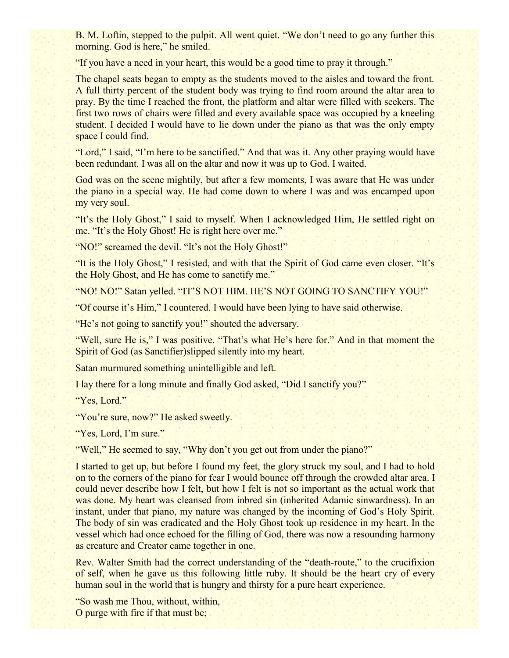B. M. Loftin, stepped to the pulpit. All went quiet. "We don't need to go any further this morning. God is here," he smiled.

"If you have a need in your heart, this would be a good time to pray it through."

The chapel seats began to empty as the students moved to the aisles and toward the front. A full thirty percent of the student body was trying to find room around the altar area to pray. By the time I reached the front, the platform and altar were filled with seekers. The first two rows of chairs were filled and every available space was occupied by a kneeling student. I decided I would have to lie down under the piano as that was the only empty space I could find.

"Lord," I said, "I'm here to be sanctified." And that was it. Any other praying would have been redundant. I was all on the altar and now it was up to God. I waited.

God was on the scene mightily, but after a few moments, I was aware that He was under the piano in a special way. He had come down to where I was and was encamped upon my very soul.

"It's the Holy Ghost," I said to myself. When I acknowledged Him, He settled right on me. "It's the Holy Ghost! He is right here over me."

"NO!" screamed the devil. "It's not the Holy Ghost!"

"It is the Holy Ghost," I resisted, and with that the Spirit of God came even closer. "It's the Holy Ghost, and He has come to sanctify me."

"NO! NO!" Satan yelled. "IT'S NOT HIM. HE'S NOT GOING TO SANCTIFY YOU!"

"Of course it's Him," I countered. I would have been lying to have said otherwise.

"He's not going to sanctify you!" shouted the adversary.

"Well, sure He is," I was positive. "That's what He's here for." And in that moment the Spirit of God (as Sanctifier)slipped silently into my heart.

Satan murmured something unintelligible and left.

I lay there for a long minute and finally God asked, "Did I sanctify you?"

"Yes, Lord."

"You're sure, now?" He asked sweetly.

"Yes, Lord, I'm sure."

"Well," He seemed to say, "Why don't you get out from under the piano?"

I started to get up, but before I found my feet, the glory struck my soul, and I had to hold on to the corners of the piano for fear I would bounce off through the crowded altar area. I could never describe how I felt, but how I felt is not so important as the actual work that was done. My heart was cleansed from inbred sin (inherited Adamic sinwardness). In an instant, under that piano, my nature was changed by the incoming of God's Holy Spirit. The body of sin was eradicated and the Holy Ghost took up residence in my heart. In the vessel which had once echoed for the filling of God, there was now a resounding harmony as creature and Creator came together in one.

Rev. Walter Smith had the correct understanding of the "death-route," to the crucifixion of self, when he gave us this following little ruby. It should be the heart cry of every human soul in the world that is hungry and thirsty for a pure heart experience.

"So wash me Thou, without, within, O purge with fire if that must be;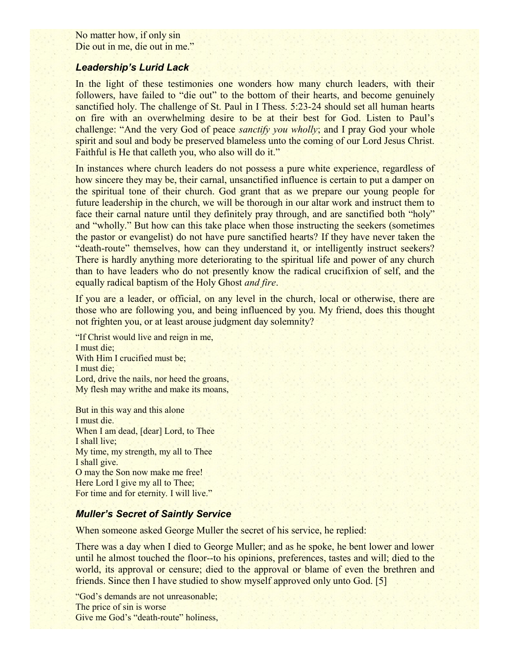No matter how, if only sin Die out in me, die out in me."

#### *Leadership's Lurid Lack*

In the light of these testimonies one wonders how many church leaders, with their followers, have failed to "die out" to the bottom of their hearts, and become genuinely sanctified holy. The challenge of St. Paul in I Thess. 5:23-24 should set all human hearts on fire with an overwhelming desire to be at their best for God. Listen to Paul's challenge: "And the very God of peace *sanctify you wholly*; and I pray God your whole spirit and soul and body be preserved blameless unto the coming of our Lord Jesus Christ. Faithful is He that calleth you, who also will do it."

In instances where church leaders do not possess a pure white experience, regardless of how sincere they may be, their carnal, unsanctified influence is certain to put a damper on the spiritual tone of their church. God grant that as we prepare our young people for future leadership in the church, we will be thorough in our altar work and instruct them to face their carnal nature until they definitely pray through, and are sanctified both "holy" and "wholly." But how can this take place when those instructing the seekers (sometimes the pastor or evangelist) do not have pure sanctified hearts? If they have never taken the "death-route" themselves, how can they understand it, or intelligently instruct seekers? There is hardly anything more deteriorating to the spiritual life and power of any church than to have leaders who do not presently know the radical crucifixion of self, and the equally radical baptism of the Holy Ghost *and fire*.

If you are a leader, or official, on any level in the church, local or otherwise, there are those who are following you, and being influenced by you. My friend, does this thought not frighten you, or at least arouse judgment day solemnity?

"If Christ would live and reign in me, I must die; With Him I crucified must be; I must die; Lord, drive the nails, nor heed the groans, My flesh may writhe and make its moans,

But in this way and this alone I must die. When I am dead, [dear] Lord, to Thee I shall live; My time, my strength, my all to Thee I shall give. O may the Son now make me free! Here Lord I give my all to Thee; For time and for eternity. I will live."

#### *Muller's Secret of Saintly Service*

When someone asked George Muller the secret of his service, he replied:

There was a day when I died to George Muller; and as he spoke, he bent lower and lower until he almost touched the floor--to his opinions, preferences, tastes and will; died to the world, its approval or censure; died to the approval or blame of even the brethren and friends. Since then I have studied to show myself approved only unto God. [5]

"God's demands are not unreasonable; The price of sin is worse Give me God's "death-route" holiness,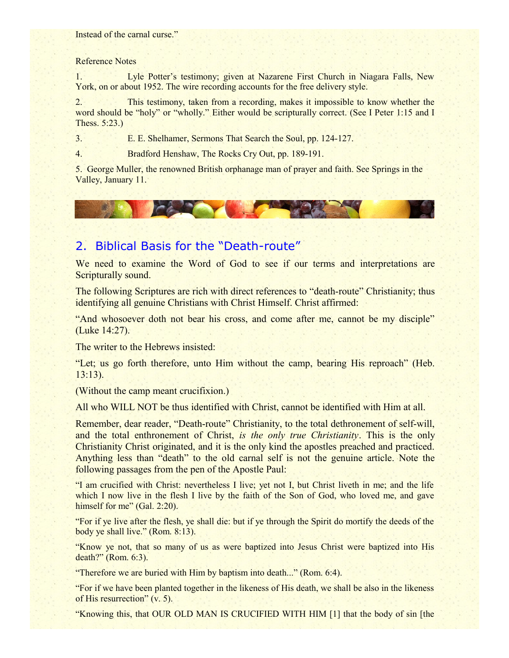Instead of the carnal curse."

#### Reference Notes

1. Lyle Potter's testimony; given at Nazarene First Church in Niagara Falls, New York, on or about 1952. The wire recording accounts for the free delivery style.

2. This testimony, taken from a recording, makes it impossible to know whether the word should be "holy" or "wholly." Either would be scripturally correct. (See I Peter 1:15 and I Thess. 5:23.)

3. E. E. Shelhamer, Sermons That Search the Soul, pp. 124-127.

4. Bradford Henshaw, The Rocks Cry Out, pp. 189-191.

5. George Muller, the renowned British orphanage man of prayer and faith. See Springs in the Valley, January 11.

# 2. Biblical Basis for the "Death-route"

CALL OF

We need to examine the Word of God to see if our terms and interpretations are Scripturally sound.

The following Scriptures are rich with direct references to "death-route" Christianity; thus identifying all genuine Christians with Christ Himself. Christ affirmed:

"And whosoever doth not bear his cross, and come after me, cannot be my disciple" (Luke 14:27).

The writer to the Hebrews insisted:

"Let; us go forth therefore, unto Him without the camp, bearing His reproach" (Heb. 13:13).

(Without the camp meant crucifixion.)

All who WILL NOT be thus identified with Christ, cannot be identified with Him at all.

Remember, dear reader, "Death-route" Christianity, to the total dethronement of self-will, and the total enthronement of Christ, *is the only true Christianity*. This is the only Christianity Christ originated, and it is the only kind the apostles preached and practiced. Anything less than "death" to the old carnal self is not the genuine article. Note the following passages from the pen of the Apostle Paul:

"I am crucified with Christ: nevertheless I live; yet not I, but Christ liveth in me; and the life which I now live in the flesh I live by the faith of the Son of God, who loved me, and gave himself for me" (Gal. 2:20).

"For if ye live after the flesh, ye shall die: but if ye through the Spirit do mortify the deeds of the body ye shall live." (Rom. 8:13).

"Know ye not, that so many of us as were baptized into Jesus Christ were baptized into His death?" (Rom. 6:3).

"Therefore we are buried with Him by baptism into death..." (Rom. 6:4).

"For if we have been planted together in the likeness of His death, we shall be also in the likeness of His resurrection" (v. 5).

"Knowing this, that OUR OLD MAN IS CRUCIFIED WITH HIM [1] that the body of sin [the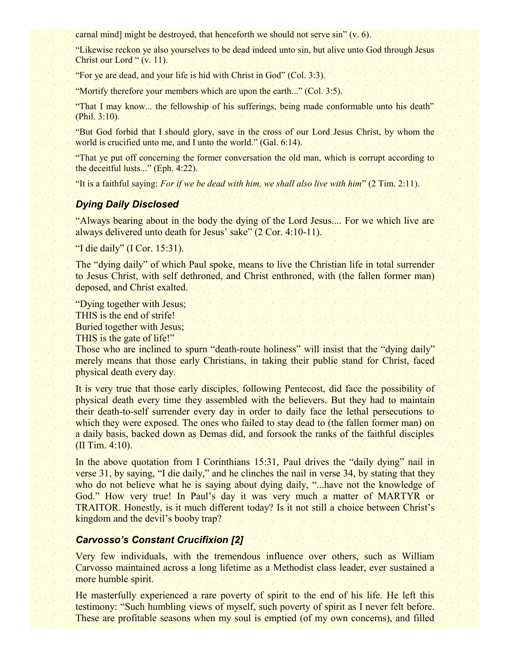carnal mind] might be destroyed, that henceforth we should not serve sin" (v. 6).

"Likewise reckon ye also yourselves to be dead indeed unto sin, but alive unto God through Jesus Christ our Lord " (v. 11).

"For ye are dead, and your life is hid with Christ in God" (Col. 3:3).

"Mortify therefore your members which are upon the earth..." (Col. 3:5).

"That I may know... the fellowship of his sufferings, being made conformable unto his death" (Phil. 3:10).

"But God forbid that I should glory, save in the cross of our Lord Jesus Christ, by whom the world is crucified unto me, and I unto the world." (Gal. 6:14).

"That ye put off concerning the former conversation the old man, which is corrupt according to the deceitful lusts..." (Eph. 4:22).

"It is a faithful saying: *For if we be dead with him, we shall also live with him*" (2 Tim. 2:11).

#### *Dying Daily Disclosed*

"Always bearing about in the body the dying of the Lord Jesus.... For we which live are always delivered unto death for Jesus' sake" (2 Cor. 4:10-11).

"I die daily" (I Cor. 15:31).

The "dying daily" of which Paul spoke, means to live the Christian life in total surrender to Jesus Christ, with self dethroned, and Christ enthroned, with (the fallen former man) deposed, and Christ exalted.

"Dying together with Jesus; THIS is the end of strife! Buried together with Jesus; THIS is the gate of life!"

Those who are inclined to spurn "death-route holiness" will insist that the "dying daily" merely means that those early Christians, in taking their public stand for Christ, faced physical death every day.

It is very true that those early disciples, following Pentecost, did face the possibility of physical death every time they assembled with the believers. But they had to maintain their death-to-self surrender every day in order to daily face the lethal persecutions to which they were exposed. The ones who failed to stay dead to (the fallen former man) on a daily basis, backed down as Demas did, and forsook the ranks of the faithful disciples (II Tim. 4:10).

In the above quotation from I Corinthians 15:31, Paul drives the "daily dying" nail in verse 31, by saying, "I die daily," and he clinches the nail in verse 34, by stating that they who do not believe what he is saying about dying daily, "...have not the knowledge of God." How very true! In Paul's day it was very much a matter of MARTYR or TRAITOR. Honestly, is it much different today? Is it not still a choice between Christ's kingdom and the devil's booby trap?

# *Carvosso's Constant Crucifixion [2]*

Very few individuals, with the tremendous influence over others, such as William Carvosso maintained across a long lifetime as a Methodist class leader, ever sustained a more humble spirit.

He masterfully experienced a rare poverty of spirit to the end of his life. He left this testimony: "Such humbling views of myself, such poverty of spirit as I never felt before. These are profitable seasons when my soul is emptied (of my own concerns), and filled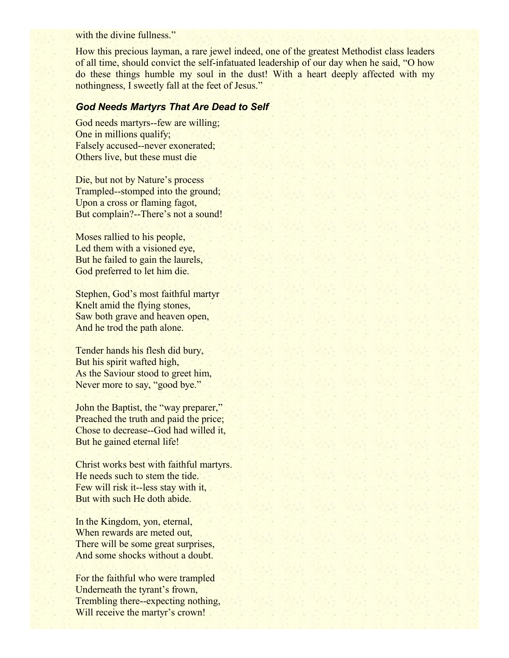with the divine fullness."

How this precious layman, a rare jewel indeed, one of the greatest Methodist class leaders of all time, should convict the self-infatuated leadership of our day when he said, "O how do these things humble my soul in the dust! With a heart deeply affected with my nothingness, I sweetly fall at the feet of Jesus."

# *God Needs Martyrs That Are Dead to Self*

God needs martyrs--few are willing; One in millions qualify; Falsely accused--never exonerated; Others live, but these must die

Die, but not by Nature's process Trampled--stomped into the ground; Upon a cross or flaming fagot, But complain?--There's not a sound!

Moses rallied to his people, Led them with a visioned eye, But he failed to gain the laurels, God preferred to let him die.

Stephen, God's most faithful martyr Knelt amid the flying stones, Saw both grave and heaven open, And he trod the path alone.

Tender hands his flesh did bury, But his spirit wafted high, As the Saviour stood to greet him, Never more to say, "good bye."

John the Baptist, the "way preparer," Preached the truth and paid the price; Chose to decrease--God had willed it, But he gained eternal life!

Christ works best with faithful martyrs. He needs such to stem the tide. Few will risk it--less stay with it, But with such He doth abide.

In the Kingdom, yon, eternal, When rewards are meted out, There will be some great surprises, And some shocks without a doubt.

For the faithful who were trampled Underneath the tyrant's frown, Trembling there--expecting nothing, Will receive the martyr's crown!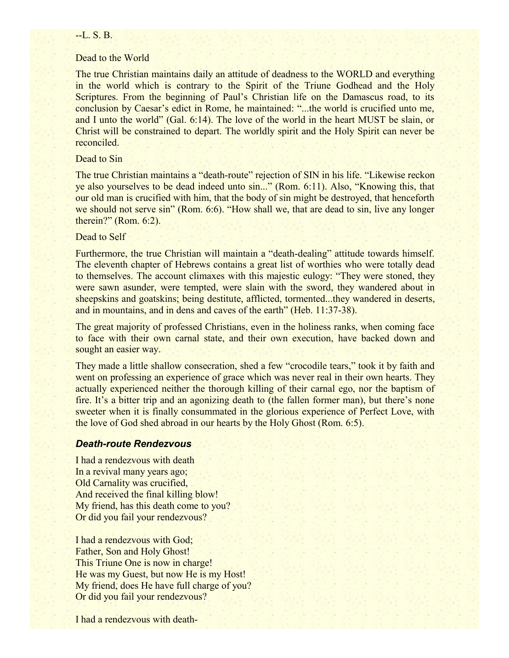#### $-L.S.B.$

#### Dead to the World

The true Christian maintains daily an attitude of deadness to the WORLD and everything in the world which is contrary to the Spirit of the Triune Godhead and the Holy Scriptures. From the beginning of Paul's Christian life on the Damascus road, to its conclusion by Caesar's edict in Rome, he maintained: "...the world is crucified unto me, and I unto the world" (Gal. 6:14). The love of the world in the heart MUST be slain, or Christ will be constrained to depart. The worldly spirit and the Holy Spirit can never be reconciled.

#### Dead to Sin

The true Christian maintains a "death-route" rejection of SIN in his life. "Likewise reckon ye also yourselves to be dead indeed unto sin..." (Rom. 6:11). Also, "Knowing this, that our old man is crucified with him, that the body of sin might be destroyed, that henceforth we should not serve sin" (Rom. 6:6). "How shall we, that are dead to sin, live any longer therein?" (Rom. 6:2).

### Dead to Self

Furthermore, the true Christian will maintain a "death-dealing" attitude towards himself. The eleventh chapter of Hebrews contains a great list of worthies who were totally dead to themselves. The account climaxes with this majestic eulogy: "They were stoned, they were sawn asunder, were tempted, were slain with the sword, they wandered about in sheepskins and goatskins; being destitute, afflicted, tormented...they wandered in deserts, and in mountains, and in dens and caves of the earth" (Heb. 11:37-38).

The great majority of professed Christians, even in the holiness ranks, when coming face to face with their own carnal state, and their own execution, have backed down and sought an easier way.

They made a little shallow consecration, shed a few "crocodile tears," took it by faith and went on professing an experience of grace which was never real in their own hearts. They actually experienced neither the thorough killing of their carnal ego, nor the baptism of fire. It's a bitter trip and an agonizing death to (the fallen former man), but there's none sweeter when it is finally consummated in the glorious experience of Perfect Love, with the love of God shed abroad in our hearts by the Holy Ghost (Rom. 6:5).

#### *Death-route Rendezvous*

I had a rendezvous with death In a revival many years ago; Old Carnality was crucified, And received the final killing blow! My friend, has this death come to you? Or did you fail your rendezvous?

I had a rendezvous with God; Father, Son and Holy Ghost! This Triune One is now in charge! He was my Guest, but now He is my Host! My friend, does He have full charge of you? Or did you fail your rendezvous?

I had a rendezvous with death-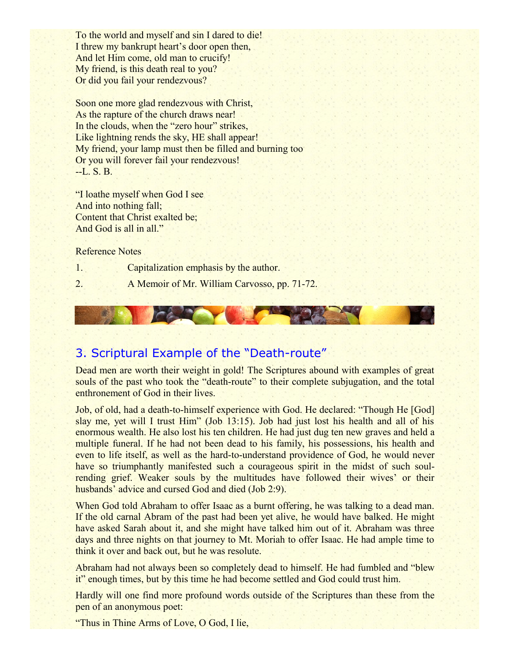To the world and myself and sin I dared to die! I threw my bankrupt heart's door open then, And let Him come, old man to crucify! My friend, is this death real to you? Or did you fail your rendezvous?

Soon one more glad rendezvous with Christ, As the rapture of the church draws near! In the clouds, when the "zero hour" strikes, Like lightning rends the sky, HE shall appear! My friend, your lamp must then be filled and burning too Or you will forever fail your rendezvous! --L. S. B.

"I loathe myself when God I see And into nothing fall; Content that Christ exalted be; And God is all in all."

Reference Notes

- 1. Capitalization emphasis by the author.
- 2. A Memoir of Mr. William Carvosso, pp. 71-72.



# 3. Scriptural Example of the "Death-route"

Dead men are worth their weight in gold! The Scriptures abound with examples of great souls of the past who took the "death-route" to their complete subjugation, and the total enthronement of God in their lives.

Job, of old, had a death-to-himself experience with God. He declared: "Though He [God] slay me, yet will I trust Him" (Job 13:15). Job had just lost his health and all of his enormous wealth. He also lost his ten children. He had just dug ten new graves and held a multiple funeral. If he had not been dead to his family, his possessions, his health and even to life itself, as well as the hard-to-understand providence of God, he would never have so triumphantly manifested such a courageous spirit in the midst of such soulrending grief. Weaker souls by the multitudes have followed their wives' or their husbands' advice and cursed God and died (Job 2:9).

When God told Abraham to offer Isaac as a burnt offering, he was talking to a dead man. If the old carnal Abram of the past had been yet alive, he would have balked. He might have asked Sarah about it, and she might have talked him out of it. Abraham was three days and three nights on that journey to Mt. Moriah to offer Isaac. He had ample time to think it over and back out, but he was resolute.

Abraham had not always been so completely dead to himself. He had fumbled and "blew it" enough times, but by this time he had become settled and God could trust him.

Hardly will one find more profound words outside of the Scriptures than these from the pen of an anonymous poet:

"Thus in Thine Arms of Love, O God, I lie,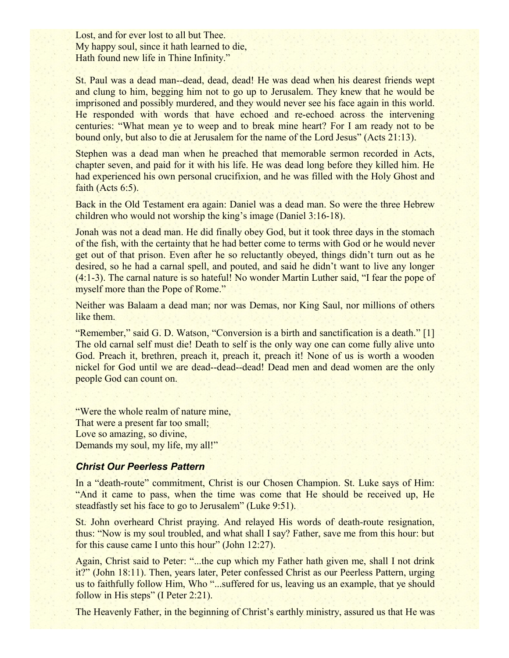Lost, and for ever lost to all but Thee. My happy soul, since it hath learned to die, Hath found new life in Thine Infinity."

St. Paul was a dead man--dead, dead, dead! He was dead when his dearest friends wept and clung to him, begging him not to go up to Jerusalem. They knew that he would be imprisoned and possibly murdered, and they would never see his face again in this world. He responded with words that have echoed and re-echoed across the intervening centuries: "What mean ye to weep and to break mine heart? For I am ready not to be bound only, but also to die at Jerusalem for the name of the Lord Jesus" (Acts 21:13).

Stephen was a dead man when he preached that memorable sermon recorded in Acts, chapter seven, and paid for it with his life. He was dead long before they killed him. He had experienced his own personal crucifixion, and he was filled with the Holy Ghost and faith (Acts 6:5).

Back in the Old Testament era again: Daniel was a dead man. So were the three Hebrew children who would not worship the king's image (Daniel 3:16-18).

Jonah was not a dead man. He did finally obey God, but it took three days in the stomach of the fish, with the certainty that he had better come to terms with God or he would never get out of that prison. Even after he so reluctantly obeyed, things didn't turn out as he desired, so he had a carnal spell, and pouted, and said he didn't want to live any longer (4:1-3). The carnal nature is so hateful! No wonder Martin Luther said, "I fear the pope of myself more than the Pope of Rome."

Neither was Balaam a dead man; nor was Demas, nor King Saul, nor millions of others like them.

"Remember," said G. D. Watson, "Conversion is a birth and sanctification is a death." [1] The old carnal self must die! Death to self is the only way one can come fully alive unto God. Preach it, brethren, preach it, preach it, preach it! None of us is worth a wooden nickel for God until we are dead--dead--dead! Dead men and dead women are the only people God can count on.

"Were the whole realm of nature mine, That were a present far too small; Love so amazing, so divine, Demands my soul, my life, my all!"

#### *Christ Our Peerless Pattern*

In a "death-route" commitment, Christ is our Chosen Champion. St. Luke says of Him: "And it came to pass, when the time was come that He should be received up, He steadfastly set his face to go to Jerusalem" (Luke 9:51).

St. John overheard Christ praying. And relayed His words of death-route resignation, thus: "Now is my soul troubled, and what shall I say? Father, save me from this hour: but for this cause came I unto this hour" (John 12:27).

Again, Christ said to Peter: "...the cup which my Father hath given me, shall I not drink it?" (John 18:11). Then, years later, Peter confessed Christ as our Peerless Pattern, urging us to faithfully follow Him, Who "...suffered for us, leaving us an example, that ye should follow in His steps" (I Peter 2:21).

The Heavenly Father, in the beginning of Christ's earthly ministry, assured us that He was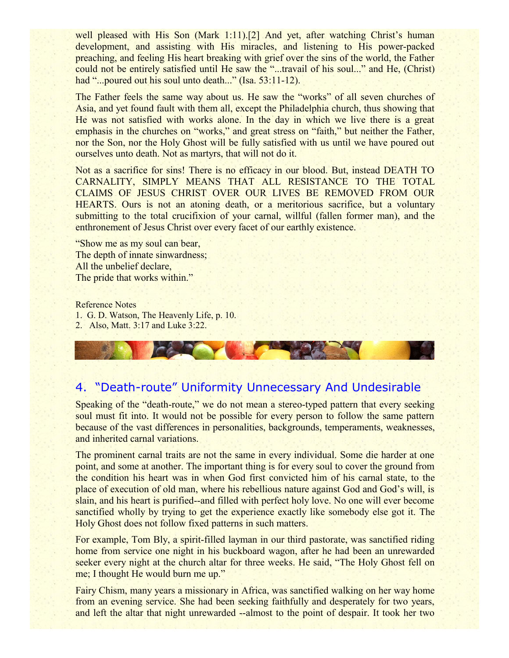well pleased with His Son (Mark 1:11).<sup>[2]</sup> And yet, after watching Christ's human development, and assisting with His miracles, and listening to His power-packed preaching, and feeling His heart breaking with grief over the sins of the world, the Father could not be entirely satisfied until He saw the "...travail of his soul..." and He, (Christ) had "...poured out his soul unto death..." (Isa, 53:11-12).

The Father feels the same way about us. He saw the "works" of all seven churches of Asia, and yet found fault with them all, except the Philadelphia church, thus showing that He was not satisfied with works alone. In the day in which we live there is a great emphasis in the churches on "works," and great stress on "faith," but neither the Father, nor the Son, nor the Holy Ghost will be fully satisfied with us until we have poured out ourselves unto death. Not as martyrs, that will not do it.

Not as a sacrifice for sins! There is no efficacy in our blood. But, instead DEATH TO CARNALITY, SIMPLY MEANS THAT ALL RESISTANCE TO THE TOTAL CLAIMS OF JESUS CHRIST OVER OUR LIVES BE REMOVED FROM OUR HEARTS. Ours is not an atoning death, or a meritorious sacrifice, but a voluntary submitting to the total crucifixion of your carnal, willful (fallen former man), and the enthronement of Jesus Christ over every facet of our earthly existence.

"Show me as my soul can bear, The depth of innate sinwardness; All the unbelief declare, The pride that works within."

Reference Notes 1. G. D. Watson, The Heavenly Life, p. 10. 2. Also, Matt. 3:17 and Luke 3:22.

# 4. "Death-route" Uniformity Unnecessary And Undesirable

Speaking of the "death-route," we do not mean a stereo-typed pattern that every seeking soul must fit into. It would not be possible for every person to follow the same pattern because of the vast differences in personalities, backgrounds, temperaments, weaknesses, and inherited carnal variations.

The prominent carnal traits are not the same in every individual. Some die harder at one point, and some at another. The important thing is for every soul to cover the ground from the condition his heart was in when God first convicted him of his carnal state, to the place of execution of old man, where his rebellious nature against God and God's will, is slain, and his heart is purified--and filled with perfect holy love. No one will ever become sanctified wholly by trying to get the experience exactly like somebody else got it. The Holy Ghost does not follow fixed patterns in such matters.

For example, Tom Bly, a spirit-filled layman in our third pastorate, was sanctified riding home from service one night in his buckboard wagon, after he had been an unrewarded seeker every night at the church altar for three weeks. He said, "The Holy Ghost fell on me; I thought He would burn me up."

Fairy Chism, many years a missionary in Africa, was sanctified walking on her way home from an evening service. She had been seeking faithfully and desperately for two years, and left the altar that night unrewarded --almost to the point of despair. It took her two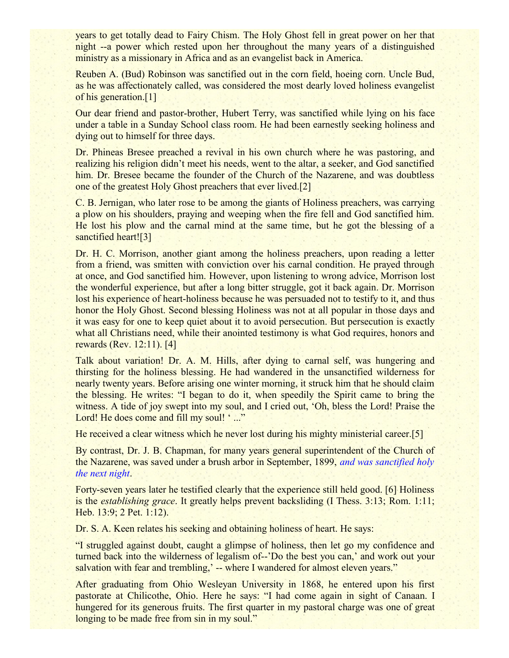years to get totally dead to Fairy Chism. The Holy Ghost fell in great power on her that night --a power which rested upon her throughout the many years of a distinguished ministry as a missionary in Africa and as an evangelist back in America.

Reuben A. (Bud) Robinson was sanctified out in the corn field, hoeing corn. Uncle Bud, as he was affectionately called, was considered the most dearly loved holiness evangelist of his generation.[1]

Our dear friend and pastor-brother, Hubert Terry, was sanctified while lying on his face under a table in a Sunday School class room. He had been earnestly seeking holiness and dying out to himself for three days.

Dr. Phineas Bresee preached a revival in his own church where he was pastoring, and realizing his religion didn't meet his needs, went to the altar, a seeker, and God sanctified him. Dr. Bresee became the founder of the Church of the Nazarene, and was doubtless one of the greatest Holy Ghost preachers that ever lived.[2]

C. B. Jernigan, who later rose to be among the giants of Holiness preachers, was carrying a plow on his shoulders, praying and weeping when the fire fell and God sanctified him. He lost his plow and the carnal mind at the same time, but he got the blessing of a sanctified heart![3]

Dr. H. C. Morrison, another giant among the holiness preachers, upon reading a letter from a friend, was smitten with conviction over his carnal condition. He prayed through at once, and God sanctified him. However, upon listening to wrong advice, Morrison lost the wonderful experience, but after a long bitter struggle, got it back again. Dr. Morrison lost his experience of heart-holiness because he was persuaded not to testify to it, and thus honor the Holy Ghost. Second blessing Holiness was not at all popular in those days and it was easy for one to keep quiet about it to avoid persecution. But persecution is exactly what all Christians need, while their anointed testimony is what God requires, honors and rewards (Rev. 12:11). [4]

Talk about variation! Dr. A. M. Hills, after dying to carnal self, was hungering and thirsting for the holiness blessing. He had wandered in the unsanctified wilderness for nearly twenty years. Before arising one winter morning, it struck him that he should claim the blessing. He writes: "I began to do it, when speedily the Spirit came to bring the witness. A tide of joy swept into my soul, and I cried out, 'Oh, bless the Lord! Praise the Lord! He does come and fill my soul! '..."

He received a clear witness which he never lost during his mighty ministerial career.<sup>[5]</sup>

By contrast, Dr. J. B. Chapman, for many years general superintendent of the Church of the Nazarene, was saved under a brush arbor in September, 1899, *and was sanctified holy the next night*.

Forty-seven years later he testified clearly that the experience still held good. [6] Holiness is the *establishing grace*. It greatly helps prevent backsliding (I Thess. 3:13; Rom. 1:11; Heb. 13:9; 2 Pet. 1:12).

Dr. S. A. Keen relates his seeking and obtaining holiness of heart. He says:

"I struggled against doubt, caught a glimpse of holiness, then let go my confidence and turned back into the wilderness of legalism of--'Do the best you can,' and work out your salvation with fear and trembling,' -- where I wandered for almost eleven years."

After graduating from Ohio Wesleyan University in 1868, he entered upon his first pastorate at Chilicothe, Ohio. Here he says: "I had come again in sight of Canaan. I hungered for its generous fruits. The first quarter in my pastoral charge was one of great longing to be made free from sin in my soul."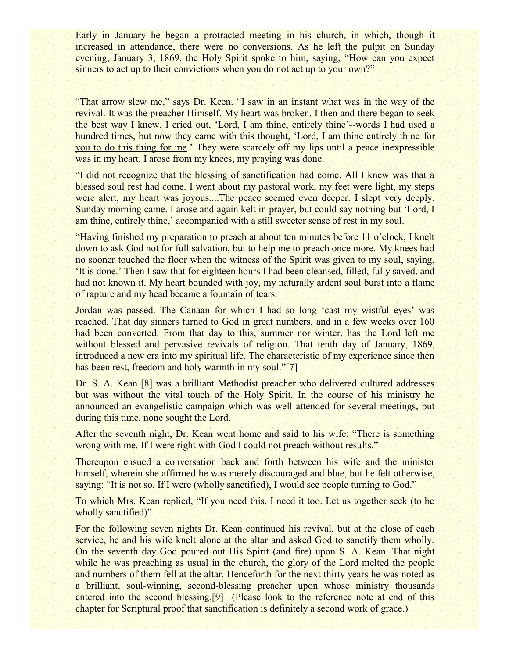Early in January he began a protracted meeting in his church, in which, though it increased in attendance, there were no conversions. As he left the pulpit on Sunday evening, January 3, 1869, the Holy Spirit spoke to him, saying, "How can you expect sinners to act up to their convictions when you do not act up to your own?"

"That arrow slew me," says Dr. Keen. "I saw in an instant what was in the way of the revival. It was the preacher Himself. My heart was broken. I then and there began to seek the best way I knew. I cried out, 'Lord, I am thine, entirely thine'--words I had used a hundred times, but now they came with this thought, 'Lord, I am thine entirely thine for you to do this thing for me.' They were scarcely off my lips until a peace inexpressible was in my heart. I arose from my knees, my praying was done.

"I did not recognize that the blessing of sanctification had come. All I knew was that a blessed soul rest had come. I went about my pastoral work, my feet were light, my steps were alert, my heart was joyous....The peace seemed even deeper. I slept very deeply. Sunday morning came. I arose and again kelt in prayer, but could say nothing but 'Lord, I am thine, entirely thine,' accompanied with a still sweeter sense of rest in my soul.

"Having finished my preparation to preach at about ten minutes before 11 o'clock, I knelt down to ask God not for full salvation, but to help me to preach once more. My knees had no sooner touched the floor when the witness of the Spirit was given to my soul, saying, 'It is done.' Then I saw that for eighteen hours I had been cleansed, filled, fully saved, and had not known it. My heart bounded with joy, my naturally ardent soul burst into a flame of rapture and my head became a fountain of tears.

Jordan was passed. The Canaan for which I had so long 'cast my wistful eyes' was reached. That day sinners turned to God in great numbers, and in a few weeks over 160 had been converted. From that day to this, summer nor winter, has the Lord left me without blessed and pervasive revivals of religion. That tenth day of January, 1869, introduced a new era into my spiritual life. The characteristic of my experience since then has been rest, freedom and holy warmth in my soul."[7]

Dr. S. A. Kean [8] was a brilliant Methodist preacher who delivered cultured addresses but was without the vital touch of the Holy Spirit. In the course of his ministry he announced an evangelistic campaign which was well attended for several meetings, but during this time, none sought the Lord.

After the seventh night, Dr. Kean went home and said to his wife: "There is something wrong with me. If I were right with God I could not preach without results."

Thereupon ensued a conversation back and forth between his wife and the minister himself, wherein she affirmed he was merely discouraged and blue, but he felt otherwise, saying: "It is not so. If I were (wholly sanctified), I would see people turning to God."

To which Mrs. Kean replied, "If you need this, I need it too. Let us together seek (to be wholly sanctified)"

For the following seven nights Dr. Kean continued his revival, but at the close of each service, he and his wife knelt alone at the altar and asked God to sanctify them wholly. On the seventh day God poured out His Spirit (and fire) upon S. A. Kean. That night while he was preaching as usual in the church, the glory of the Lord melted the people and numbers of them fell at the altar. Henceforth for the next thirty years he was noted as a brilliant, soul-winning, second-blessing preacher upon whose ministry thousands entered into the second blessing.<sup>[9]</sup> (Please look to the reference note at end of this chapter for Scriptural proof that sanctification is definitely a second work of grace.)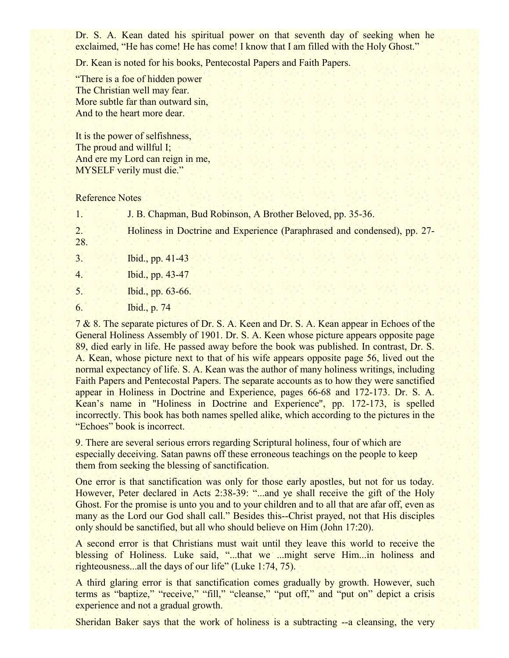Dr. S. A. Kean dated his spiritual power on that seventh day of seeking when he exclaimed, "He has come! He has come! I know that I am filled with the Holy Ghost."

Dr. Kean is noted for his books, Pentecostal Papers and Faith Papers.

"There is a foe of hidden power The Christian well may fear. More subtle far than outward sin, And to the heart more dear.

It is the power of selfishness, The proud and willful I; And ere my Lord can reign in me, MYSELF verily must die."

Reference Notes

1. J. B. Chapman, Bud Robinson, A Brother Beloved, pp. 35-36.

2. Holiness in Doctrine and Experience (Paraphrased and condensed), pp. 27-

- 28.
- 3. Ibid., pp. 41-43

4. Ibid., pp. 43-47

5. Ibid., pp. 63-66.

6. Ibid., p. 74

7 & 8. The separate pictures of Dr. S. A. Keen and Dr. S. A. Kean appear in Echoes of the General Holiness Assembly of 1901. Dr. S. A. Keen whose picture appears opposite page 89, died early in life. He passed away before the book was published. In contrast, Dr. S. A. Kean, whose picture next to that of his wife appears opposite page 56, lived out the normal expectancy of life. S. A. Kean was the author of many holiness writings, including Faith Papers and Pentecostal Papers. The separate accounts as to how they were sanctified appear in Holiness in Doctrine and Experience, pages 66-68 and 172-173. Dr. S. A. Kean's name in "Holiness in Doctrine and Experience", pp. 172-173, is spelled incorrectly. This book has both names spelled alike, which according to the pictures in the "Echoes" book is incorrect.

9. There are several serious errors regarding Scriptural holiness, four of which are especially deceiving. Satan pawns off these erroneous teachings on the people to keep them from seeking the blessing of sanctification.

One error is that sanctification was only for those early apostles, but not for us today. However, Peter declared in Acts 2:38-39: "...and ye shall receive the gift of the Holy Ghost. For the promise is unto you and to your children and to all that are afar off, even as many as the Lord our God shall call." Besides this--Christ prayed, not that His disciples only should be sanctified, but all who should believe on Him (John 17:20).

A second error is that Christians must wait until they leave this world to receive the blessing of Holiness. Luke said, "...that we ...might serve Him...in holiness and righteousness...all the days of our life" (Luke 1:74, 75).

A third glaring error is that sanctification comes gradually by growth. However, such terms as "baptize," "receive," "fill," "cleanse," "put off," and "put on" depict a crisis experience and not a gradual growth.

Sheridan Baker says that the work of holiness is a subtracting --a cleansing, the very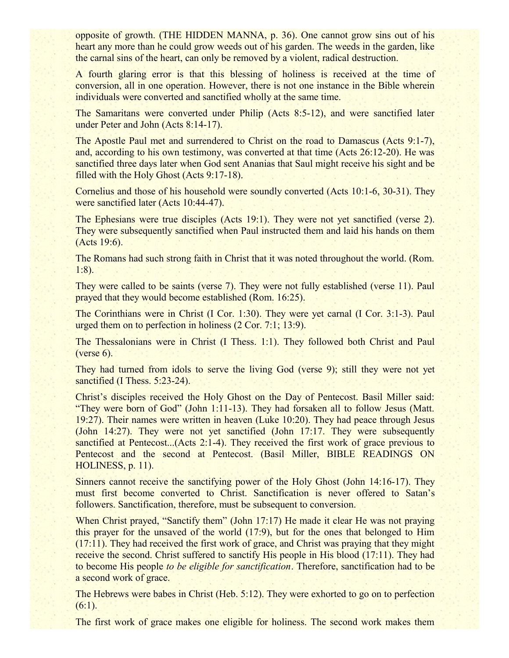opposite of growth. (THE HIDDEN MANNA, p. 36). One cannot grow sins out of his heart any more than he could grow weeds out of his garden. The weeds in the garden, like the carnal sins of the heart, can only be removed by a violent, radical destruction.

A fourth glaring error is that this blessing of holiness is received at the time of conversion, all in one operation. However, there is not one instance in the Bible wherein individuals were converted and sanctified wholly at the same time.

The Samaritans were converted under Philip (Acts 8:5-12), and were sanctified later under Peter and John (Acts 8:14-17).

The Apostle Paul met and surrendered to Christ on the road to Damascus (Acts 9:1-7), and, according to his own testimony, was converted at that time (Acts 26:12-20). He was sanctified three days later when God sent Ananias that Saul might receive his sight and be filled with the Holy Ghost (Acts 9:17-18).

Cornelius and those of his household were soundly converted (Acts 10:1-6, 30-31). They were sanctified later (Acts 10:44-47).

The Ephesians were true disciples (Acts 19:1). They were not yet sanctified (verse 2). They were subsequently sanctified when Paul instructed them and laid his hands on them (Acts 19:6).

The Romans had such strong faith in Christ that it was noted throughout the world. (Rom. 1:8).

They were called to be saints (verse 7). They were not fully established (verse 11). Paul prayed that they would become established (Rom. 16:25).

The Corinthians were in Christ (I Cor. 1:30). They were yet carnal (I Cor. 3:1-3). Paul urged them on to perfection in holiness (2 Cor. 7:1; 13:9).

The Thessalonians were in Christ (I Thess. 1:1). They followed both Christ and Paul (verse 6).

They had turned from idols to serve the living God (verse 9); still they were not yet sanctified (I Thess. 5:23-24).

Christ's disciples received the Holy Ghost on the Day of Pentecost. Basil Miller said: "They were born of God" (John 1:11-13). They had forsaken all to follow Jesus (Matt. 19:27). Their names were written in heaven (Luke 10:20). They had peace through Jesus (John 14:27). They were not yet sanctified (John 17:17. They were subsequently sanctified at Pentecost...(Acts 2:1-4). They received the first work of grace previous to Pentecost and the second at Pentecost. (Basil Miller, BIBLE READINGS ON HOLINESS, p. 11).

Sinners cannot receive the sanctifying power of the Holy Ghost (John 14:16-17). They must first become converted to Christ. Sanctification is never offered to Satan's followers. Sanctification, therefore, must be subsequent to conversion.

When Christ prayed, "Sanctify them" (John 17:17) He made it clear He was not praying this prayer for the unsaved of the world (17:9), but for the ones that belonged to Him (17:11). They had received the first work of grace, and Christ was praying that they might receive the second. Christ suffered to sanctify His people in His blood (17:11). They had to become His people *to be eligible for sanctification*. Therefore, sanctification had to be a second work of grace.

The Hebrews were babes in Christ (Heb. 5:12). They were exhorted to go on to perfection (6:1).

The first work of grace makes one eligible for holiness. The second work makes them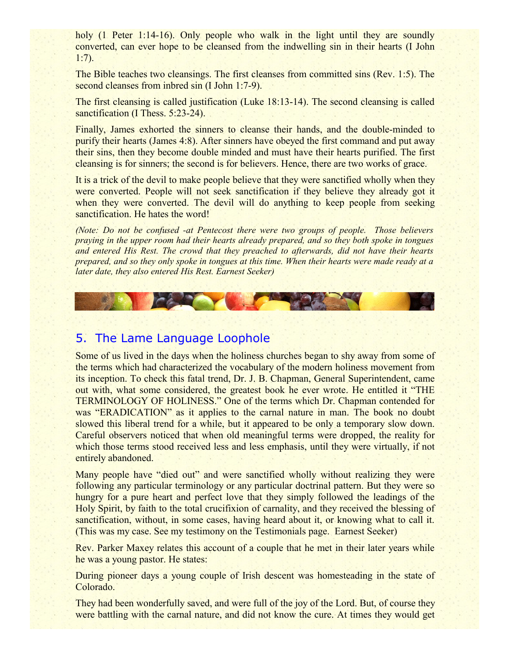holy (1 Peter 1:14-16). Only people who walk in the light until they are soundly converted, can ever hope to be cleansed from the indwelling sin in their hearts (I John 1:7).

The Bible teaches two cleansings. The first cleanses from committed sins (Rev. 1:5). The second cleanses from inbred sin (I John 1:7-9).

The first cleansing is called justification (Luke 18:13-14). The second cleansing is called sanctification (I Thess. 5:23-24).

Finally, James exhorted the sinners to cleanse their hands, and the double-minded to purify their hearts (James 4:8). After sinners have obeyed the first command and put away their sins, then they become double minded and must have their hearts purified. The first cleansing is for sinners; the second is for believers. Hence, there are two works of grace.

It is a trick of the devil to make people believe that they were sanctified wholly when they were converted. People will not seek sanctification if they believe they already got it when they were converted. The devil will do anything to keep people from seeking sanctification. He hates the word!

*(Note: Do not be confused -at Pentecost there were two groups of people. Those believers praying in the upper room had their hearts already prepared, and so they both spoke in tongues and entered His Rest. The crowd that they preached to afterwards, did not have their hearts prepared, and so they only spoke in tongues at this time. When their hearts were made ready at a later date, they also entered His Rest. Earnest Seeker)*

# 5. The Lame Language Loophole

Some of us lived in the days when the holiness churches began to shy away from some of the terms which had characterized the vocabulary of the modern holiness movement from its inception. To check this fatal trend, Dr. J. B. Chapman, General Superintendent, came out with, what some considered, the greatest book he ever wrote. He entitled it "THE TERMINOLOGY OF HOLINESS." One of the terms which Dr. Chapman contended for was "ERADICATION" as it applies to the carnal nature in man. The book no doubt slowed this liberal trend for a while, but it appeared to be only a temporary slow down. Careful observers noticed that when old meaningful terms were dropped, the reality for which those terms stood received less and less emphasis, until they were virtually, if not entirely abandoned.

Many people have "died out" and were sanctified wholly without realizing they were following any particular terminology or any particular doctrinal pattern. But they were so hungry for a pure heart and perfect love that they simply followed the leadings of the Holy Spirit, by faith to the total crucifixion of carnality, and they received the blessing of sanctification, without, in some cases, having heard about it, or knowing what to call it. (This was my case. See my testimony on the Testimonials page. Earnest Seeker)

Rev. Parker Maxey relates this account of a couple that he met in their later years while he was a young pastor. He states:

During pioneer days a young couple of Irish descent was homesteading in the state of Colorado.

They had been wonderfully saved, and were full of the joy of the Lord. But, of course they were battling with the carnal nature, and did not know the cure. At times they would get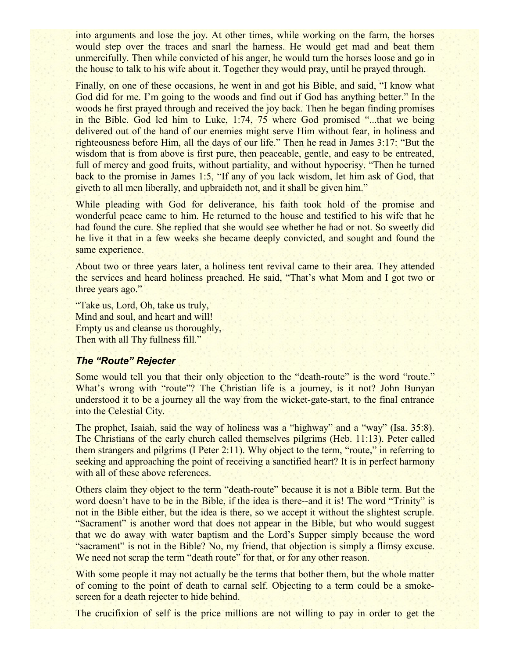into arguments and lose the joy. At other times, while working on the farm, the horses would step over the traces and snarl the harness. He would get mad and beat them unmercifully. Then while convicted of his anger, he would turn the horses loose and go in the house to talk to his wife about it. Together they would pray, until he prayed through.

Finally, on one of these occasions, he went in and got his Bible, and said, "I know what God did for me. I'm going to the woods and find out if God has anything better." In the woods he first prayed through and received the joy back. Then he began finding promises in the Bible. God led him to Luke, 1:74, 75 where God promised "...that we being delivered out of the hand of our enemies might serve Him without fear, in holiness and righteousness before Him, all the days of our life." Then he read in James 3:17: "But the wisdom that is from above is first pure, then peaceable, gentle, and easy to be entreated, full of mercy and good fruits, without partiality, and without hypocrisy. "Then he turned back to the promise in James 1:5, "If any of you lack wisdom, let him ask of God, that giveth to all men liberally, and upbraideth not, and it shall be given him."

While pleading with God for deliverance, his faith took hold of the promise and wonderful peace came to him. He returned to the house and testified to his wife that he had found the cure. She replied that she would see whether he had or not. So sweetly did he live it that in a few weeks she became deeply convicted, and sought and found the same experience.

About two or three years later, a holiness tent revival came to their area. They attended the services and heard holiness preached. He said, "That's what Mom and I got two or three years ago."

"Take us, Lord, Oh, take us truly, Mind and soul, and heart and will! Empty us and cleanse us thoroughly, Then with all Thy fullness fill."

#### *The "Route" Rejecter*

Some would tell you that their only objection to the "death-route" is the word "route." What's wrong with "route"? The Christian life is a journey, is it not? John Bunyan understood it to be a journey all the way from the wicket-gate-start, to the final entrance into the Celestial City.

The prophet, Isaiah, said the way of holiness was a "highway" and a "way" (Isa. 35:8). The Christians of the early church called themselves pilgrims (Heb. 11:13). Peter called them strangers and pilgrims (I Peter 2:11). Why object to the term, "route," in referring to seeking and approaching the point of receiving a sanctified heart? It is in perfect harmony with all of these above references.

Others claim they object to the term "death-route" because it is not a Bible term. But the word doesn't have to be in the Bible, if the idea is there--and it is! The word "Trinity" is not in the Bible either, but the idea is there, so we accept it without the slightest scruple. "Sacrament" is another word that does not appear in the Bible, but who would suggest that we do away with water baptism and the Lord's Supper simply because the word "sacrament" is not in the Bible? No, my friend, that objection is simply a flimsy excuse. We need not scrap the term "death route" for that, or for any other reason.

With some people it may not actually be the terms that bother them, but the whole matter of coming to the point of death to carnal self. Objecting to a term could be a smokescreen for a death rejecter to hide behind.

The crucifixion of self is the price millions are not willing to pay in order to get the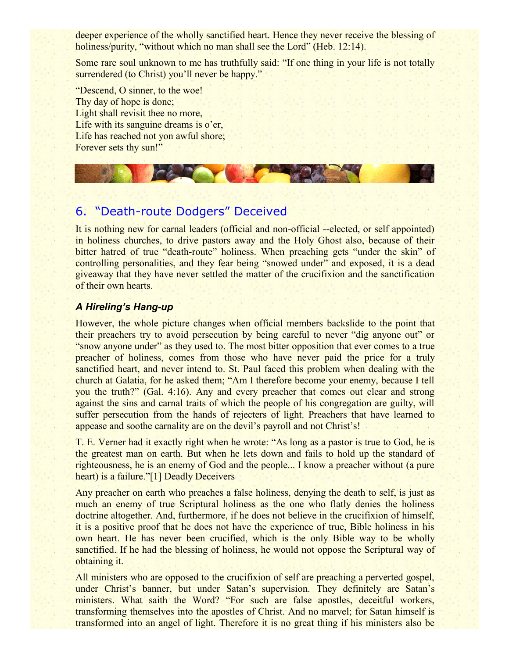deeper experience of the wholly sanctified heart. Hence they never receive the blessing of holiness/purity, "without which no man shall see the Lord" (Heb. 12:14).

Some rare soul unknown to me has truthfully said: "If one thing in your life is not totally surrendered (to Christ) you'll never be happy."

"Descend, O sinner, to the woe! Thy day of hope is done; Light shall revisit thee no more, Life with its sanguine dreams is o'er, Life has reached not yon awful shore; Forever sets thy sun!"

# 6. "Death-route Dodgers" Deceived

It is nothing new for carnal leaders (official and non-official --elected, or self appointed) in holiness churches, to drive pastors away and the Holy Ghost also, because of their bitter hatred of true "death-route" holiness. When preaching gets "under the skin" of controlling personalities, and they fear being "snowed under" and exposed, it is a dead giveaway that they have never settled the matter of the crucifixion and the sanctification of their own hearts.

# *A Hireling's Hang-up*

However, the whole picture changes when official members backslide to the point that their preachers try to avoid persecution by being careful to never "dig anyone out" or "snow anyone under" as they used to. The most bitter opposition that ever comes to a true preacher of holiness, comes from those who have never paid the price for a truly sanctified heart, and never intend to. St. Paul faced this problem when dealing with the church at Galatia, for he asked them; "Am I therefore become your enemy, because I tell you the truth?" (Gal. 4:16). Any and every preacher that comes out clear and strong against the sins and carnal traits of which the people of his congregation are guilty, will suffer persecution from the hands of rejecters of light. Preachers that have learned to appease and soothe carnality are on the devil's payroll and not Christ's!

T. E. Verner had it exactly right when he wrote: "As long as a pastor is true to God, he is the greatest man on earth. But when he lets down and fails to hold up the standard of righteousness, he is an enemy of God and the people... I know a preacher without (a pure heart) is a failure."[1] Deadly Deceivers

Any preacher on earth who preaches a false holiness, denying the death to self, is just as much an enemy of true Scriptural holiness as the one who flatly denies the holiness doctrine altogether. And, furthermore, if he does not believe in the crucifixion of himself, it is a positive proof that he does not have the experience of true, Bible holiness in his own heart. He has never been crucified, which is the only Bible way to be wholly sanctified. If he had the blessing of holiness, he would not oppose the Scriptural way of obtaining it.

All ministers who are opposed to the crucifixion of self are preaching a perverted gospel, under Christ's banner, but under Satan's supervision. They definitely are Satan's ministers. What saith the Word? "For such are false apostles, deceitful workers, transforming themselves into the apostles of Christ. And no marvel; for Satan himself is transformed into an angel of light. Therefore it is no great thing if his ministers also be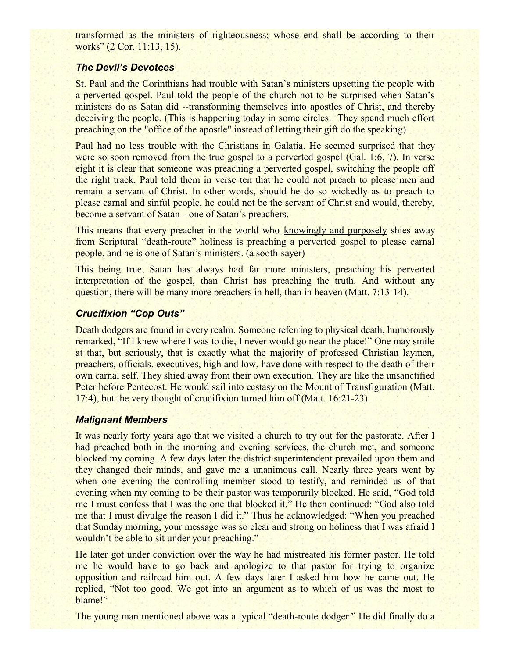transformed as the ministers of righteousness; whose end shall be according to their works" (2 Cor. 11:13, 15).

# *The Devil's Devotees*

St. Paul and the Corinthians had trouble with Satan's ministers upsetting the people with a perverted gospel. Paul told the people of the church not to be surprised when Satan's ministers do as Satan did --transforming themselves into apostles of Christ, and thereby deceiving the people. (This is happening today in some circles. They spend much effort preaching on the "office of the apostle" instead of letting their gift do the speaking)

Paul had no less trouble with the Christians in Galatia. He seemed surprised that they were so soon removed from the true gospel to a perverted gospel (Gal. 1:6, 7). In verse eight it is clear that someone was preaching a perverted gospel, switching the people off the right track. Paul told them in verse ten that he could not preach to please men and remain a servant of Christ. In other words, should he do so wickedly as to preach to please carnal and sinful people, he could not be the servant of Christ and would, thereby, become a servant of Satan --one of Satan's preachers.

This means that every preacher in the world who knowingly and purposely shies away from Scriptural "death-route" holiness is preaching a perverted gospel to please carnal people, and he is one of Satan's ministers. (a sooth-sayer)

This being true, Satan has always had far more ministers, preaching his perverted interpretation of the gospel, than Christ has preaching the truth. And without any question, there will be many more preachers in hell, than in heaven (Matt. 7:13-14).

# *Crucifixion "Cop Outs"*

Death dodgers are found in every realm. Someone referring to physical death, humorously remarked, "If I knew where I was to die, I never would go near the place!" One may smile at that, but seriously, that is exactly what the majority of professed Christian laymen, preachers, officials, executives, high and low, have done with respect to the death of their own carnal self. They shied away from their own execution. They are like the unsanctified Peter before Pentecost. He would sail into ecstasy on the Mount of Transfiguration (Matt. 17:4), but the very thought of crucifixion turned him off (Matt. 16:21-23).

# *Malignant Members*

It was nearly forty years ago that we visited a church to try out for the pastorate. After I had preached both in the morning and evening services, the church met, and someone blocked my coming. A few days later the district superintendent prevailed upon them and they changed their minds, and gave me a unanimous call. Nearly three years went by when one evening the controlling member stood to testify, and reminded us of that evening when my coming to be their pastor was temporarily blocked. He said, "God told me I must confess that I was the one that blocked it." He then continued: "God also told me that I must divulge the reason I did it." Thus he acknowledged: "When you preached that Sunday morning, your message was so clear and strong on holiness that I was afraid I wouldn't be able to sit under your preaching."

He later got under conviction over the way he had mistreated his former pastor. He told me he would have to go back and apologize to that pastor for trying to organize opposition and railroad him out. A few days later I asked him how he came out. He replied, "Not too good. We got into an argument as to which of us was the most to blame!"

The young man mentioned above was a typical "death-route dodger." He did finally do a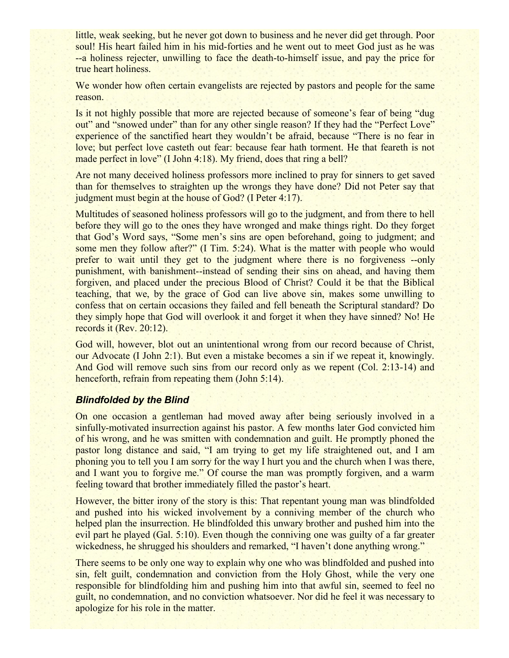little, weak seeking, but he never got down to business and he never did get through. Poor soul! His heart failed him in his mid-forties and he went out to meet God just as he was --a holiness rejecter, unwilling to face the death-to-himself issue, and pay the price for true heart holiness.

We wonder how often certain evangelists are rejected by pastors and people for the same reason.

Is it not highly possible that more are rejected because of someone's fear of being "dug out" and "snowed under" than for any other single reason? If they had the "Perfect Love" experience of the sanctified heart they wouldn't be afraid, because "There is no fear in love; but perfect love casteth out fear: because fear hath torment. He that feareth is not made perfect in love" (I John 4:18). My friend, does that ring a bell?

Are not many deceived holiness professors more inclined to pray for sinners to get saved than for themselves to straighten up the wrongs they have done? Did not Peter say that judgment must begin at the house of God? (I Peter 4:17).

Multitudes of seasoned holiness professors will go to the judgment, and from there to hell before they will go to the ones they have wronged and make things right. Do they forget that God's Word says, "Some men's sins are open beforehand, going to judgment; and some men they follow after?" (I Tim. 5:24). What is the matter with people who would prefer to wait until they get to the judgment where there is no forgiveness --only punishment, with banishment--instead of sending their sins on ahead, and having them forgiven, and placed under the precious Blood of Christ? Could it be that the Biblical teaching, that we, by the grace of God can live above sin, makes some unwilling to confess that on certain occasions they failed and fell beneath the Scriptural standard? Do they simply hope that God will overlook it and forget it when they have sinned? No! He records it (Rev. 20:12).

God will, however, blot out an unintentional wrong from our record because of Christ, our Advocate (I John 2:1). But even a mistake becomes a sin if we repeat it, knowingly. And God will remove such sins from our record only as we repent (Col. 2:13-14) and henceforth, refrain from repeating them (John 5:14).

#### *Blindfolded by the Blind*

On one occasion a gentleman had moved away after being seriously involved in a sinfully-motivated insurrection against his pastor. A few months later God convicted him of his wrong, and he was smitten with condemnation and guilt. He promptly phoned the pastor long distance and said, "I am trying to get my life straightened out, and I am phoning you to tell you I am sorry for the way I hurt you and the church when I was there, and I want you to forgive me." Of course the man was promptly forgiven, and a warm feeling toward that brother immediately filled the pastor's heart.

However, the bitter irony of the story is this: That repentant young man was blindfolded and pushed into his wicked involvement by a conniving member of the church who helped plan the insurrection. He blindfolded this unwary brother and pushed him into the evil part he played (Gal. 5:10). Even though the conniving one was guilty of a far greater wickedness, he shrugged his shoulders and remarked, "I haven't done anything wrong."

There seems to be only one way to explain why one who was blindfolded and pushed into sin, felt guilt, condemnation and conviction from the Holy Ghost, while the very one responsible for blindfolding him and pushing him into that awful sin, seemed to feel no guilt, no condemnation, and no conviction whatsoever. Nor did he feel it was necessary to apologize for his role in the matter.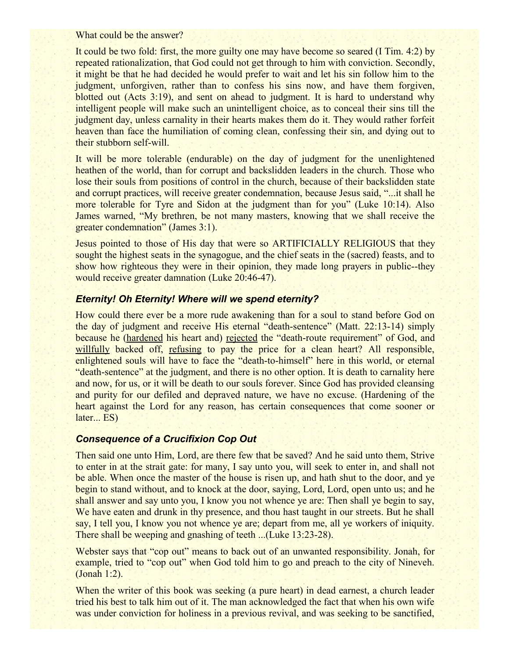What could be the answer?

It could be two fold: first, the more guilty one may have become so seared (I Tim. 4:2) by repeated rationalization, that God could not get through to him with conviction. Secondly, it might be that he had decided he would prefer to wait and let his sin follow him to the judgment, unforgiven, rather than to confess his sins now, and have them forgiven, blotted out (Acts 3:19), and sent on ahead to judgment. It is hard to understand why intelligent people will make such an unintelligent choice, as to conceal their sins till the judgment day, unless carnality in their hearts makes them do it. They would rather forfeit heaven than face the humiliation of coming clean, confessing their sin, and dying out to their stubborn self-will.

It will be more tolerable (endurable) on the day of judgment for the unenlightened heathen of the world, than for corrupt and backslidden leaders in the church. Those who lose their souls from positions of control in the church, because of their backslidden state and corrupt practices, will receive greater condemnation, because Jesus said, "...it shall he more tolerable for Tyre and Sidon at the judgment than for you" (Luke 10:14). Also James warned, "My brethren, be not many masters, knowing that we shall receive the greater condemnation" (James 3:1).

Jesus pointed to those of His day that were so ARTIFICIALLY RELIGIOUS that they sought the highest seats in the synagogue, and the chief seats in the (sacred) feasts, and to show how righteous they were in their opinion, they made long prayers in public--they would receive greater damnation (Luke 20:46-47).

#### *Eternity! Oh Eternity! Where will we spend eternity?*

How could there ever be a more rude awakening than for a soul to stand before God on the day of judgment and receive His eternal "death-sentence" (Matt. 22:13-14) simply because he (hardened his heart and) rejected the "death-route requirement" of God, and willfully backed off, refusing to pay the price for a clean heart? All responsible, enlightened souls will have to face the "death-to-himself" here in this world, or eternal "death-sentence" at the judgment, and there is no other option. It is death to carnality here and now, for us, or it will be death to our souls forever. Since God has provided cleansing and purity for our defiled and depraved nature, we have no excuse. (Hardening of the heart against the Lord for any reason, has certain consequences that come sooner or later... ES)

# *Consequence of a Crucifixion Cop Out*

Then said one unto Him, Lord, are there few that be saved? And he said unto them, Strive to enter in at the strait gate: for many, I say unto you, will seek to enter in, and shall not be able. When once the master of the house is risen up, and hath shut to the door, and ye begin to stand without, and to knock at the door, saying, Lord, Lord, open unto us; and he shall answer and say unto you, I know you not whence ye are: Then shall ye begin to say, We have eaten and drunk in thy presence, and thou hast taught in our streets. But he shall say, I tell you, I know you not whence ye are; depart from me, all ye workers of iniquity. There shall be weeping and gnashing of teeth ...(Luke 13:23-28).

Webster says that "cop out" means to back out of an unwanted responsibility. Jonah, for example, tried to "cop out" when God told him to go and preach to the city of Nineveh. (Jonah 1:2).

When the writer of this book was seeking (a pure heart) in dead earnest, a church leader tried his best to talk him out of it. The man acknowledged the fact that when his own wife was under conviction for holiness in a previous revival, and was seeking to be sanctified,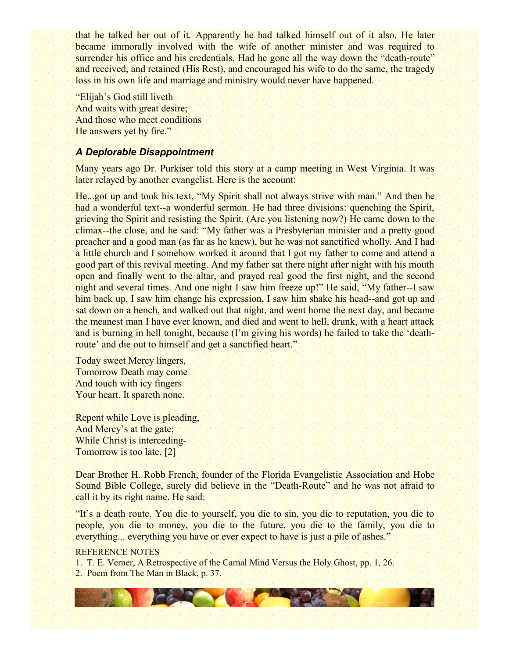that he talked her out of it. Apparently he had talked himself out of it also. He later became immorally involved with the wife of another minister and was required to surrender his office and his credentials. Had he gone all the way down the "death-route" and received, and retained (His Rest), and encouraged his wife to do the same, the tragedy loss in his own life and marriage and ministry would never have happened.

"Elijah's God still liveth And waits with great desire; And those who meet conditions He answers yet by fire."

# *A Deplorable Disappointment*

Many years ago Dr. Purkiser told this story at a camp meeting in West Virginia. It was later relayed by another evangelist. Here is the account:

He...got up and took his text, "My Spirit shall not always strive with man." And then he had a wonderful text--a wonderful sermon. He had three divisions: quenching the Spirit, grieving the Spirit and resisting the Spirit. (Are you listening now?) He came down to the climax--the close, and he said: "My father was a Presbyterian minister and a pretty good preacher and a good man (as far as he knew), but he was not sanctified wholly. And I had a little church and I somehow worked it around that I got my father to come and attend a good part of this revival meeting. And my father sat there night after night with his mouth open and finally went to the altar, and prayed real good the first night, and the second night and several times. And one night I saw him freeze up!" He said, "My father--I saw him back up. I saw him change his expression, I saw him shake his head--and got up and sat down on a bench, and walked out that night, and went home the next day, and became the meanest man I have ever known, and died and went to hell, drunk, with a heart attack and is burning in hell tonight, because (I'm giving his words) he failed to take the 'deathroute' and die out to himself and get a sanctified heart."

Today sweet Mercy lingers, Tomorrow Death may come And touch with icy fingers Your heart. It spareth none.

Repent while Love is pleading, And Mercy's at the gate; While Christ is interceding-Tomorrow is too late. [2]

Dear Brother H. Robb French, founder of the Florida Evangelistic Association and Hobe Sound Bible College, surely did believe in the "Death-Route" and he was not afraid to call it by its right name. He said:

"It's a death route. You die to yourself, you die to sin, you die to reputation, you die to people, you die to money, you die to the future, you die to the family, you die to everything... everything you have or ever expect to have is just a pile of ashes."

#### REFERENCE NOTES

1. T. E. Verner, A Retrospective of the Carnal Mind Versus the Holy Ghost, pp. 1, 26.

2. Poem from The Man in Black, p. 37.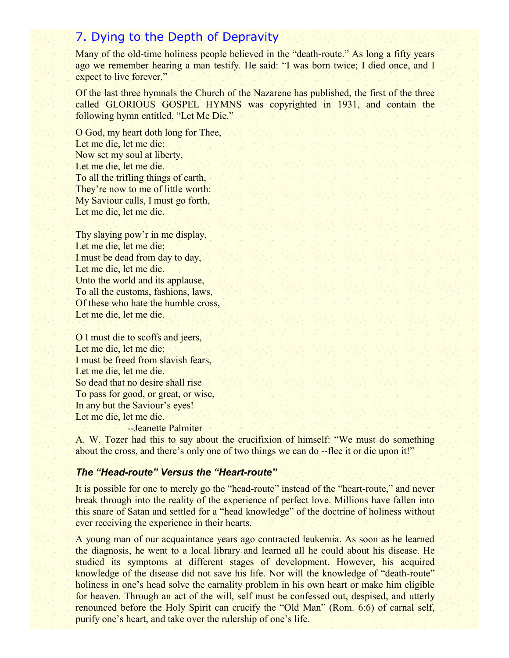# 7. Dying to the Depth of Depravity

Many of the old-time holiness people believed in the "death-route." As long a fifty years ago we remember hearing a man testify. He said: "I was born twice; I died once, and I expect to live forever."

Of the last three hymnals the Church of the Nazarene has published, the first of the three called GLORIOUS GOSPEL HYMNS was copyrighted in 1931, and contain the following hymn entitled, "Let Me Die."

O God, my heart doth long for Thee, Let me die, let me die; Now set my soul at liberty, Let me die, let me die. To all the trifling things of earth, They're now to me of little worth: My Saviour calls, I must go forth, Let me die, let me die.

Thy slaying pow'r in me display, Let me die, let me die; I must be dead from day to day, Let me die, let me die. Unto the world and its applause, To all the customs, fashions, laws, Of these who hate the humble cross, Let me die, let me die.

O I must die to scoffs and jeers, Let me die, let me die; I must be freed from slavish fears, Let me die, let me die. So dead that no desire shall rise To pass for good, or great, or wise, In any but the Saviour's eyes! Let me die, let me die.

--Jeanette Palmiter

A. W. Tozer had this to say about the crucifixion of himself: "We must do something about the cross, and there's only one of two things we can do --flee it or die upon it!"

# *The "Head-route" Versus the "Heart-route"*

It is possible for one to merely go the "head-route" instead of the "heart-route," and never break through into the reality of the experience of perfect love. Millions have fallen into this snare of Satan and settled for a "head knowledge" of the doctrine of holiness without ever receiving the experience in their hearts.

A young man of our acquaintance years ago contracted leukemia. As soon as he learned the diagnosis, he went to a local library and learned all he could about his disease. He studied its symptoms at different stages of development. However, his acquired knowledge of the disease did not save his life. Nor will the knowledge of "death-route" holiness in one's head solve the carnality problem in his own heart or make him eligible for heaven. Through an act of the will, self must be confessed out, despised, and utterly renounced before the Holy Spirit can crucify the "Old Man" (Rom. 6:6) of carnal self, purify one's heart, and take over the rulership of one's life.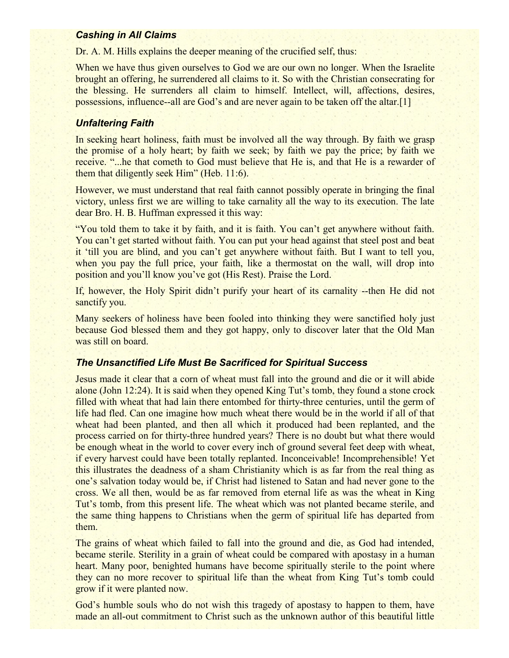#### *Cashing in All Claims*

Dr. A. M. Hills explains the deeper meaning of the crucified self, thus:

When we have thus given ourselves to God we are our own no longer. When the Israelite brought an offering, he surrendered all claims to it. So with the Christian consecrating for the blessing. He surrenders all claim to himself. Intellect, will, affections, desires, possessions, influence--all are God's and are never again to be taken off the altar.[1]

# *Unfaltering Faith*

In seeking heart holiness, faith must be involved all the way through. By faith we grasp the promise of a holy heart; by faith we seek; by faith we pay the price; by faith we receive. "...he that cometh to God must believe that He is, and that He is a rewarder of them that diligently seek Him" (Heb. 11:6).

However, we must understand that real faith cannot possibly operate in bringing the final victory, unless first we are willing to take carnality all the way to its execution. The late dear Bro. H. B. Huffman expressed it this way:

"You told them to take it by faith, and it is faith. You can't get anywhere without faith. You can't get started without faith. You can put your head against that steel post and beat it 'till you are blind, and you can't get anywhere without faith. But I want to tell you, when you pay the full price, your faith, like a thermostat on the wall, will drop into position and you'll know you've got (His Rest). Praise the Lord.

If, however, the Holy Spirit didn't purify your heart of its carnality --then He did not sanctify you.

Many seekers of holiness have been fooled into thinking they were sanctified holy just because God blessed them and they got happy, only to discover later that the Old Man was still on board.

### *The Unsanctified Life Must Be Sacrificed for Spiritual Success*

Jesus made it clear that a corn of wheat must fall into the ground and die or it will abide alone (John 12:24). It is said when they opened King Tut's tomb, they found a stone crock filled with wheat that had lain there entombed for thirty-three centuries, until the germ of life had fled. Can one imagine how much wheat there would be in the world if all of that wheat had been planted, and then all which it produced had been replanted, and the process carried on for thirty-three hundred years? There is no doubt but what there would be enough wheat in the world to cover every inch of ground several feet deep with wheat, if every harvest could have been totally replanted. Inconceivable! Incomprehensible! Yet this illustrates the deadness of a sham Christianity which is as far from the real thing as one's salvation today would be, if Christ had listened to Satan and had never gone to the cross. We all then, would be as far removed from eternal life as was the wheat in King Tut's tomb, from this present life. The wheat which was not planted became sterile, and the same thing happens to Christians when the germ of spiritual life has departed from them.

The grains of wheat which failed to fall into the ground and die, as God had intended, became sterile. Sterility in a grain of wheat could be compared with apostasy in a human heart. Many poor, benighted humans have become spiritually sterile to the point where they can no more recover to spiritual life than the wheat from King Tut's tomb could grow if it were planted now.

God's humble souls who do not wish this tragedy of apostasy to happen to them, have made an all-out commitment to Christ such as the unknown author of this beautiful little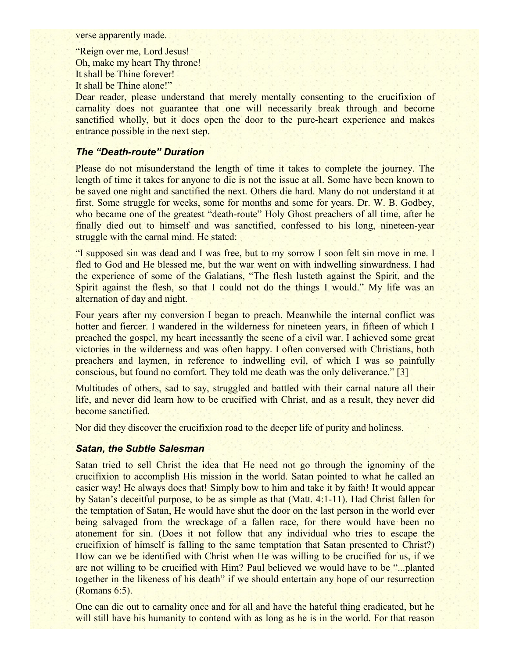verse apparently made.

"Reign over me, Lord Jesus! Oh, make my heart Thy throne! It shall be Thine forever! It shall be Thine alone!"

Dear reader, please understand that merely mentally consenting to the crucifixion of carnality does not guarantee that one will necessarily break through and become sanctified wholly, but it does open the door to the pure-heart experience and makes entrance possible in the next step.

# *The "Death-route" Duration*

Please do not misunderstand the length of time it takes to complete the journey. The length of time it takes for anyone to die is not the issue at all. Some have been known to be saved one night and sanctified the next. Others die hard. Many do not understand it at first. Some struggle for weeks, some for months and some for years. Dr. W. B. Godbey, who became one of the greatest "death-route" Holy Ghost preachers of all time, after he finally died out to himself and was sanctified, confessed to his long, nineteen-year struggle with the carnal mind. He stated:

"I supposed sin was dead and I was free, but to my sorrow I soon felt sin move in me. I fled to God and He blessed me, but the war went on with indwelling sinwardness. I had the experience of some of the Galatians, "The flesh lusteth against the Spirit, and the Spirit against the flesh, so that I could not do the things I would." My life was an alternation of day and night.

Four years after my conversion I began to preach. Meanwhile the internal conflict was hotter and fiercer. I wandered in the wilderness for nineteen years, in fifteen of which I preached the gospel, my heart incessantly the scene of a civil war. I achieved some great victories in the wilderness and was often happy. I often conversed with Christians, both preachers and laymen, in reference to indwelling evil, of which I was so painfully conscious, but found no comfort. They told me death was the only deliverance." [3]

Multitudes of others, sad to say, struggled and battled with their carnal nature all their life, and never did learn how to be crucified with Christ, and as a result, they never did become sanctified.

Nor did they discover the crucifixion road to the deeper life of purity and holiness.

### *Satan, the Subtle Salesman*

Satan tried to sell Christ the idea that He need not go through the ignominy of the crucifixion to accomplish His mission in the world. Satan pointed to what he called an easier way! He always does that! Simply bow to him and take it by faith! It would appear by Satan's deceitful purpose, to be as simple as that (Matt. 4:1-11). Had Christ fallen for the temptation of Satan, He would have shut the door on the last person in the world ever being salvaged from the wreckage of a fallen race, for there would have been no atonement for sin. (Does it not follow that any individual who tries to escape the crucifixion of himself is falling to the same temptation that Satan presented to Christ?) How can we be identified with Christ when He was willing to be crucified for us, if we are not willing to be crucified with Him? Paul believed we would have to be "...planted together in the likeness of his death" if we should entertain any hope of our resurrection (Romans 6:5).

One can die out to carnality once and for all and have the hateful thing eradicated, but he will still have his humanity to contend with as long as he is in the world. For that reason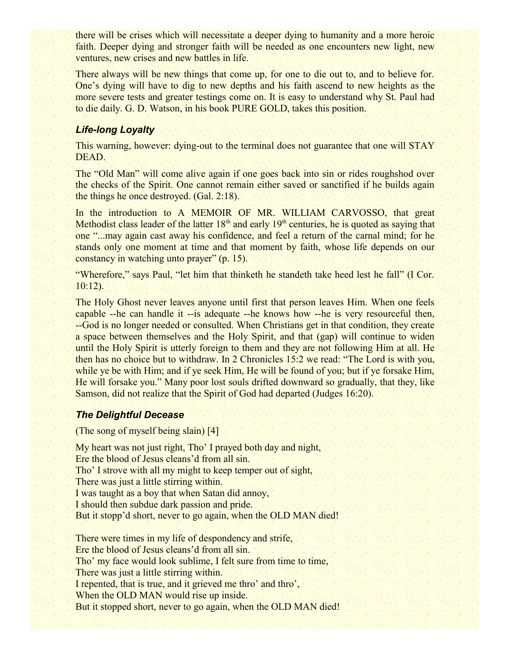there will be crises which will necessitate a deeper dying to humanity and a more heroic faith. Deeper dying and stronger faith will be needed as one encounters new light, new ventures, new crises and new battles in life.

There always will be new things that come up, for one to die out to, and to believe for. One's dying will have to dig to new depths and his faith ascend to new heights as the more severe tests and greater testings come on. It is easy to understand why St. Paul had to die daily. G. D. Watson, in his book PURE GOLD, takes this position.

# *Life-long Loyalty*

This warning, however: dying-out to the terminal does not guarantee that one will STAY DEAD.

The "Old Man" will come alive again if one goes back into sin or rides roughshod over the checks of the Spirit. One cannot remain either saved or sanctified if he builds again the things he once destroyed. (Gal. 2:18).

In the introduction to A MEMOIR OF MR. WILLIAM CARVOSSO, that great Methodist class leader of the latter  $18<sup>th</sup>$  and early  $19<sup>th</sup>$  centuries, he is quoted as saying that one "...may again cast away his confidence, and feel a return of the carnal mind; for he stands only one moment at time and that moment by faith, whose life depends on our constancy in watching unto prayer" (p. 15).

"Wherefore," says Paul, "let him that thinketh he standeth take heed lest he fall" (I Cor. 10:12).

The Holy Ghost never leaves anyone until first that person leaves Him. When one feels capable --he can handle it --is adequate --he knows how --he is very resourceful then, --God is no longer needed or consulted. When Christians get in that condition, they create a space between themselves and the Holy Spirit, and that (gap) will continue to widen until the Holy Spirit is utterly foreign to them and they are not following Him at all. He then has no choice but to withdraw. In 2 Chronicles 15:2 we read: "The Lord is with you, while ye be with Him; and if ye seek Him, He will be found of you; but if ye forsake Him, He will forsake you." Many poor lost souls drifted downward so gradually, that they, like Samson, did not realize that the Spirit of God had departed (Judges 16:20).

### *The Delightful Decease*

(The song of myself being slain) [4]

My heart was not just right, Tho' I prayed both day and night, Ere the blood of Jesus cleans'd from all sin. Tho' I strove with all my might to keep temper out of sight, There was just a little stirring within. I was taught as a boy that when Satan did annoy, I should then subdue dark passion and pride. But it stopp'd short, never to go again, when the OLD MAN died!

There were times in my life of despondency and strife, Ere the blood of Jesus cleans'd from all sin. Tho' my face would look sublime, I felt sure from time to time, There was just a little stirring within. I repented, that is true, and it grieved me thro' and thro', When the OLD MAN would rise up inside. But it stopped short, never to go again, when the OLD MAN died!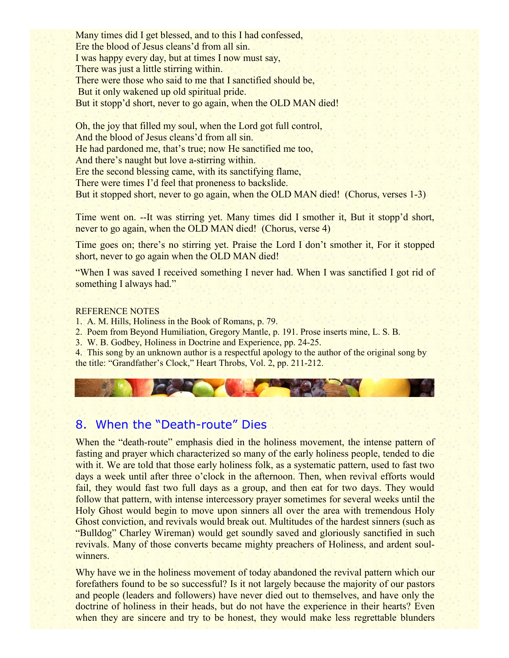Many times did I get blessed, and to this I had confessed, Ere the blood of Jesus cleans'd from all sin. I was happy every day, but at times I now must say, There was just a little stirring within. There were those who said to me that I sanctified should be, But it only wakened up old spiritual pride. But it stopp'd short, never to go again, when the OLD MAN died!

Oh, the joy that filled my soul, when the Lord got full control, And the blood of Jesus cleans'd from all sin. He had pardoned me, that's true; now He sanctified me too, And there's naught but love a-stirring within. Ere the second blessing came, with its sanctifying flame, There were times I'd feel that proneness to backslide. But it stopped short, never to go again, when the OLD MAN died! (Chorus, verses 1-3)

Time went on. --It was stirring yet. Many times did I smother it, But it stopp'd short, never to go again, when the OLD MAN died! (Chorus, verse 4)

Time goes on; there's no stirring yet. Praise the Lord I don't smother it, For it stopped short, never to go again when the OLD MAN died!

"When I was saved I received something I never had. When I was sanctified I got rid of something I always had."

#### REFERENCE NOTES

1. A. M. Hills, Holiness in the Book of Romans, p. 79.

2. Poem from Beyond Humiliation, Gregory Mantle, p. 191. Prose inserts mine, L. S. B.

3. W. B. Godbey, Holiness in Doctrine and Experience, pp. 24-25.

4. This song by an unknown author is a respectful apology to the author of the original song by the title: "Grandfather's Clock," Heart Throbs, Vol. 2, pp. 211-212.

# 8. When the "Death-route" Dies

When the "death-route" emphasis died in the holiness movement, the intense pattern of fasting and prayer which characterized so many of the early holiness people, tended to die with it. We are told that those early holiness folk, as a systematic pattern, used to fast two days a week until after three o'clock in the afternoon. Then, when revival efforts would fail, they would fast two full days as a group, and then eat for two days. They would follow that pattern, with intense intercessory prayer sometimes for several weeks until the Holy Ghost would begin to move upon sinners all over the area with tremendous Holy Ghost conviction, and revivals would break out. Multitudes of the hardest sinners (such as "Bulldog" Charley Wireman) would get soundly saved and gloriously sanctified in such revivals. Many of those converts became mighty preachers of Holiness, and ardent soulwinners.

Why have we in the holiness movement of today abandoned the revival pattern which our forefathers found to be so successful? Is it not largely because the majority of our pastors and people (leaders and followers) have never died out to themselves, and have only the doctrine of holiness in their heads, but do not have the experience in their hearts? Even when they are sincere and try to be honest, they would make less regrettable blunders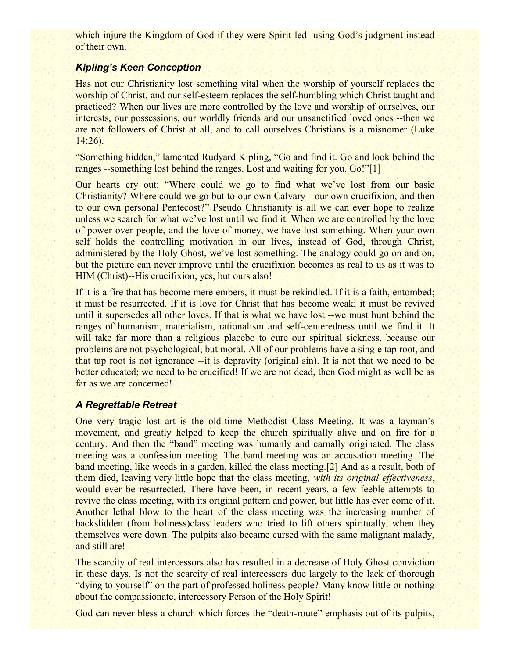which injure the Kingdom of God if they were Spirit-led -using God's judgment instead of their own.

# *Kipling's Keen Conception*

Has not our Christianity lost something vital when the worship of yourself replaces the worship of Christ, and our self-esteem replaces the self-humbling which Christ taught and practiced? When our lives are more controlled by the love and worship of ourselves, our interests, our possessions, our worldly friends and our unsanctified loved ones --then we are not followers of Christ at all, and to call ourselves Christians is a misnomer (Luke 14:26).

"Something hidden," lamented Rudyard Kipling, "Go and find it. Go and look behind the ranges --something lost behind the ranges. Lost and waiting for you. Go!"[1]

Our hearts cry out: "Where could we go to find what we've lost from our basic Christianity? Where could we go but to our own Calvary --our own crucifixion, and then to our own personal Pentecost?" Pseudo Christianity is all we can ever hope to realize unless we search for what we've lost until we find it. When we are controlled by the love of power over people, and the love of money, we have lost something. When your own self holds the controlling motivation in our lives, instead of God, through Christ, administered by the Holy Ghost, we've lost something. The analogy could go on and on, but the picture can never improve until the crucifixion becomes as real to us as it was to HIM (Christ)--His crucifixion, yes, but ours also!

If it is a fire that has become mere embers, it must be rekindled. If it is a faith, entombed; it must be resurrected. If it is love for Christ that has become weak; it must be revived until it supersedes all other loves. If that is what we have lost --we must hunt behind the ranges of humanism, materialism, rationalism and self-centeredness until we find it. It will take far more than a religious placebo to cure our spiritual sickness, because our problems are not psychological, but moral. All of our problems have a single tap root, and that tap root is not ignorance --it is depravity (original sin). It is not that we need to be better educated; we need to be crucified! If we are not dead, then God might as well be as far as we are concerned!

# *A Regrettable Retreat*

One very tragic lost art is the old-time Methodist Class Meeting. It was a layman's movement, and greatly helped to keep the church spiritually alive and on fire for a century. And then the "band" meeting was humanly and carnally originated. The class meeting was a confession meeting. The band meeting was an accusation meeting. The band meeting, like weeds in a garden, killed the class meeting.[2] And as a result, both of them died, leaving very little hope that the class meeting, *with its original effectiveness*, would ever be resurrected. There have been, in recent years, a few feeble attempts to revive the class meeting, with its original pattern and power, but little has ever come of it. Another lethal blow to the heart of the class meeting was the increasing number of backslidden (from holiness)class leaders who tried to lift others spiritually, when they themselves were down. The pulpits also became cursed with the same malignant malady, and still are!

The scarcity of real intercessors also has resulted in a decrease of Holy Ghost conviction in these days. Is not the scarcity of real intercessors due largely to the lack of thorough "dying to yourself" on the part of professed holiness people? Many know little or nothing about the compassionate, intercessory Person of the Holy Spirit!

God can never bless a church which forces the "death-route" emphasis out of its pulpits,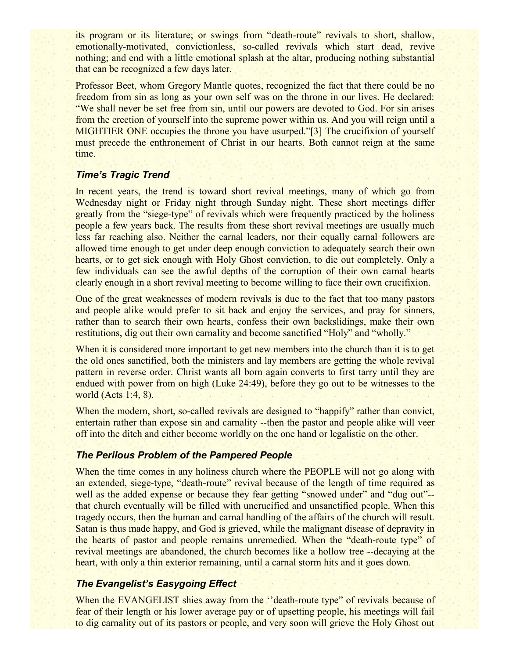its program or its literature; or swings from "death-route" revivals to short, shallow, emotionally-motivated, convictionless, so-called revivals which start dead, revive nothing; and end with a little emotional splash at the altar, producing nothing substantial that can be recognized a few days later.

Professor Beet, whom Gregory Mantle quotes, recognized the fact that there could be no freedom from sin as long as your own self was on the throne in our lives. He declared: "We shall never be set free from sin, until our powers are devoted to God. For sin arises from the erection of yourself into the supreme power within us. And you will reign until a MIGHTIER ONE occupies the throne you have usurped."[3] The crucifixion of yourself must precede the enthronement of Christ in our hearts. Both cannot reign at the same time.

### *Time's Tragic Trend*

In recent years, the trend is toward short revival meetings, many of which go from Wednesday night or Friday night through Sunday night. These short meetings differ greatly from the "siege-type" of revivals which were frequently practiced by the holiness people a few years back. The results from these short revival meetings are usually much less far reaching also. Neither the carnal leaders, nor their equally carnal followers are allowed time enough to get under deep enough conviction to adequately search their own hearts, or to get sick enough with Holy Ghost conviction, to die out completely. Only a few individuals can see the awful depths of the corruption of their own carnal hearts clearly enough in a short revival meeting to become willing to face their own crucifixion.

One of the great weaknesses of modern revivals is due to the fact that too many pastors and people alike would prefer to sit back and enjoy the services, and pray for sinners, rather than to search their own hearts, confess their own backslidings, make their own restitutions, dig out their own carnality and become sanctified "Holy" and "wholly."

When it is considered more important to get new members into the church than it is to get the old ones sanctified, both the ministers and lay members are getting the whole revival pattern in reverse order. Christ wants all born again converts to first tarry until they are endued with power from on high (Luke 24:49), before they go out to be witnesses to the world (Acts 1:4, 8).

When the modern, short, so-called revivals are designed to "happify" rather than convict, entertain rather than expose sin and carnality --then the pastor and people alike will veer off into the ditch and either become worldly on the one hand or legalistic on the other.

### *The Perilous Problem of the Pampered People*

When the time comes in any holiness church where the PEOPLE will not go along with an extended, siege-type, "death-route" revival because of the length of time required as well as the added expense or because they fear getting "snowed under" and "dug out"-that church eventually will be filled with uncrucified and unsanctified people. When this tragedy occurs, then the human and carnal handling of the affairs of the church will result. Satan is thus made happy, and God is grieved, while the malignant disease of depravity in the hearts of pastor and people remains unremedied. When the "death-route type" of revival meetings are abandoned, the church becomes like a hollow tree --decaying at the heart, with only a thin exterior remaining, until a carnal storm hits and it goes down.

# *The Evangelist's Easygoing Effect*

When the EVANGELIST shies away from the "death-route type" of revivals because of fear of their length or his lower average pay or of upsetting people, his meetings will fail to dig carnality out of its pastors or people, and very soon will grieve the Holy Ghost out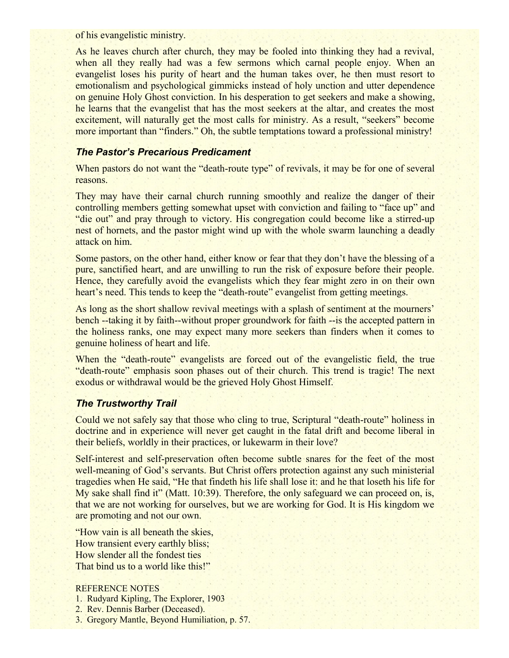of his evangelistic ministry.

As he leaves church after church, they may be fooled into thinking they had a revival, when all they really had was a few sermons which carnal people enjoy. When an evangelist loses his purity of heart and the human takes over, he then must resort to emotionalism and psychological gimmicks instead of holy unction and utter dependence on genuine Holy Ghost conviction. In his desperation to get seekers and make a showing, he learns that the evangelist that has the most seekers at the altar, and creates the most excitement, will naturally get the most calls for ministry. As a result, "seekers" become more important than "finders." Oh, the subtle temptations toward a professional ministry!

# *The Pastor's Precarious Predicament*

When pastors do not want the "death-route type" of revivals, it may be for one of several reasons.

They may have their carnal church running smoothly and realize the danger of their controlling members getting somewhat upset with conviction and failing to "face up" and "die out" and pray through to victory. His congregation could become like a stirred-up nest of hornets, and the pastor might wind up with the whole swarm launching a deadly attack on him.

Some pastors, on the other hand, either know or fear that they don't have the blessing of a pure, sanctified heart, and are unwilling to run the risk of exposure before their people. Hence, they carefully avoid the evangelists which they fear might zero in on their own heart's need. This tends to keep the "death-route" evangelist from getting meetings.

As long as the short shallow revival meetings with a splash of sentiment at the mourners' bench --taking it by faith--without proper groundwork for faith --is the accepted pattern in the holiness ranks, one may expect many more seekers than finders when it comes to genuine holiness of heart and life.

When the "death-route" evangelists are forced out of the evangelistic field, the true "death-route" emphasis soon phases out of their church. This trend is tragic! The next exodus or withdrawal would be the grieved Holy Ghost Himself.

# *The Trustworthy Trail*

Could we not safely say that those who cling to true, Scriptural "death-route" holiness in doctrine and in experience will never get caught in the fatal drift and become liberal in their beliefs, worldly in their practices, or lukewarm in their love?

Self-interest and self-preservation often become subtle snares for the feet of the most well-meaning of God's servants. But Christ offers protection against any such ministerial tragedies when He said, "He that findeth his life shall lose it: and he that loseth his life for My sake shall find it" (Matt. 10:39). Therefore, the only safeguard we can proceed on, is, that we are not working for ourselves, but we are working for God. It is His kingdom we are promoting and not our own.

"How vain is all beneath the skies, How transient every earthly bliss; How slender all the fondest ties That bind us to a world like this!"

### REFERENCE NOTES

- 1. Rudyard Kipling, The Explorer, 1903
- 2. Rev. Dennis Barber (Deceased).
- 3. Gregory Mantle, Beyond Humiliation, p. 57.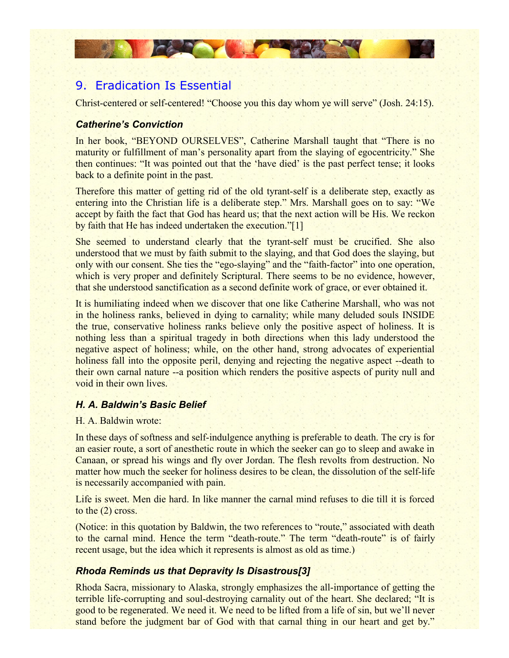# 9. Eradication Is Essential

**CARDY CARD** 

Christ-centered or self-centered! "Choose you this day whom ye will serve" (Josh. 24:15).

### *Catherine's Conviction*

In her book, "BEYOND OURSELVES", Catherine Marshall taught that "There is no maturity or fulfillment of man's personality apart from the slaying of egocentricity." She then continues: "It was pointed out that the 'have died' is the past perfect tense; it looks back to a definite point in the past.

Therefore this matter of getting rid of the old tyrant-self is a deliberate step, exactly as entering into the Christian life is a deliberate step." Mrs. Marshall goes on to say: "We accept by faith the fact that God has heard us; that the next action will be His. We reckon by faith that He has indeed undertaken the execution."[1]

She seemed to understand clearly that the tyrant-self must be crucified. She also understood that we must by faith submit to the slaying, and that God does the slaying, but only with our consent. She ties the "ego-slaying" and the "faith-factor" into one operation, which is very proper and definitely Scriptural. There seems to be no evidence, however, that she understood sanctification as a second definite work of grace, or ever obtained it.

It is humiliating indeed when we discover that one like Catherine Marshall, who was not in the holiness ranks, believed in dying to carnality; while many deluded souls INSIDE the true, conservative holiness ranks believe only the positive aspect of holiness. It is nothing less than a spiritual tragedy in both directions when this lady understood the negative aspect of holiness; while, on the other hand, strong advocates of experiential holiness fall into the opposite peril, denying and rejecting the negative aspect --death to their own carnal nature --a position which renders the positive aspects of purity null and void in their own lives.

### *H. A. Baldwin's Basic Belief*

#### H. A. Baldwin wrote:

In these days of softness and self-indulgence anything is preferable to death. The cry is for an easier route, a sort of anesthetic route in which the seeker can go to sleep and awake in Canaan, or spread his wings and fly over Jordan. The flesh revolts from destruction. No matter how much the seeker for holiness desires to be clean, the dissolution of the self-life is necessarily accompanied with pain.

Life is sweet. Men die hard. In like manner the carnal mind refuses to die till it is forced to the (2) cross.

(Notice: in this quotation by Baldwin, the two references to "route," associated with death to the carnal mind. Hence the term "death-route." The term "death-route" is of fairly recent usage, but the idea which it represents is almost as old as time.)

### *Rhoda Reminds us that Depravity Is Disastrous[3]*

Rhoda Sacra, missionary to Alaska, strongly emphasizes the all-importance of getting the terrible life-corrupting and soul-destroying carnality out of the heart. She declared; "It is good to be regenerated. We need it. We need to be lifted from a life of sin, but we'll never stand before the judgment bar of God with that carnal thing in our heart and get by."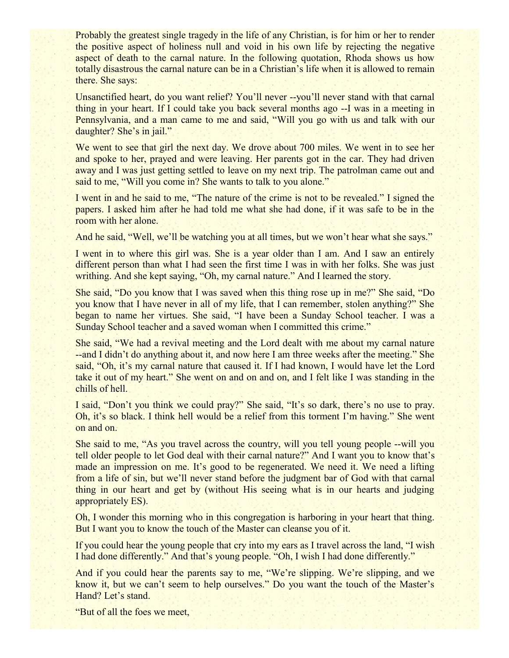Probably the greatest single tragedy in the life of any Christian, is for him or her to render the positive aspect of holiness null and void in his own life by rejecting the negative aspect of death to the carnal nature. In the following quotation, Rhoda shows us how totally disastrous the carnal nature can be in a Christian's life when it is allowed to remain there. She says:

Unsanctified heart, do you want relief? You'll never --you'll never stand with that carnal thing in your heart. If I could take you back several months ago --I was in a meeting in Pennsylvania, and a man came to me and said, "Will you go with us and talk with our daughter? She's in jail."

We went to see that girl the next day. We drove about 700 miles. We went in to see her and spoke to her, prayed and were leaving. Her parents got in the car. They had driven away and I was just getting settled to leave on my next trip. The patrolman came out and said to me, "Will you come in? She wants to talk to you alone."

I went in and he said to me, "The nature of the crime is not to be revealed." I signed the papers. I asked him after he had told me what she had done, if it was safe to be in the room with her alone.

And he said, "Well, we'll be watching you at all times, but we won't hear what she says."

I went in to where this girl was. She is a year older than I am. And I saw an entirely different person than what I had seen the first time I was in with her folks. She was just writhing. And she kept saying, "Oh, my carnal nature." And I learned the story.

She said, "Do you know that I was saved when this thing rose up in me?" She said, "Do you know that I have never in all of my life, that I can remember, stolen anything?" She began to name her virtues. She said, "I have been a Sunday School teacher. I was a Sunday School teacher and a saved woman when I committed this crime."

She said, "We had a revival meeting and the Lord dealt with me about my carnal nature --and I didn't do anything about it, and now here I am three weeks after the meeting." She said, "Oh, it's my carnal nature that caused it. If I had known, I would have let the Lord take it out of my heart." She went on and on and on, and I felt like I was standing in the chills of hell.

I said, "Don't you think we could pray?" She said, "It's so dark, there's no use to pray. Oh, it's so black. I think hell would be a relief from this torment I'm having." She went on and on.

She said to me, "As you travel across the country, will you tell young people --will you tell older people to let God deal with their carnal nature?" And I want you to know that's made an impression on me. It's good to be regenerated. We need it. We need a lifting from a life of sin, but we'll never stand before the judgment bar of God with that carnal thing in our heart and get by (without His seeing what is in our hearts and judging appropriately ES).

Oh, I wonder this morning who in this congregation is harboring in your heart that thing. But I want you to know the touch of the Master can cleanse you of it.

If you could hear the young people that cry into my ears as I travel across the land, "I wish I had done differently." And that's young people. "Oh, I wish I had done differently."

And if you could hear the parents say to me, "We're slipping. We're slipping, and we know it, but we can't seem to help ourselves." Do you want the touch of the Master's Hand? Let's stand.

"But of all the foes we meet,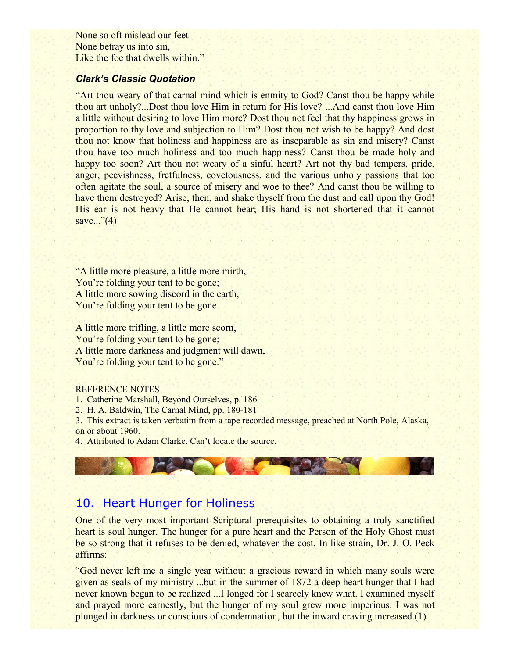None so oft mislead our feet-None betray us into sin, Like the foe that dwells within."

#### *Clark's Classic Quotation*

"Art thou weary of that carnal mind which is enmity to God? Canst thou be happy while thou art unholy?...Dost thou love Him in return for His love? ...And canst thou love Him a little without desiring to love Him more? Dost thou not feel that thy happiness grows in proportion to thy love and subjection to Him? Dost thou not wish to be happy? And dost thou not know that holiness and happiness are as inseparable as sin and misery? Canst thou have too much holiness and too much happiness? Canst thou be made holy and happy too soon? Art thou not weary of a sinful heart? Art not thy bad tempers, pride, anger, peevishness, fretfulness, covetousness, and the various unholy passions that too often agitate the soul, a source of misery and woe to thee? And canst thou be willing to have them destroyed? Arise, then, and shake thyself from the dust and call upon thy God! His ear is not heavy that He cannot hear; His hand is not shortened that it cannot save..." $(4)$ 

"A little more pleasure, a little more mirth, You're folding your tent to be gone; A little more sowing discord in the earth, You're folding your tent to be gone.

A little more trifling, a little more scorn, You're folding your tent to be gone; A little more darkness and judgment will dawn, You're folding your tent to be gone."

#### REFERENCE NOTES

1. Catherine Marshall, Beyond Ourselves, p. 186

2. H. A. Baldwin, The Carnal Mind, pp. 180-181

3. This extract is taken verbatim from a tape recorded message, preached at North Pole, Alaska, on or about 1960.

4. Attributed to Adam Clarke. Can't locate the source.

# 10. Heart Hunger for Holiness

One of the very most important Scriptural prerequisites to obtaining a truly sanctified heart is soul hunger. The hunger for a pure heart and the Person of the Holy Ghost must be so strong that it refuses to be denied, whatever the cost. In like strain, Dr. J. O. Peck affirms:

"God never left me a single year without a gracious reward in which many souls were given as seals of my ministry ...but in the summer of 1872 a deep heart hunger that I had never known began to be realized ...I longed for I scarcely knew what. I examined myself and prayed more earnestly, but the hunger of my soul grew more imperious. I was not plunged in darkness or conscious of condemnation, but the inward craving increased.(1)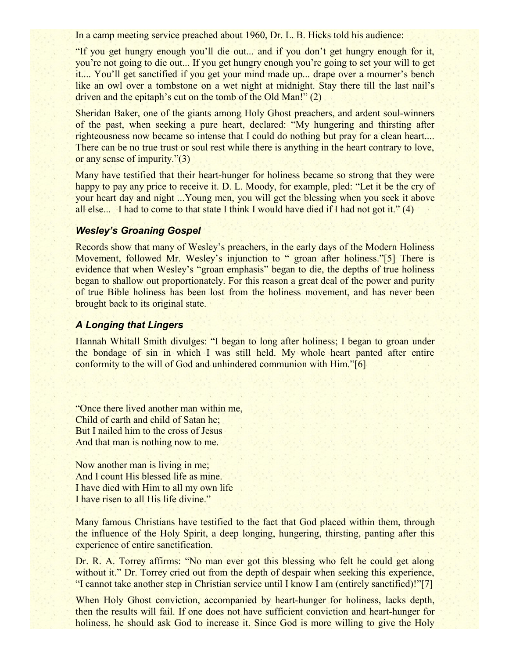In a camp meeting service preached about 1960, Dr. L. B. Hicks told his audience:

"If you get hungry enough you'll die out... and if you don't get hungry enough for it, you're not going to die out... If you get hungry enough you're going to set your will to get it.... You'll get sanctified if you get your mind made up... drape over a mourner's bench like an owl over a tombstone on a wet night at midnight. Stay there till the last nail's driven and the epitaph's cut on the tomb of the Old Man!" (2)

Sheridan Baker, one of the giants among Holy Ghost preachers, and ardent soul-winners of the past, when seeking a pure heart, declared: "My hungering and thirsting after righteousness now became so intense that I could do nothing but pray for a clean heart.... There can be no true trust or soul rest while there is anything in the heart contrary to love, or any sense of impurity."(3)

Many have testified that their heart-hunger for holiness became so strong that they were happy to pay any price to receive it. D. L. Moody, for example, pled: "Let it be the cry of your heart day and night ...Young men, you will get the blessing when you seek it above all else... I had to come to that state I think I would have died if I had not got it." (4)

### *Wesley's Groaning Gospel*

Records show that many of Wesley's preachers, in the early days of the Modern Holiness Movement, followed Mr. Wesley's injunction to " groan after holiness."[5] There is evidence that when Wesley's "groan emphasis" began to die, the depths of true holiness began to shallow out proportionately. For this reason a great deal of the power and purity of true Bible holiness has been lost from the holiness movement, and has never been brought back to its original state.

# *A Longing that Lingers*

Hannah Whitall Smith divulges: "I began to long after holiness; I began to groan under the bondage of sin in which I was still held. My whole heart panted after entire conformity to the will of God and unhindered communion with Him."[6]

"Once there lived another man within me, Child of earth and child of Satan he; But I nailed him to the cross of Jesus And that man is nothing now to me.

Now another man is living in me; And I count His blessed life as mine. I have died with Him to all my own life I have risen to all His life divine."

Many famous Christians have testified to the fact that God placed within them, through the influence of the Holy Spirit, a deep longing, hungering, thirsting, panting after this experience of entire sanctification.

Dr. R. A. Torrey affirms: "No man ever got this blessing who felt he could get along without it." Dr. Torrey cried out from the depth of despair when seeking this experience, "I cannot take another step in Christian service until I know I am (entirely sanctified)!"[7]

When Holy Ghost conviction, accompanied by heart-hunger for holiness, lacks depth, then the results will fail. If one does not have sufficient conviction and heart-hunger for holiness, he should ask God to increase it. Since God is more willing to give the Holy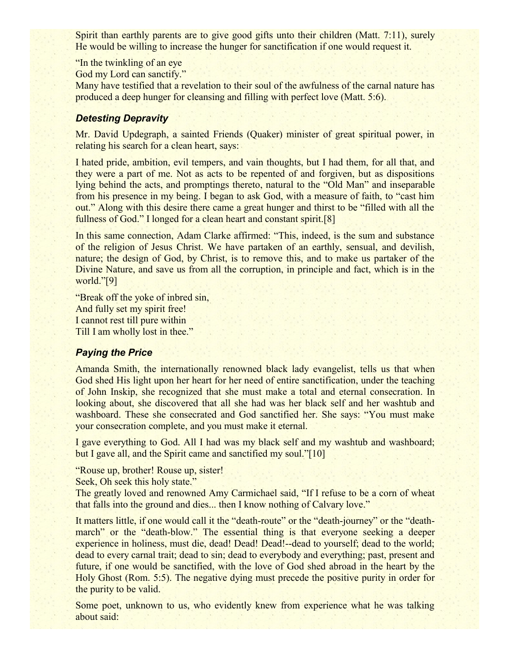Spirit than earthly parents are to give good gifts unto their children (Matt. 7:11), surely He would be willing to increase the hunger for sanctification if one would request it.

"In the twinkling of an eye

God my Lord can sanctify."

Many have testified that a revelation to their soul of the awfulness of the carnal nature has produced a deep hunger for cleansing and filling with perfect love (Matt. 5:6).

# *Detesting Depravity*

Mr. David Updegraph, a sainted Friends (Quaker) minister of great spiritual power, in relating his search for a clean heart, says:

I hated pride, ambition, evil tempers, and vain thoughts, but I had them, for all that, and they were a part of me. Not as acts to be repented of and forgiven, but as dispositions lying behind the acts, and promptings thereto, natural to the "Old Man" and inseparable from his presence in my being. I began to ask God, with a measure of faith, to "cast him out." Along with this desire there came a great hunger and thirst to be "filled with all the fullness of God." I longed for a clean heart and constant spirit.[8]

In this same connection, Adam Clarke affirmed: "This, indeed, is the sum and substance of the religion of Jesus Christ. We have partaken of an earthly, sensual, and devilish, nature; the design of God, by Christ, is to remove this, and to make us partaker of the Divine Nature, and save us from all the corruption, in principle and fact, which is in the world."[9]

"Break off the yoke of inbred sin, And fully set my spirit free! I cannot rest till pure within Till I am wholly lost in thee."

# *Paying the Price*

Amanda Smith, the internationally renowned black lady evangelist, tells us that when God shed His light upon her heart for her need of entire sanctification, under the teaching of John Inskip, she recognized that she must make a total and eternal consecration. In looking about, she discovered that all she had was her black self and her washtub and washboard. These she consecrated and God sanctified her. She says: "You must make your consecration complete, and you must make it eternal.

I gave everything to God. All I had was my black self and my washtub and washboard; but I gave all, and the Spirit came and sanctified my soul."[10]

"Rouse up, brother! Rouse up, sister!

Seek, Oh seek this holy state."

The greatly loved and renowned Amy Carmichael said, "If I refuse to be a corn of wheat that falls into the ground and dies... then I know nothing of Calvary love."

It matters little, if one would call it the "death-route" or the "death-journey" or the "deathmarch" or the "death-blow." The essential thing is that everyone seeking a deeper experience in holiness, must die, dead! Dead! Dead!--dead to yourself; dead to the world; dead to every carnal trait; dead to sin; dead to everybody and everything; past, present and future, if one would be sanctified, with the love of God shed abroad in the heart by the Holy Ghost (Rom. 5:5). The negative dying must precede the positive purity in order for the purity to be valid.

Some poet, unknown to us, who evidently knew from experience what he was talking about said: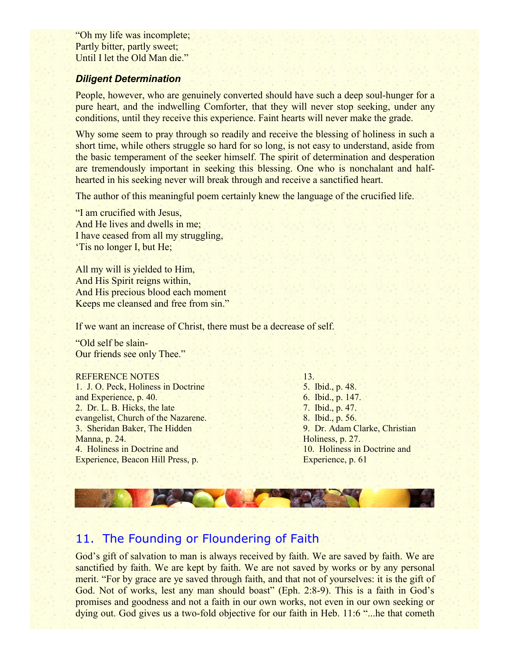"Oh my life was incomplete; Partly bitter, partly sweet; Until I let the Old Man die."

#### *Diligent Determination*

People, however, who are genuinely converted should have such a deep soul-hunger for a pure heart, and the indwelling Comforter, that they will never stop seeking, under any conditions, until they receive this experience. Faint hearts will never make the grade.

Why some seem to pray through so readily and receive the blessing of holiness in such a short time, while others struggle so hard for so long, is not easy to understand, aside from the basic temperament of the seeker himself. The spirit of determination and desperation are tremendously important in seeking this blessing. One who is nonchalant and halfhearted in his seeking never will break through and receive a sanctified heart.

The author of this meaningful poem certainly knew the language of the crucified life.

"I am crucified with Jesus, And He lives and dwells in me; I have ceased from all my struggling, 'Tis no longer I, but He;

All my will is yielded to Him, And His Spirit reigns within, And His precious blood each moment Keeps me cleansed and free from sin."

If we want an increase of Christ, there must be a decrease of self.

"Old self be slain-Our friends see only Thee."

#### REFERENCE NOTES

1. J. O. Peck, Holiness in Doctrine and Experience, p. 40. 2. Dr. L. B. Hicks, the late evangelist, Church of the Nazarene. 3. Sheridan Baker, The Hidden Manna, p. 24. 4. Holiness in Doctrine and Experience, Beacon Hill Press, p.

13. 5. Ibid., p. 48. 6. Ibid., p. 147. 7. Ibid., p. 47. 8. Ibid., p. 56. 9. Dr. Adam Clarke, Christian Holiness, p. 27. 10. Holiness in Doctrine and Experience, p. 61

# 11. The Founding or Floundering of Faith

God's gift of salvation to man is always received by faith. We are saved by faith. We are sanctified by faith. We are kept by faith. We are not saved by works or by any personal merit. "For by grace are ye saved through faith, and that not of yourselves: it is the gift of God. Not of works, lest any man should boast" (Eph. 2:8-9). This is a faith in God's promises and goodness and not a faith in our own works, not even in our own seeking or dying out. God gives us a two-fold objective for our faith in Heb. 11:6 "...he that cometh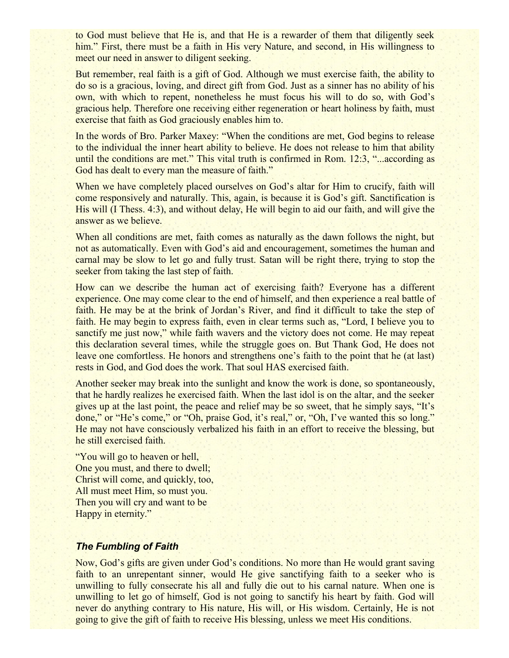to God must believe that He is, and that He is a rewarder of them that diligently seek him." First, there must be a faith in His very Nature, and second, in His willingness to meet our need in answer to diligent seeking.

But remember, real faith is a gift of God. Although we must exercise faith, the ability to do so is a gracious, loving, and direct gift from God. Just as a sinner has no ability of his own, with which to repent, nonetheless he must focus his will to do so, with God's gracious help. Therefore one receiving either regeneration or heart holiness by faith, must exercise that faith as God graciously enables him to.

In the words of Bro. Parker Maxey: "When the conditions are met, God begins to release to the individual the inner heart ability to believe. He does not release to him that ability until the conditions are met." This vital truth is confirmed in Rom. 12:3, "...according as God has dealt to every man the measure of faith."

When we have completely placed ourselves on God's altar for Him to crucify, faith will come responsively and naturally. This, again, is because it is God's gift. Sanctification is His will (I Thess. 4:3), and without delay, He will begin to aid our faith, and will give the answer as we believe.

When all conditions are met, faith comes as naturally as the dawn follows the night, but not as automatically. Even with God's aid and encouragement, sometimes the human and carnal may be slow to let go and fully trust. Satan will be right there, trying to stop the seeker from taking the last step of faith.

How can we describe the human act of exercising faith? Everyone has a different experience. One may come clear to the end of himself, and then experience a real battle of faith. He may be at the brink of Jordan's River, and find it difficult to take the step of faith. He may begin to express faith, even in clear terms such as, "Lord, I believe you to sanctify me just now," while faith wavers and the victory does not come. He may repeat this declaration several times, while the struggle goes on. But Thank God, He does not leave one comfortless. He honors and strengthens one's faith to the point that he (at last) rests in God, and God does the work. That soul HAS exercised faith.

Another seeker may break into the sunlight and know the work is done, so spontaneously, that he hardly realizes he exercised faith. When the last idol is on the altar, and the seeker gives up at the last point, the peace and relief may be so sweet, that he simply says, "It's done," or "He's come," or "Oh, praise God, it's real," or, "Oh, I've wanted this so long." He may not have consciously verbalized his faith in an effort to receive the blessing, but he still exercised faith.

"You will go to heaven or hell, One you must, and there to dwell; Christ will come, and quickly, too, All must meet Him, so must you. Then you will cry and want to be Happy in eternity."

### *The Fumbling of Faith*

Now, God's gifts are given under God's conditions. No more than He would grant saving faith to an unrepentant sinner, would He give sanctifying faith to a seeker who is unwilling to fully consecrate his all and fully die out to his carnal nature. When one is unwilling to let go of himself, God is not going to sanctify his heart by faith. God will never do anything contrary to His nature, His will, or His wisdom. Certainly, He is not going to give the gift of faith to receive His blessing, unless we meet His conditions.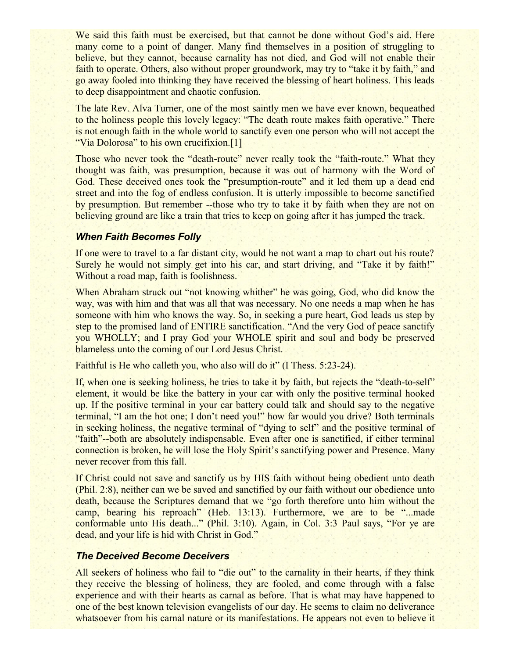We said this faith must be exercised, but that cannot be done without God's aid. Here many come to a point of danger. Many find themselves in a position of struggling to believe, but they cannot, because carnality has not died, and God will not enable their faith to operate. Others, also without proper groundwork, may try to "take it by faith," and go away fooled into thinking they have received the blessing of heart holiness. This leads to deep disappointment and chaotic confusion.

The late Rev. Alva Turner, one of the most saintly men we have ever known, bequeathed to the holiness people this lovely legacy: "The death route makes faith operative." There is not enough faith in the whole world to sanctify even one person who will not accept the "Via Dolorosa" to his own crucifixion.[1]

Those who never took the "death-route" never really took the "faith-route." What they thought was faith, was presumption, because it was out of harmony with the Word of God. These deceived ones took the "presumption-route" and it led them up a dead end street and into the fog of endless confusion. It is utterly impossible to become sanctified by presumption. But remember --those who try to take it by faith when they are not on believing ground are like a train that tries to keep on going after it has jumped the track.

#### *When Faith Becomes Folly*

If one were to travel to a far distant city, would he not want a map to chart out his route? Surely he would not simply get into his car, and start driving, and "Take it by faith!" Without a road map, faith is foolishness.

When Abraham struck out "not knowing whither" he was going, God, who did know the way, was with him and that was all that was necessary. No one needs a map when he has someone with him who knows the way. So, in seeking a pure heart, God leads us step by step to the promised land of ENTIRE sanctification. "And the very God of peace sanctify you WHOLLY; and I pray God your WHOLE spirit and soul and body be preserved blameless unto the coming of our Lord Jesus Christ.

Faithful is He who calleth you, who also will do it" (I Thess. 5:23-24).

If, when one is seeking holiness, he tries to take it by faith, but rejects the "death-to-self" element, it would be like the battery in your car with only the positive terminal hooked up. If the positive terminal in your car battery could talk and should say to the negative terminal, "I am the hot one; I don't need you!" how far would you drive? Both terminals in seeking holiness, the negative terminal of "dying to self" and the positive terminal of "faith"--both are absolutely indispensable. Even after one is sanctified, if either terminal connection is broken, he will lose the Holy Spirit's sanctifying power and Presence. Many never recover from this fall.

If Christ could not save and sanctify us by HIS faith without being obedient unto death (Phil. 2:8), neither can we be saved and sanctified by our faith without our obedience unto death, because the Scriptures demand that we "go forth therefore unto him without the camp, bearing his reproach" (Heb. 13:13). Furthermore, we are to be "...made conformable unto His death..." (Phil. 3:10). Again, in Col. 3:3 Paul says, "For ye are dead, and your life is hid with Christ in God."

#### *The Deceived Become Deceivers*

All seekers of holiness who fail to "die out" to the carnality in their hearts, if they think they receive the blessing of holiness, they are fooled, and come through with a false experience and with their hearts as carnal as before. That is what may have happened to one of the best known television evangelists of our day. He seems to claim no deliverance whatsoever from his carnal nature or its manifestations. He appears not even to believe it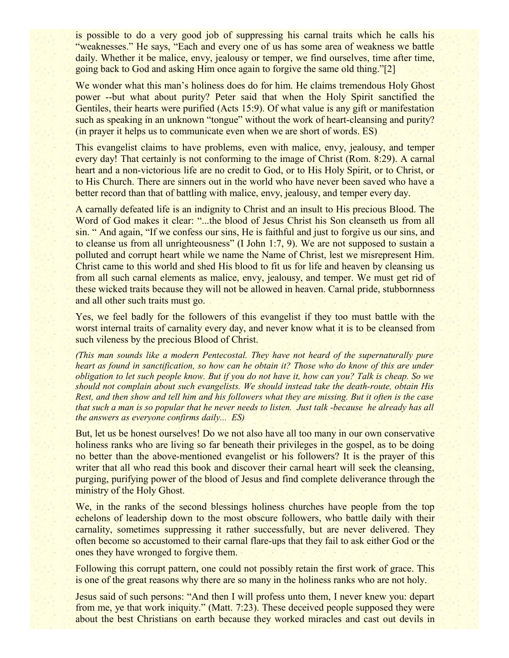is possible to do a very good job of suppressing his carnal traits which he calls his "weaknesses." He says, "Each and every one of us has some area of weakness we battle daily. Whether it be malice, envy, jealousy or temper, we find ourselves, time after time, going back to God and asking Him once again to forgive the same old thing."[2]

We wonder what this man's holiness does do for him. He claims tremendous Holy Ghost power --but what about purity? Peter said that when the Holy Spirit sanctified the Gentiles, their hearts were purified (Acts 15:9). Of what value is any gift or manifestation such as speaking in an unknown "tongue" without the work of heart-cleansing and purity? (in prayer it helps us to communicate even when we are short of words. ES)

This evangelist claims to have problems, even with malice, envy, jealousy, and temper every day! That certainly is not conforming to the image of Christ (Rom. 8:29). A carnal heart and a non-victorious life are no credit to God, or to His Holy Spirit, or to Christ, or to His Church. There are sinners out in the world who have never been saved who have a better record than that of battling with malice, envy, jealousy, and temper every day.

A carnally defeated life is an indignity to Christ and an insult to His precious Blood. The Word of God makes it clear: "...the blood of Jesus Christ his Son cleanseth us from all sin. " And again, "If we confess our sins, He is faithful and just to forgive us our sins, and to cleanse us from all unrighteousness" (I John 1:7, 9). We are not supposed to sustain a polluted and corrupt heart while we name the Name of Christ, lest we misrepresent Him. Christ came to this world and shed His blood to fit us for life and heaven by cleansing us from all such carnal elements as malice, envy, jealousy, and temper. We must get rid of these wicked traits because they will not be allowed in heaven. Carnal pride, stubbornness and all other such traits must go.

Yes, we feel badly for the followers of this evangelist if they too must battle with the worst internal traits of carnality every day, and never know what it is to be cleansed from such vileness by the precious Blood of Christ.

*(This man sounds like a modern Pentecostal. They have not heard of the supernaturally pure heart as found in sanctification, so how can he obtain it? Those who do know of this are under obligation to let such people know. But if you do not have it, how can you? Talk is cheap. So we should not complain about such evangelists. We should instead take the death-route, obtain His Rest, and then show and tell him and his followers what they are missing. But it often is the case that such a man is so popular that he never needs to listen. Just talk -because he already has all the answers as everyone confirms daily... ES)*

But, let us be honest ourselves! Do we not also have all too many in our own conservative holiness ranks who are living so far beneath their privileges in the gospel, as to be doing no better than the above-mentioned evangelist or his followers? It is the prayer of this writer that all who read this book and discover their carnal heart will seek the cleansing, purging, purifying power of the blood of Jesus and find complete deliverance through the ministry of the Holy Ghost.

We, in the ranks of the second blessings holiness churches have people from the top echelons of leadership down to the most obscure followers, who battle daily with their carnality, sometimes suppressing it rather successfully, but are never delivered. They often become so accustomed to their carnal flare-ups that they fail to ask either God or the ones they have wronged to forgive them.

Following this corrupt pattern, one could not possibly retain the first work of grace. This is one of the great reasons why there are so many in the holiness ranks who are not holy.

Jesus said of such persons: "And then I will profess unto them, I never knew you: depart from me, ye that work iniquity." (Matt. 7:23). These deceived people supposed they were about the best Christians on earth because they worked miracles and cast out devils in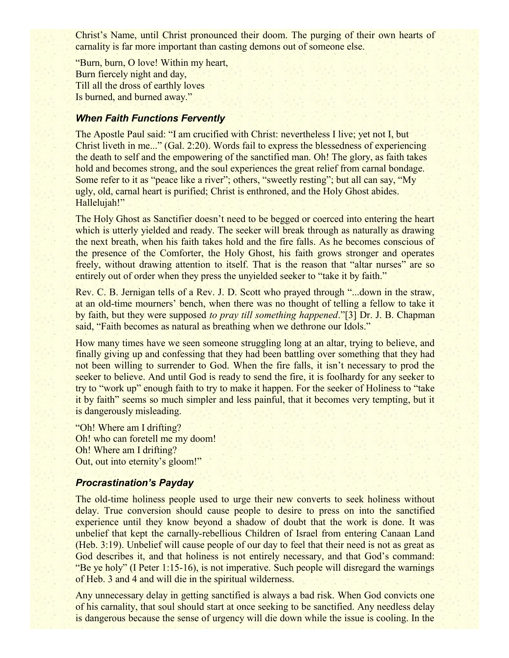Christ's Name, until Christ pronounced their doom. The purging of their own hearts of carnality is far more important than casting demons out of someone else.

"Burn, burn, O love! Within my heart, Burn fiercely night and day, Till all the dross of earthly loves Is burned, and burned away."

# *When Faith Functions Fervently*

The Apostle Paul said: "I am crucified with Christ: nevertheless I live; yet not I, but Christ liveth in me..." (Gal. 2:20). Words fail to express the blessedness of experiencing the death to self and the empowering of the sanctified man. Oh! The glory, as faith takes hold and becomes strong, and the soul experiences the great relief from carnal bondage. Some refer to it as "peace like a river"; others, "sweetly resting"; but all can say, "My ugly, old, carnal heart is purified; Christ is enthroned, and the Holy Ghost abides. Hallelujah!"

The Holy Ghost as Sanctifier doesn't need to be begged or coerced into entering the heart which is utterly yielded and ready. The seeker will break through as naturally as drawing the next breath, when his faith takes hold and the fire falls. As he becomes conscious of the presence of the Comforter, the Holy Ghost, his faith grows stronger and operates freely, without drawing attention to itself. That is the reason that "altar nurses" are so entirely out of order when they press the unyielded seeker to "take it by faith."

Rev. C. B. Jernigan tells of a Rev. J. D. Scott who prayed through "...down in the straw, at an old-time mourners' bench, when there was no thought of telling a fellow to take it by faith, but they were supposed *to pray till something happened*."[3] Dr. J. B. Chapman said, "Faith becomes as natural as breathing when we dethrone our Idols."

How many times have we seen someone struggling long at an altar, trying to believe, and finally giving up and confessing that they had been battling over something that they had not been willing to surrender to God. When the fire falls, it isn't necessary to prod the seeker to believe. And until God is ready to send the fire, it is foolhardy for any seeker to try to "work up" enough faith to try to make it happen. For the seeker of Holiness to "take it by faith" seems so much simpler and less painful, that it becomes very tempting, but it is dangerously misleading.

"Oh! Where am I drifting? Oh! who can foretell me my doom! Oh! Where am I drifting? Out, out into eternity's gloom!"

### *Procrastination's Payday*

The old-time holiness people used to urge their new converts to seek holiness without delay. True conversion should cause people to desire to press on into the sanctified experience until they know beyond a shadow of doubt that the work is done. It was unbelief that kept the carnally-rebellious Children of Israel from entering Canaan Land (Heb. 3:19). Unbelief will cause people of our day to feel that their need is not as great as God describes it, and that holiness is not entirely necessary, and that God's command: "Be ye holy" (I Peter 1:15-16), is not imperative. Such people will disregard the warnings of Heb. 3 and 4 and will die in the spiritual wilderness.

Any unnecessary delay in getting sanctified is always a bad risk. When God convicts one of his carnality, that soul should start at once seeking to be sanctified. Any needless delay is dangerous because the sense of urgency will die down while the issue is cooling. In the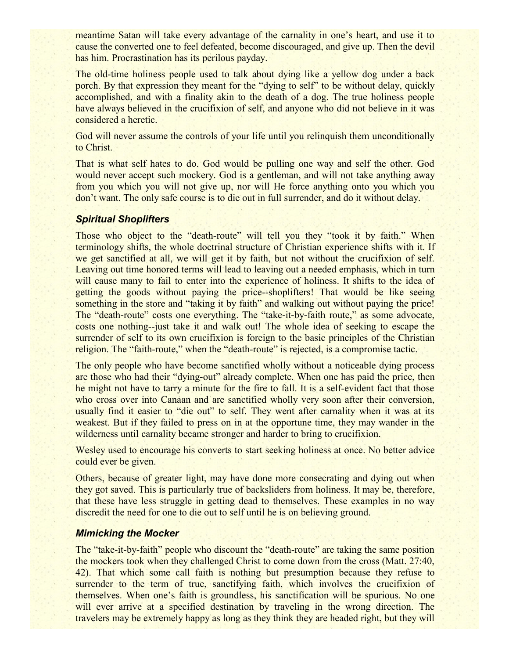meantime Satan will take every advantage of the carnality in one's heart, and use it to cause the converted one to feel defeated, become discouraged, and give up. Then the devil has him. Procrastination has its perilous payday.

The old-time holiness people used to talk about dying like a yellow dog under a back porch. By that expression they meant for the "dying to self" to be without delay, quickly accomplished, and with a finality akin to the death of a dog. The true holiness people have always believed in the crucifixion of self, and anyone who did not believe in it was considered a heretic.

God will never assume the controls of your life until you relinquish them unconditionally to Christ.

That is what self hates to do. God would be pulling one way and self the other. God would never accept such mockery. God is a gentleman, and will not take anything away from you which you will not give up, nor will He force anything onto you which you don't want. The only safe course is to die out in full surrender, and do it without delay.

### *Spiritual Shoplifters*

Those who object to the "death-route" will tell you they "took it by faith." When terminology shifts, the whole doctrinal structure of Christian experience shifts with it. If we get sanctified at all, we will get it by faith, but not without the crucifixion of self. Leaving out time honored terms will lead to leaving out a needed emphasis, which in turn will cause many to fail to enter into the experience of holiness. It shifts to the idea of getting the goods without paying the price--shoplifters! That would be like seeing something in the store and "taking it by faith" and walking out without paying the price! The "death-route" costs one everything. The "take-it-by-faith route," as some advocate, costs one nothing--just take it and walk out! The whole idea of seeking to escape the surrender of self to its own crucifixion is foreign to the basic principles of the Christian religion. The "faith-route," when the "death-route" is rejected, is a compromise tactic.

The only people who have become sanctified wholly without a noticeable dying process are those who had their "dying-out" already complete. When one has paid the price, then he might not have to tarry a minute for the fire to fall. It is a self-evident fact that those who cross over into Canaan and are sanctified wholly very soon after their conversion, usually find it easier to "die out" to self. They went after carnality when it was at its weakest. But if they failed to press on in at the opportune time, they may wander in the wilderness until carnality became stronger and harder to bring to crucifixion.

Wesley used to encourage his converts to start seeking holiness at once. No better advice could ever be given.

Others, because of greater light, may have done more consecrating and dying out when they got saved. This is particularly true of backsliders from holiness. It may be, therefore, that these have less struggle in getting dead to themselves. These examples in no way discredit the need for one to die out to self until he is on believing ground.

### *Mimicking the Mocker*

The "take-it-by-faith" people who discount the "death-route" are taking the same position the mockers took when they challenged Christ to come down from the cross (Matt. 27:40, 42). That which some call faith is nothing but presumption because they refuse to surrender to the term of true, sanctifying faith, which involves the crucifixion of themselves. When one's faith is groundless, his sanctification will be spurious. No one will ever arrive at a specified destination by traveling in the wrong direction. The travelers may be extremely happy as long as they think they are headed right, but they will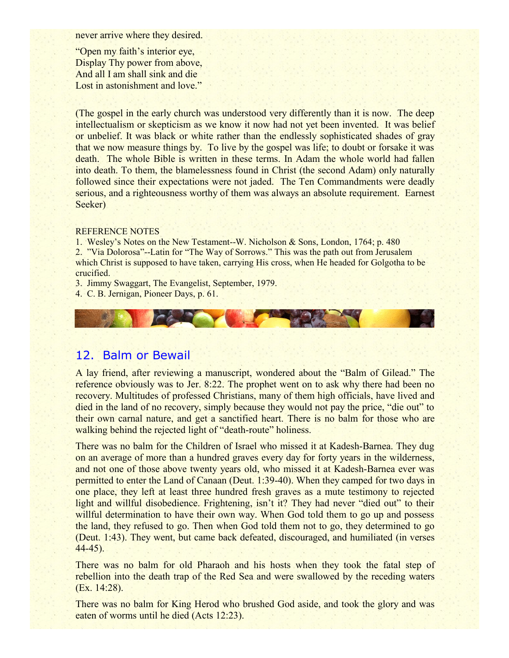never arrive where they desired.

"Open my faith's interior eye, Display Thy power from above, And all I am shall sink and die Lost in astonishment and love."

(The gospel in the early church was understood very differently than it is now. The deep intellectualism or skepticism as we know it now had not yet been invented. It was belief or unbelief. It was black or white rather than the endlessly sophisticated shades of gray that we now measure things by. To live by the gospel was life; to doubt or forsake it was death. The whole Bible is written in these terms. In Adam the whole world had fallen into death. To them, the blamelessness found in Christ (the second Adam) only naturally followed since their expectations were not jaded. The Ten Commandments were deadly serious, and a righteousness worthy of them was always an absolute requirement. Earnest Seeker)

#### REFERENCE NOTES

1. Wesley's Notes on the New Testament--W. Nicholson & Sons, London, 1764; p. 480 2. "Via Dolorosa"--Latin for "The Way of Sorrows." This was the path out from Jerusalem which Christ is supposed to have taken, carrying His cross, when He headed for Golgotha to be crucified.

3. Jimmy Swaggart, The Evangelist, September, 1979.

4. C. B. Jernigan, Pioneer Days, p. 61.



# 12. Balm or Bewail

A lay friend, after reviewing a manuscript, wondered about the "Balm of Gilead." The reference obviously was to Jer. 8:22. The prophet went on to ask why there had been no recovery. Multitudes of professed Christians, many of them high officials, have lived and died in the land of no recovery, simply because they would not pay the price, "die out" to their own carnal nature, and get a sanctified heart. There is no balm for those who are walking behind the rejected light of "death-route" holiness.

There was no balm for the Children of Israel who missed it at Kadesh-Barnea. They dug on an average of more than a hundred graves every day for forty years in the wilderness, and not one of those above twenty years old, who missed it at Kadesh-Barnea ever was permitted to enter the Land of Canaan (Deut. 1:39-40). When they camped for two days in one place, they left at least three hundred fresh graves as a mute testimony to rejected light and willful disobedience. Frightening, isn't it? They had never "died out" to their willful determination to have their own way. When God told them to go up and possess the land, they refused to go. Then when God told them not to go, they determined to go (Deut. 1:43). They went, but came back defeated, discouraged, and humiliated (in verses 44-45).

There was no balm for old Pharaoh and his hosts when they took the fatal step of rebellion into the death trap of the Red Sea and were swallowed by the receding waters (Ex. 14:28).

There was no balm for King Herod who brushed God aside, and took the glory and was eaten of worms until he died (Acts 12:23).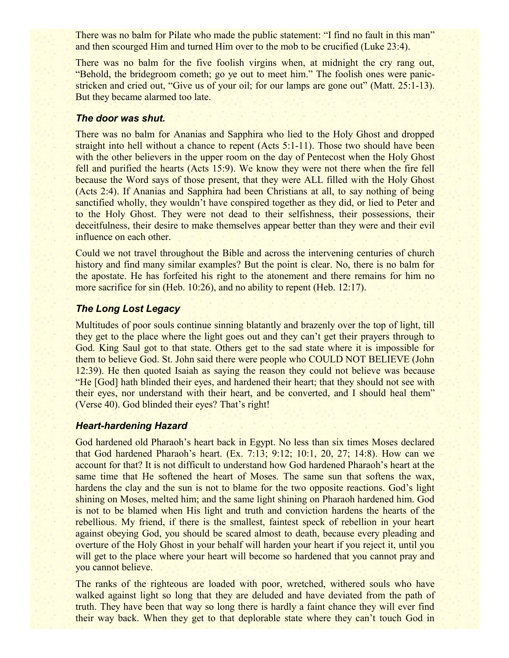There was no balm for Pilate who made the public statement: "I find no fault in this man" and then scourged Him and turned Him over to the mob to be crucified (Luke 23:4).

There was no balm for the five foolish virgins when, at midnight the cry rang out, "Behold, the bridegroom cometh; go ye out to meet him." The foolish ones were panicstricken and cried out, "Give us of your oil; for our lamps are gone out" (Matt. 25:1-13). But they became alarmed too late.

#### *The door was shut.*

There was no balm for Ananias and Sapphira who lied to the Holy Ghost and dropped straight into hell without a chance to repent (Acts 5:1-11). Those two should have been with the other believers in the upper room on the day of Pentecost when the Holy Ghost fell and purified the hearts (Acts 15:9). We know they were not there when the fire fell because the Word says of those present, that they were ALL filled with the Holy Ghost (Acts 2:4). If Ananias and Sapphira had been Christians at all, to say nothing of being sanctified wholly, they wouldn't have conspired together as they did, or lied to Peter and to the Holy Ghost. They were not dead to their selfishness, their possessions, their deceitfulness, their desire to make themselves appear better than they were and their evil influence on each other.

Could we not travel throughout the Bible and across the intervening centuries of church history and find many similar examples? But the point is clear. No, there is no balm for the apostate. He has forfeited his right to the atonement and there remains for him no more sacrifice for sin (Heb. 10:26), and no ability to repent (Heb. 12:17).

# *The Long Lost Legacy*

Multitudes of poor souls continue sinning blatantly and brazenly over the top of light, till they get to the place where the light goes out and they can't get their prayers through to God. King Saul got to that state. Others get to the sad state where it is impossible for them to believe God. St. John said there were people who COULD NOT BELIEVE (John 12:39). He then quoted Isaiah as saying the reason they could not believe was because "He [God] hath blinded their eyes, and hardened their heart; that they should not see with their eyes, nor understand with their heart, and be converted, and I should heal them" (Verse 40). God blinded their eyes? That's right!

#### *Heart-hardening Hazard*

God hardened old Pharaoh's heart back in Egypt. No less than six times Moses declared that God hardened Pharaoh's heart. (Ex. 7:13; 9:12; 10:1, 20, 27; 14:8). How can we account for that? It is not difficult to understand how God hardened Pharaoh's heart at the same time that He softened the heart of Moses. The same sun that softens the wax, hardens the clay and the sun is not to blame for the two opposite reactions. God's light shining on Moses, melted him; and the same light shining on Pharaoh hardened him. God is not to be blamed when His light and truth and conviction hardens the hearts of the rebellious. My friend, if there is the smallest, faintest speck of rebellion in your heart against obeying God, you should be scared almost to death, because every pleading and overture of the Holy Ghost in your behalf will harden your heart if you reject it, until you will get to the place where your heart will become so hardened that you cannot pray and you cannot believe.

The ranks of the righteous are loaded with poor, wretched, withered souls who have walked against light so long that they are deluded and have deviated from the path of truth. They have been that way so long there is hardly a faint chance they will ever find their way back. When they get to that deplorable state where they can't touch God in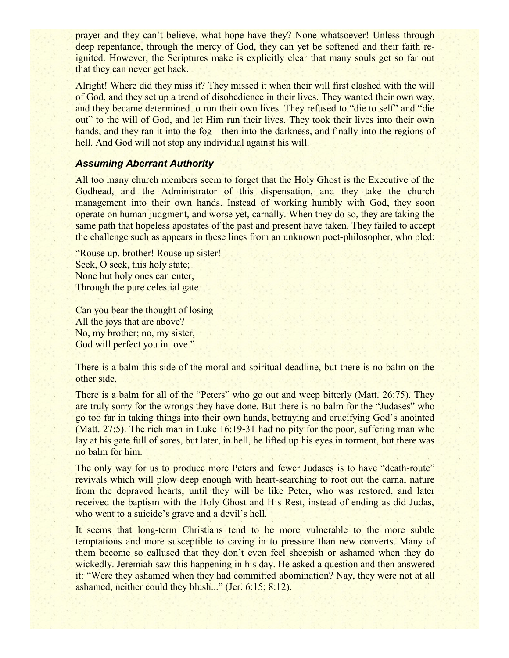prayer and they can't believe, what hope have they? None whatsoever! Unless through deep repentance, through the mercy of God, they can yet be softened and their faith reignited. However, the Scriptures make is explicitly clear that many souls get so far out that they can never get back.

Alright! Where did they miss it? They missed it when their will first clashed with the will of God, and they set up a trend of disobedience in their lives. They wanted their own way, and they became determined to run their own lives. They refused to "die to self" and "die out" to the will of God, and let Him run their lives. They took their lives into their own hands, and they ran it into the fog--then into the darkness, and finally into the regions of hell. And God will not stop any individual against his will.

### *Assuming Aberrant Authority*

All too many church members seem to forget that the Holy Ghost is the Executive of the Godhead, and the Administrator of this dispensation, and they take the church management into their own hands. Instead of working humbly with God, they soon operate on human judgment, and worse yet, carnally. When they do so, they are taking the same path that hopeless apostates of the past and present have taken. They failed to accept the challenge such as appears in these lines from an unknown poet-philosopher, who pled:

"Rouse up, brother! Rouse up sister! Seek, O seek, this holy state; None but holy ones can enter, Through the pure celestial gate.

Can you bear the thought of losing All the joys that are above? No, my brother; no, my sister, God will perfect you in love."

There is a balm this side of the moral and spiritual deadline, but there is no balm on the other side.

There is a balm for all of the "Peters" who go out and weep bitterly (Matt. 26:75). They are truly sorry for the wrongs they have done. But there is no balm for the "Judases" who go too far in taking things into their own hands, betraying and crucifying God's anointed (Matt. 27:5). The rich man in Luke 16:19-31 had no pity for the poor, suffering man who lay at his gate full of sores, but later, in hell, he lifted up his eyes in torment, but there was no balm for him.

The only way for us to produce more Peters and fewer Judases is to have "death-route" revivals which will plow deep enough with heart-searching to root out the carnal nature from the depraved hearts, until they will be like Peter, who was restored, and later received the baptism with the Holy Ghost and His Rest, instead of ending as did Judas, who went to a suicide's grave and a devil's hell.

It seems that long-term Christians tend to be more vulnerable to the more subtle temptations and more susceptible to caving in to pressure than new converts. Many of them become so callused that they don't even feel sheepish or ashamed when they do wickedly. Jeremiah saw this happening in his day. He asked a question and then answered it: "Were they ashamed when they had committed abomination? Nay, they were not at all ashamed, neither could they blush..." (Jer. 6:15; 8:12).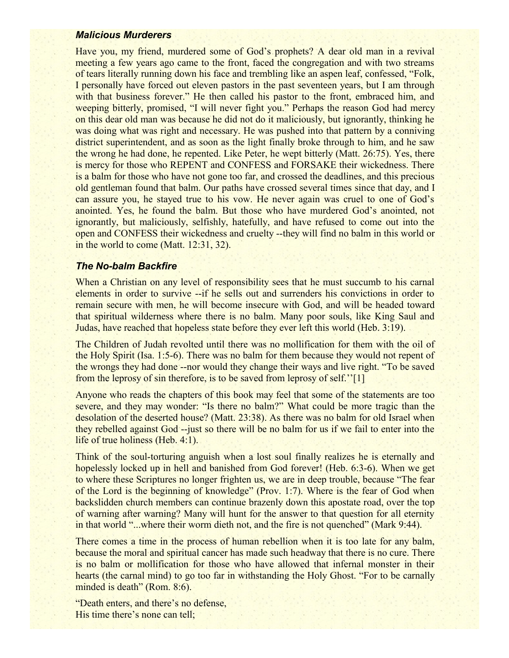#### *Malicious Murderers*

Have you, my friend, murdered some of God's prophets? A dear old man in a revival meeting a few years ago came to the front, faced the congregation and with two streams of tears literally running down his face and trembling like an aspen leaf, confessed, "Folk, I personally have forced out eleven pastors in the past seventeen years, but I am through with that business forever." He then called his pastor to the front, embraced him, and weeping bitterly, promised, "I will never fight you." Perhaps the reason God had mercy on this dear old man was because he did not do it maliciously, but ignorantly, thinking he was doing what was right and necessary. He was pushed into that pattern by a conniving district superintendent, and as soon as the light finally broke through to him, and he saw the wrong he had done, he repented. Like Peter, he wept bitterly (Matt. 26:75). Yes, there is mercy for those who REPENT and CONFESS and FORSAKE their wickedness. There is a balm for those who have not gone too far, and crossed the deadlines, and this precious old gentleman found that balm. Our paths have crossed several times since that day, and I can assure you, he stayed true to his vow. He never again was cruel to one of God's anointed. Yes, he found the balm. But those who have murdered God's anointed, not ignorantly, but maliciously, selfishly, hatefully, and have refused to come out into the open and CONFESS their wickedness and cruelty --they will find no balm in this world or in the world to come (Matt. 12:31, 32).

#### *The No-balm Backfire*

When a Christian on any level of responsibility sees that he must succumb to his carnal elements in order to survive --if he sells out and surrenders his convictions in order to remain secure with men, he will become insecure with God, and will be headed toward that spiritual wilderness where there is no balm. Many poor souls, like King Saul and Judas, have reached that hopeless state before they ever left this world (Heb. 3:19).

The Children of Judah revolted until there was no mollification for them with the oil of the Holy Spirit (Isa. 1:5-6). There was no balm for them because they would not repent of the wrongs they had done --nor would they change their ways and live right. "To be saved from the leprosy of sin therefore, is to be saved from leprosy of self.''[1]

Anyone who reads the chapters of this book may feel that some of the statements are too severe, and they may wonder: "Is there no balm?" What could be more tragic than the desolation of the deserted house? (Matt. 23:38). As there was no balm for old Israel when they rebelled against God --just so there will be no balm for us if we fail to enter into the life of true holiness (Heb. 4:1).

Think of the soul-torturing anguish when a lost soul finally realizes he is eternally and hopelessly locked up in hell and banished from God forever! (Heb. 6:3-6). When we get to where these Scriptures no longer frighten us, we are in deep trouble, because "The fear of the Lord is the beginning of knowledge" (Prov. 1:7). Where is the fear of God when backslidden church members can continue brazenly down this apostate road, over the top of warning after warning? Many will hunt for the answer to that question for all eternity in that world "...where their worm dieth not, and the fire is not quenched" (Mark 9:44).

There comes a time in the process of human rebellion when it is too late for any balm, because the moral and spiritual cancer has made such headway that there is no cure. There is no balm or mollification for those who have allowed that infernal monster in their hearts (the carnal mind) to go too far in withstanding the Holy Ghost. "For to be carnally minded is death" (Rom. 8:6).

"Death enters, and there's no defense, His time there's none can tell;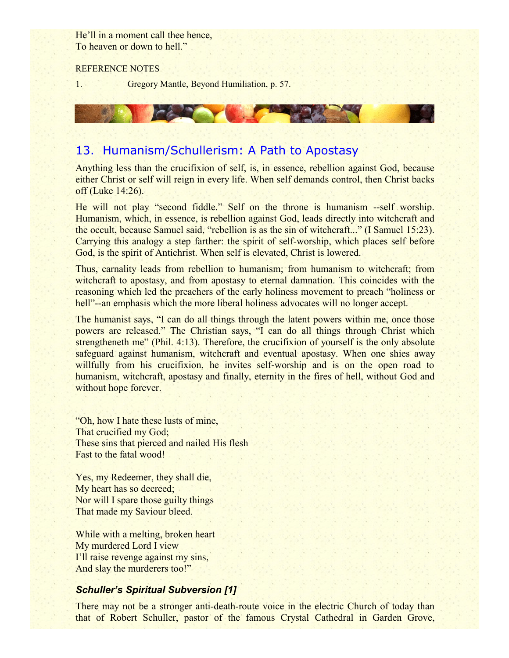He'll in a moment call thee hence, To heaven or down to hell."

#### REFERENCE NOTES

1. Gregory Mantle, Beyond Humiliation, p. 57.

# 13. Humanism/Schullerism: A Path to Apostasy

Anything less than the crucifixion of self, is, in essence, rebellion against God, because either Christ or self will reign in every life. When self demands control, then Christ backs off (Luke 14:26).

He will not play "second fiddle." Self on the throne is humanism --self worship. Humanism, which, in essence, is rebellion against God, leads directly into witchcraft and the occult, because Samuel said, "rebellion is as the sin of witchcraft..." (I Samuel 15:23). Carrying this analogy a step farther: the spirit of self-worship, which places self before God, is the spirit of Antichrist. When self is elevated, Christ is lowered.

Thus, carnality leads from rebellion to humanism; from humanism to witchcraft; from witchcraft to apostasy, and from apostasy to eternal damnation. This coincides with the reasoning which led the preachers of the early holiness movement to preach "holiness or hell"--an emphasis which the more liberal holiness advocates will no longer accept.

The humanist says, "I can do all things through the latent powers within me, once those powers are released." The Christian says, "I can do all things through Christ which strengtheneth me" (Phil. 4:13). Therefore, the crucifixion of yourself is the only absolute safeguard against humanism, witchcraft and eventual apostasy. When one shies away willfully from his crucifixion, he invites self-worship and is on the open road to humanism, witchcraft, apostasy and finally, eternity in the fires of hell, without God and without hope forever.

"Oh, how I hate these lusts of mine, That crucified my God; These sins that pierced and nailed His flesh Fast to the fatal wood!

Yes, my Redeemer, they shall die, My heart has so decreed; Nor will I spare those guilty things That made my Saviour bleed.

While with a melting, broken heart My murdered Lord I view I'll raise revenge against my sins, And slay the murderers too!"

# *Schuller's Spiritual Subversion [1]*

There may not be a stronger anti-death-route voice in the electric Church of today than that of Robert Schuller, pastor of the famous Crystal Cathedral in Garden Grove,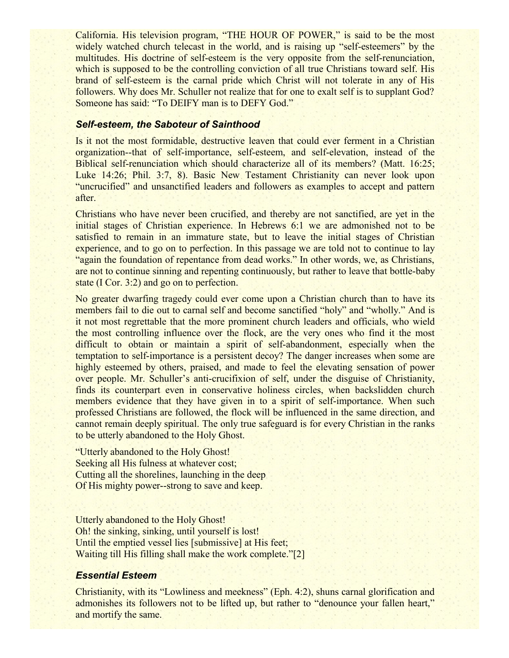California. His television program, "THE HOUR OF POWER," is said to be the most widely watched church telecast in the world, and is raising up "self-esteemers" by the multitudes. His doctrine of self-esteem is the very opposite from the self-renunciation, which is supposed to be the controlling conviction of all true Christians toward self. His brand of self-esteem is the carnal pride which Christ will not tolerate in any of His followers. Why does Mr. Schuller not realize that for one to exalt self is to supplant God? Someone has said: "To DEIFY man is to DEFY God."

#### *Self-esteem, the Saboteur of Sainthood*

Is it not the most formidable, destructive leaven that could ever ferment in a Christian organization--that of self-importance, self-esteem, and self-elevation, instead of the Biblical self-renunciation which should characterize all of its members? (Matt. 16:25; Luke 14:26; Phil. 3:7, 8). Basic New Testament Christianity can never look upon "uncrucified" and unsanctified leaders and followers as examples to accept and pattern after.

Christians who have never been crucified, and thereby are not sanctified, are yet in the initial stages of Christian experience. In Hebrews 6:1 we are admonished not to be satisfied to remain in an immature state, but to leave the initial stages of Christian experience, and to go on to perfection. In this passage we are told not to continue to lay "again the foundation of repentance from dead works." In other words, we, as Christians, are not to continue sinning and repenting continuously, but rather to leave that bottle-baby state (I Cor. 3:2) and go on to perfection.

No greater dwarfing tragedy could ever come upon a Christian church than to have its members fail to die out to carnal self and become sanctified "holy" and "wholly." And is it not most regrettable that the more prominent church leaders and officials, who wield the most controlling influence over the flock, are the very ones who find it the most difficult to obtain or maintain a spirit of self-abandonment, especially when the temptation to self-importance is a persistent decoy? The danger increases when some are highly esteemed by others, praised, and made to feel the elevating sensation of power over people. Mr. Schuller's anti-crucifixion of self, under the disguise of Christianity, finds its counterpart even in conservative holiness circles, when backslidden church members evidence that they have given in to a spirit of self-importance. When such professed Christians are followed, the flock will be influenced in the same direction, and cannot remain deeply spiritual. The only true safeguard is for every Christian in the ranks to be utterly abandoned to the Holy Ghost.

"Utterly abandoned to the Holy Ghost! Seeking all His fulness at whatever cost; Cutting all the shorelines, launching in the deep Of His mighty power--strong to save and keep.

Utterly abandoned to the Holy Ghost! Oh! the sinking, sinking, until yourself is lost! Until the emptied vessel lies [submissive] at His feet; Waiting till His filling shall make the work complete."[2]

### *Essential Esteem*

Christianity, with its "Lowliness and meekness" (Eph. 4:2), shuns carnal glorification and admonishes its followers not to be lifted up, but rather to "denounce your fallen heart," and mortify the same.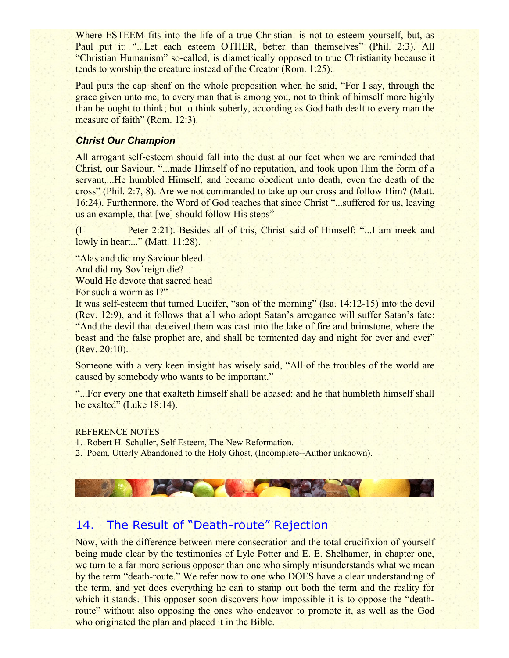Where ESTEEM fits into the life of a true Christian--is not to esteem yourself, but, as Paul put it: "...Let each esteem OTHER, better than themselves" (Phil. 2:3). All "Christian Humanism" so-called, is diametrically opposed to true Christianity because it tends to worship the creature instead of the Creator (Rom. 1:25).

Paul puts the cap sheaf on the whole proposition when he said, "For I say, through the grace given unto me, to every man that is among you, not to think of himself more highly than he ought to think; but to think soberly, according as God hath dealt to every man the measure of faith" (Rom. 12:3).

# *Christ Our Champion*

All arrogant self-esteem should fall into the dust at our feet when we are reminded that Christ, our Saviour, "...made Himself of no reputation, and took upon Him the form of a servant,...He humbled Himself, and became obedient unto death, even the death of the cross" (Phil. 2:7, 8). Are we not commanded to take up our cross and follow Him? (Matt. 16:24). Furthermore, the Word of God teaches that since Christ "...suffered for us, leaving us an example, that [we] should follow His steps"

(I Peter 2:21). Besides all of this, Christ said of Himself: "...I am meek and lowly in heart..." (Matt. 11:28).

"Alas and did my Saviour bleed And did my Sov'reign die? Would He devote that sacred head For such a worm as I?"

It was self-esteem that turned Lucifer, "son of the morning" (Isa. 14:12-15) into the devil (Rev. 12:9), and it follows that all who adopt Satan's arrogance will suffer Satan's fate: "And the devil that deceived them was cast into the lake of fire and brimstone, where the beast and the false prophet are, and shall be tormented day and night for ever and ever" (Rev. 20:10).

Someone with a very keen insight has wisely said, "All of the troubles of the world are caused by somebody who wants to be important."

"...For every one that exalteth himself shall be abased: and he that humbleth himself shall be exalted" (Luke 18:14).

### REFERENCE NOTES

- 1. Robert H. Schuller, Self Esteem, The New Reformation.
- 2. Poem, Utterly Abandoned to the Holy Ghost, (Incomplete--Author unknown).



# 14. The Result of "Death-route" Rejection

Now, with the difference between mere consecration and the total crucifixion of yourself being made clear by the testimonies of Lyle Potter and E. E. Shelhamer, in chapter one, we turn to a far more serious opposer than one who simply misunderstands what we mean by the term "death-route." We refer now to one who DOES have a clear understanding of the term, and yet does everything he can to stamp out both the term and the reality for which it stands. This opposer soon discovers how impossible it is to oppose the "deathroute" without also opposing the ones who endeavor to promote it, as well as the God who originated the plan and placed it in the Bible.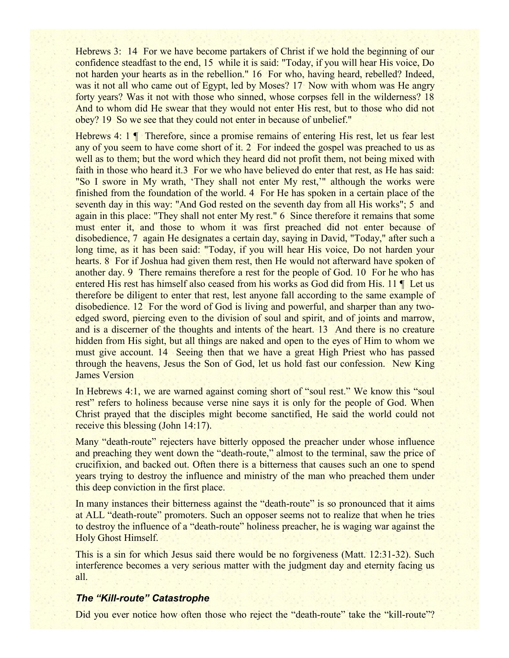Hebrews 3: 14 For we have become partakers of Christ if we hold the beginning of our confidence steadfast to the end, 15 while it is said: "Today, if you will hear His voice, Do not harden your hearts as in the rebellion." 16 For who, having heard, rebelled? Indeed, was it not all who came out of Egypt, led by Moses? 17 Now with whom was He angry forty years? Was it not with those who sinned, whose corpses fell in the wilderness? 18 And to whom did He swear that they would not enter His rest, but to those who did not obey? 19 So we see that they could not enter in because of unbelief."

Hebrews 4: 1 ¶ Therefore, since a promise remains of entering His rest, let us fear lest any of you seem to have come short of it. 2 For indeed the gospel was preached to us as well as to them; but the word which they heard did not profit them, not being mixed with faith in those who heard it.3 For we who have believed do enter that rest, as He has said: "So I swore in My wrath, 'They shall not enter My rest,'" although the works were finished from the foundation of the world. 4 For He has spoken in a certain place of the seventh day in this way: "And God rested on the seventh day from all His works"; 5 and again in this place: "They shall not enter My rest." 6 Since therefore it remains that some must enter it, and those to whom it was first preached did not enter because of disobedience, 7 again He designates a certain day, saying in David, "Today," after such a long time, as it has been said: "Today, if you will hear His voice, Do not harden your hearts. 8 For if Joshua had given them rest, then He would not afterward have spoken of another day. 9 There remains therefore a rest for the people of God. 10 For he who has entered His rest has himself also ceased from his works as God did from His. 11 ¶ Let us therefore be diligent to enter that rest, lest anyone fall according to the same example of disobedience. 12 For the word of God is living and powerful, and sharper than any twoedged sword, piercing even to the division of soul and spirit, and of joints and marrow, and is a discerner of the thoughts and intents of the heart. 13 And there is no creature hidden from His sight, but all things are naked and open to the eyes of Him to whom we must give account. 14 Seeing then that we have a great High Priest who has passed through the heavens, Jesus the Son of God, let us hold fast our confession. New King James Version

In Hebrews 4:1, we are warned against coming short of "soul rest." We know this "soul rest" refers to holiness because verse nine says it is only for the people of God. When Christ prayed that the disciples might become sanctified, He said the world could not receive this blessing (John 14:17).

Many "death-route" rejecters have bitterly opposed the preacher under whose influence and preaching they went down the "death-route," almost to the terminal, saw the price of crucifixion, and backed out. Often there is a bitterness that causes such an one to spend years trying to destroy the influence and ministry of the man who preached them under this deep conviction in the first place.

In many instances their bitterness against the "death-route" is so pronounced that it aims at ALL "death-route" promoters. Such an opposer seems not to realize that when he tries to destroy the influence of a "death-route" holiness preacher, he is waging war against the Holy Ghost Himself.

This is a sin for which Jesus said there would be no forgiveness (Matt. 12:31-32). Such interference becomes a very serious matter with the judgment day and eternity facing us all.

### *The "Kill-route" Catastrophe*

Did you ever notice how often those who reject the "death-route" take the "kill-route"?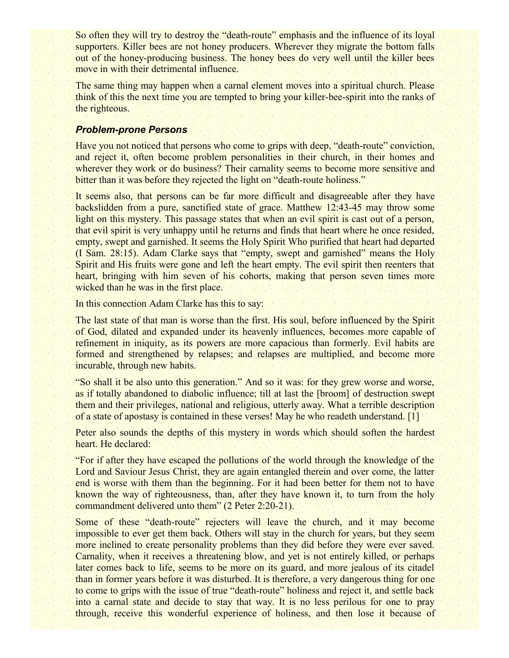So often they will try to destroy the "death-route" emphasis and the influence of its loyal supporters. Killer bees are not honey producers. Wherever they migrate the bottom falls out of the honey-producing business. The honey bees do very well until the killer bees move in with their detrimental influence.

The same thing may happen when a carnal element moves into a spiritual church. Please think of this the next time you are tempted to bring your killer-bee-spirit into the ranks of the righteous.

# *Problem-prone Persons*

Have you not noticed that persons who come to grips with deep, "death-route" conviction, and reject it, often become problem personalities in their church, in their homes and wherever they work or do business? Their carnality seems to become more sensitive and bitter than it was before they rejected the light on "death-route holiness."

It seems also, that persons can be far more difficult and disagreeable after they have backslidden from a pure, sanctified state of grace. Matthew 12:43-45 may throw some light on this mystery. This passage states that when an evil spirit is cast out of a person, that evil spirit is very unhappy until he returns and finds that heart where he once resided, empty, swept and garnished. It seems the Holy Spirit Who purified that heart had departed (I Sam. 28:15). Adam Clarke says that "empty, swept and garnished" means the Holy Spirit and His fruits were gone and left the heart empty. The evil spirit then reenters that heart, bringing with him seven of his cohorts, making that person seven times more wicked than he was in the first place.

In this connection Adam Clarke has this to say:

The last state of that man is worse than the first. His soul, before influenced by the Spirit of God, dilated and expanded under its heavenly influences, becomes more capable of refinement in iniquity, as its powers are more capacious than formerly. Evil habits are formed and strengthened by relapses; and relapses are multiplied, and become more incurable, through new habits.

"So shall it be also unto this generation." And so it was: for they grew worse and worse, as if totally abandoned to diabolic influence; till at last the [broom] of destruction swept them and their privileges, national and religious, utterly away. What a terrible description of a state of apostasy is contained in these verses! May he who readeth understand. [1]

Peter also sounds the depths of this mystery in words which should soften the hardest heart. He declared:

"For if after they have escaped the pollutions of the world through the knowledge of the Lord and Saviour Jesus Christ, they are again entangled therein and over come, the latter end is worse with them than the beginning. For it had been better for them not to have known the way of righteousness, than, after they have known it, to turn from the holy commandment delivered unto them" (2 Peter 2:20-21).

Some of these "death-route" rejecters will leave the church, and it may become impossible to ever get them back. Others will stay in the church for years, but they seem more inclined to create personality problems than they did before they were ever saved. Carnality, when it receives a threatening blow, and yet is not entirely killed, or perhaps later comes back to life, seems to be more on its guard, and more jealous of its citadel than in former years before it was disturbed. It is therefore, a very dangerous thing for one to come to grips with the issue of true "death-route" holiness and reject it, and settle back into a carnal state and decide to stay that way. It is no less perilous for one to pray through, receive this wonderful experience of holiness, and then lose it because of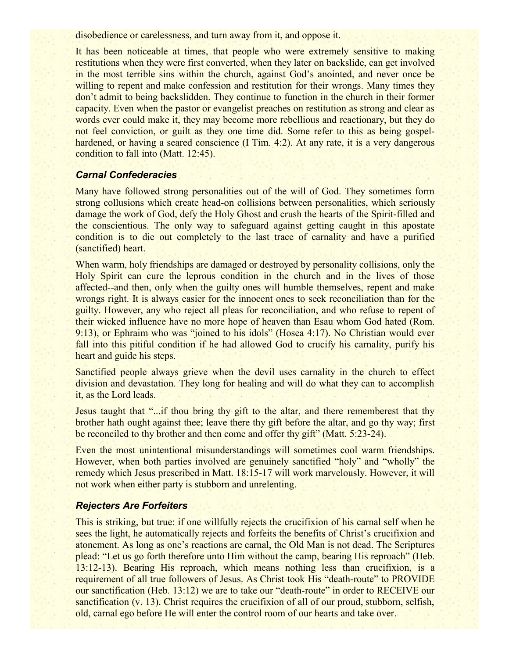disobedience or carelessness, and turn away from it, and oppose it.

It has been noticeable at times, that people who were extremely sensitive to making restitutions when they were first converted, when they later on backslide, can get involved in the most terrible sins within the church, against God's anointed, and never once be willing to repent and make confession and restitution for their wrongs. Many times they don't admit to being backslidden. They continue to function in the church in their former capacity. Even when the pastor or evangelist preaches on restitution as strong and clear as words ever could make it, they may become more rebellious and reactionary, but they do not feel conviction, or guilt as they one time did. Some refer to this as being gospelhardened, or having a seared conscience (I Tim. 4:2). At any rate, it is a very dangerous condition to fall into (Matt. 12:45).

### *Carnal Confederacies*

Many have followed strong personalities out of the will of God. They sometimes form strong collusions which create head-on collisions between personalities, which seriously damage the work of God, defy the Holy Ghost and crush the hearts of the Spirit-filled and the conscientious. The only way to safeguard against getting caught in this apostate condition is to die out completely to the last trace of carnality and have a purified (sanctified) heart.

When warm, holy friendships are damaged or destroyed by personality collisions, only the Holy Spirit can cure the leprous condition in the church and in the lives of those affected--and then, only when the guilty ones will humble themselves, repent and make wrongs right. It is always easier for the innocent ones to seek reconciliation than for the guilty. However, any who reject all pleas for reconciliation, and who refuse to repent of their wicked influence have no more hope of heaven than Esau whom God hated (Rom. 9:13), or Ephraim who was "joined to his idols" (Hosea 4:17). No Christian would ever fall into this pitiful condition if he had allowed God to crucify his carnality, purify his heart and guide his steps.

Sanctified people always grieve when the devil uses carnality in the church to effect division and devastation. They long for healing and will do what they can to accomplish it, as the Lord leads.

Jesus taught that "...if thou bring thy gift to the altar, and there rememberest that thy brother hath ought against thee; leave there thy gift before the altar, and go thy way; first be reconciled to thy brother and then come and offer thy gift" (Matt. 5:23-24).

Even the most unintentional misunderstandings will sometimes cool warm friendships. However, when both parties involved are genuinely sanctified "holy" and "wholly" the remedy which Jesus prescribed in Matt. 18:15-17 will work marvelously. However, it will not work when either party is stubborn and unrelenting.

### *Rejecters Are Forfeiters*

This is striking, but true: if one willfully rejects the crucifixion of his carnal self when he sees the light, he automatically rejects and forfeits the benefits of Christ's crucifixion and atonement. As long as one's reactions are carnal, the Old Man is not dead. The Scriptures plead: "Let us go forth therefore unto Him without the camp, bearing His reproach" (Heb. 13:12-13). Bearing His reproach, which means nothing less than crucifixion, is a requirement of all true followers of Jesus. As Christ took His "death-route" to PROVIDE our sanctification (Heb. 13:12) we are to take our "death-route" in order to RECEIVE our sanctification (v. 13). Christ requires the crucifixion of all of our proud, stubborn, selfish, old, carnal ego before He will enter the control room of our hearts and take over.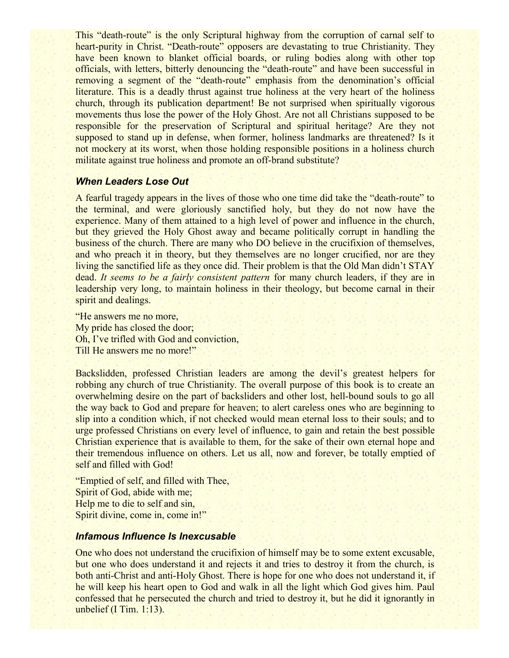This "death-route" is the only Scriptural highway from the corruption of carnal self to heart-purity in Christ. "Death-route" opposers are devastating to true Christianity. They have been known to blanket official boards, or ruling bodies along with other top officials, with letters, bitterly denouncing the "death-route" and have been successful in removing a segment of the "death-route" emphasis from the denomination's official literature. This is a deadly thrust against true holiness at the very heart of the holiness church, through its publication department! Be not surprised when spiritually vigorous movements thus lose the power of the Holy Ghost. Are not all Christians supposed to be responsible for the preservation of Scriptural and spiritual heritage? Are they not supposed to stand up in defense, when former, holiness landmarks are threatened? Is it not mockery at its worst, when those holding responsible positions in a holiness church militate against true holiness and promote an off-brand substitute?

#### *When Leaders Lose Out*

A fearful tragedy appears in the lives of those who one time did take the "death-route" to the terminal, and were gloriously sanctified holy, but they do not now have the experience. Many of them attained to a high level of power and influence in the church, but they grieved the Holy Ghost away and became politically corrupt in handling the business of the church. There are many who DO believe in the crucifixion of themselves, and who preach it in theory, but they themselves are no longer crucified, nor are they living the sanctified life as they once did. Their problem is that the Old Man didn't STAY dead. *It seems to be a fairly consistent pattern* for many church leaders, if they are in leadership very long, to maintain holiness in their theology, but become carnal in their spirit and dealings.

"He answers me no more, My pride has closed the door; Oh, I've trifled with God and conviction, Till He answers me no more!"

Backslidden, professed Christian leaders are among the devil's greatest helpers for robbing any church of true Christianity. The overall purpose of this book is to create an overwhelming desire on the part of backsliders and other lost, hell-bound souls to go all the way back to God and prepare for heaven; to alert careless ones who are beginning to slip into a condition which, if not checked would mean eternal loss to their souls; and to urge professed Christians on every level of influence, to gain and retain the best possible Christian experience that is available to them, for the sake of their own eternal hope and their tremendous influence on others. Let us all, now and forever, be totally emptied of self and filled with God!

"Emptied of self, and filled with Thee, Spirit of God, abide with me; Help me to die to self and sin, Spirit divine, come in, come in!"

#### *Infamous Influence Is Inexcusable*

One who does not understand the crucifixion of himself may be to some extent excusable, but one who does understand it and rejects it and tries to destroy it from the church, is both anti-Christ and anti-Holy Ghost. There is hope for one who does not understand it, if he will keep his heart open to God and walk in all the light which God gives him. Paul confessed that he persecuted the church and tried to destroy it, but he did it ignorantly in unbelief (I Tim. 1:13).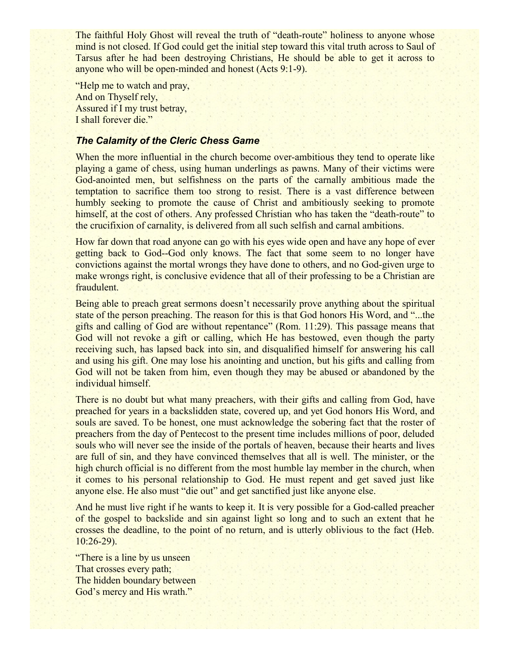The faithful Holy Ghost will reveal the truth of "death-route" holiness to anyone whose mind is not closed. If God could get the initial step toward this vital truth across to Saul of Tarsus after he had been destroying Christians, He should be able to get it across to anyone who will be open-minded and honest (Acts 9:1-9).

"Help me to watch and pray, And on Thyself rely, Assured if I my trust betray, I shall forever die."

# *The Calamity of the Cleric Chess Game*

When the more influential in the church become over-ambitious they tend to operate like playing a game of chess, using human underlings as pawns. Many of their victims were God-anointed men, but selfishness on the parts of the carnally ambitious made the temptation to sacrifice them too strong to resist. There is a vast difference between humbly seeking to promote the cause of Christ and ambitiously seeking to promote himself, at the cost of others. Any professed Christian who has taken the "death-route" to the crucifixion of carnality, is delivered from all such selfish and carnal ambitions.

How far down that road anyone can go with his eyes wide open and have any hope of ever getting back to God--God only knows. The fact that some seem to no longer have convictions against the mortal wrongs they have done to others, and no God-given urge to make wrongs right, is conclusive evidence that all of their professing to be a Christian are fraudulent.

Being able to preach great sermons doesn't necessarily prove anything about the spiritual state of the person preaching. The reason for this is that God honors His Word, and "...the gifts and calling of God are without repentance" (Rom. 11:29). This passage means that God will not revoke a gift or calling, which He has bestowed, even though the party receiving such, has lapsed back into sin, and disqualified himself for answering his call and using his gift. One may lose his anointing and unction, but his gifts and calling from God will not be taken from him, even though they may be abused or abandoned by the individual himself.

There is no doubt but what many preachers, with their gifts and calling from God, have preached for years in a backslidden state, covered up, and yet God honors His Word, and souls are saved. To be honest, one must acknowledge the sobering fact that the roster of preachers from the day of Pentecost to the present time includes millions of poor, deluded souls who will never see the inside of the portals of heaven, because their hearts and lives are full of sin, and they have convinced themselves that all is well. The minister, or the high church official is no different from the most humble lay member in the church, when it comes to his personal relationship to God. He must repent and get saved just like anyone else. He also must "die out" and get sanctified just like anyone else.

And he must live right if he wants to keep it. It is very possible for a God-called preacher of the gospel to backslide and sin against light so long and to such an extent that he crosses the deadline, to the point of no return, and is utterly oblivious to the fact (Heb. 10:26-29).

"There is a line by us unseen That crosses every path; The hidden boundary between God's mercy and His wrath."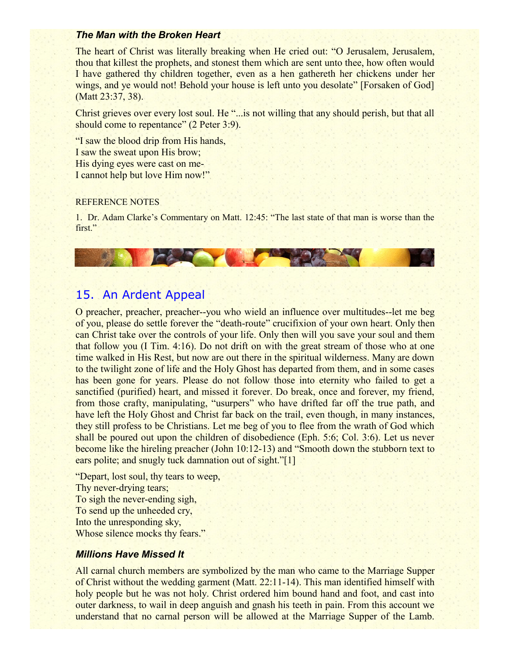#### *The Man with the Broken Heart*

The heart of Christ was literally breaking when He cried out: "O Jerusalem, Jerusalem, thou that killest the prophets, and stonest them which are sent unto thee, how often would I have gathered thy children together, even as a hen gathereth her chickens under her wings, and ye would not! Behold your house is left unto you desolate" [Forsaken of God] (Matt 23:37, 38).

Christ grieves over every lost soul. He "... is not willing that any should perish, but that all should come to repentance" (2 Peter 3:9).

"I saw the blood drip from His hands, I saw the sweat upon His brow; His dying eyes were cast on me-I cannot help but love Him now!"

#### REFERENCE NOTES

1. Dr. Adam Clarke's Commentary on Matt. 12:45: "The last state of that man is worse than the first."

# 15. An Ardent Appeal

O preacher, preacher, preacher--you who wield an influence over multitudes--let me beg of you, please do settle forever the "death-route" crucifixion of your own heart. Only then can Christ take over the controls of your life. Only then will you save your soul and them that follow you (I Tim. 4:16). Do not drift on with the great stream of those who at one time walked in His Rest, but now are out there in the spiritual wilderness. Many are down to the twilight zone of life and the Holy Ghost has departed from them, and in some cases has been gone for years. Please do not follow those into eternity who failed to get a sanctified (purified) heart, and missed it forever. Do break, once and forever, my friend, from those crafty, manipulating, "usurpers" who have drifted far off the true path, and have left the Holy Ghost and Christ far back on the trail, even though, in many instances, they still profess to be Christians. Let me beg of you to flee from the wrath of God which shall be poured out upon the children of disobedience (Eph. 5:6; Col. 3:6). Let us never become like the hireling preacher (John 10:12-13) and "Smooth down the stubborn text to ears polite; and snugly tuck damnation out of sight."[1]

"Depart, lost soul, thy tears to weep, Thy never-drying tears; To sigh the never-ending sigh, To send up the unheeded cry, Into the unresponding sky, Whose silence mocks thy fears."

#### *Millions Have Missed It*

All carnal church members are symbolized by the man who came to the Marriage Supper of Christ without the wedding garment (Matt. 22:11-14). This man identified himself with holy people but he was not holy. Christ ordered him bound hand and foot, and cast into outer darkness, to wail in deep anguish and gnash his teeth in pain. From this account we understand that no carnal person will be allowed at the Marriage Supper of the Lamb.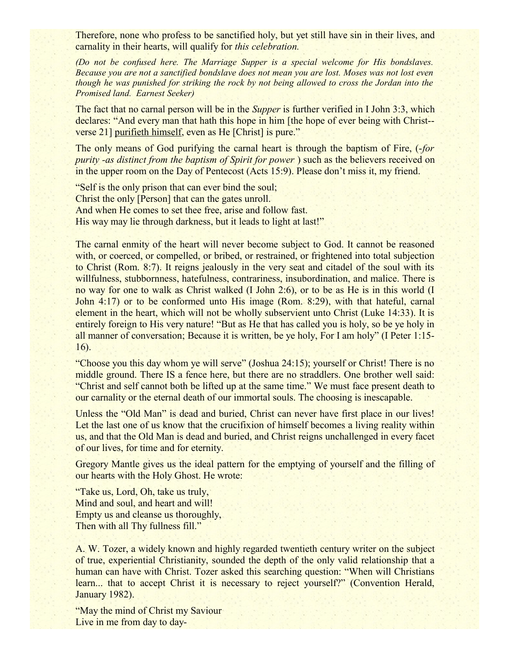Therefore, none who profess to be sanctified holy, but yet still have sin in their lives, and carnality in their hearts, will qualify for *this celebration.*

*(Do not be confused here. The Marriage Supper is a special welcome for His bondslaves. Because you are not a sanctified bondslave does not mean you are lost. Moses was not lost even though he was punished for striking the rock by not being allowed to cross the Jordan into the Promised land. Earnest Seeker)*

The fact that no carnal person will be in the *Supper* is further verified in I John 3:3, which declares: "And every man that hath this hope in him [the hope of ever being with Christ- verse 21] purifieth himself, even as He [Christ] is pure."

The only means of God purifying the carnal heart is through the baptism of Fire, (-*for purity -as distinct from the baptism of Spirit for power*) such as the believers received on in the upper room on the Day of Pentecost (Acts 15:9). Please don't miss it, my friend.

"Self is the only prison that can ever bind the soul; Christ the only [Person] that can the gates unroll. And when He comes to set thee free, arise and follow fast. His way may lie through darkness, but it leads to light at last!"

The carnal enmity of the heart will never become subject to God. It cannot be reasoned with, or coerced, or compelled, or bribed, or restrained, or frightened into total subjection to Christ (Rom. 8:7). It reigns jealously in the very seat and citadel of the soul with its willfulness, stubbornness, hatefulness, contrariness, insubordination, and malice. There is no way for one to walk as Christ walked (I John 2:6), or to be as He is in this world (I John 4:17) or to be conformed unto His image (Rom. 8:29), with that hateful, carnal element in the heart, which will not be wholly subservient unto Christ (Luke 14:33). It is entirely foreign to His very nature! "But as He that has called you is holy, so be ye holy in all manner of conversation; Because it is written, be ye holy, For I am holy" (I Peter 1:15- 16).

"Choose you this day whom ye will serve" (Joshua 24:15); yourself or Christ! There is no middle ground. There IS a fence here, but there are no straddlers. One brother well said: "Christ and self cannot both be lifted up at the same time." We must face present death to our carnality or the eternal death of our immortal souls. The choosing is inescapable.

Unless the "Old Man" is dead and buried, Christ can never have first place in our lives! Let the last one of us know that the crucifixion of himself becomes a living reality within us, and that the Old Man is dead and buried, and Christ reigns unchallenged in every facet of our lives, for time and for eternity.

Gregory Mantle gives us the ideal pattern for the emptying of yourself and the filling of our hearts with the Holy Ghost. He wrote:

"Take us, Lord, Oh, take us truly, Mind and soul, and heart and will! Empty us and cleanse us thoroughly, Then with all Thy fullness fill."

A. W. Tozer, a widely known and highly regarded twentieth century writer on the subject of true, experiential Christianity, sounded the depth of the only valid relationship that a human can have with Christ. Tozer asked this searching question: "When will Christians learn... that to accept Christ it is necessary to reject yourself?" (Convention Herald, January 1982).

"May the mind of Christ my Saviour" Live in me from day to day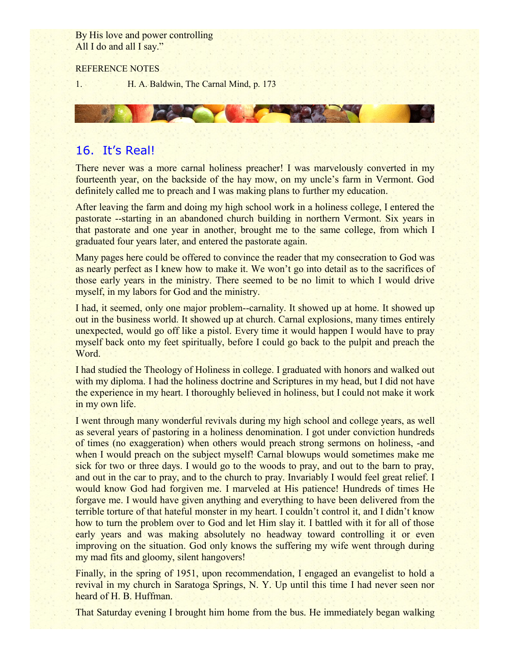By His love and power controlling All I do and all I say."

#### REFERENCE NOTES

1. H. A. Baldwin, The Carnal Mind, p. 173

# 16. It's Real!

There never was a more carnal holiness preacher! I was marvelously converted in my fourteenth year, on the backside of the hay mow, on my uncle's farm in Vermont. God definitely called me to preach and I was making plans to further my education.

After leaving the farm and doing my high school work in a holiness college, I entered the pastorate --starting in an abandoned church building in northern Vermont. Six years in that pastorate and one year in another, brought me to the same college, from which I graduated four years later, and entered the pastorate again.

Many pages here could be offered to convince the reader that my consecration to God was as nearly perfect as I knew how to make it. We won't go into detail as to the sacrifices of those early years in the ministry. There seemed to be no limit to which I would drive myself, in my labors for God and the ministry.

I had, it seemed, only one major problem--carnality. It showed up at home. It showed up out in the business world. It showed up at church. Carnal explosions, many times entirely unexpected, would go off like a pistol. Every time it would happen I would have to pray myself back onto my feet spiritually, before I could go back to the pulpit and preach the Word.

I had studied the Theology of Holiness in college. I graduated with honors and walked out with my diploma. I had the holiness doctrine and Scriptures in my head, but I did not have the experience in my heart. I thoroughly believed in holiness, but I could not make it work in my own life.

I went through many wonderful revivals during my high school and college years, as well as several years of pastoring in a holiness denomination. I got under conviction hundreds of times (no exaggeration) when others would preach strong sermons on holiness, -and when I would preach on the subject myself! Carnal blowups would sometimes make me sick for two or three days. I would go to the woods to pray, and out to the barn to pray, and out in the car to pray, and to the church to pray. Invariably I would feel great relief. I would know God had forgiven me. I marveled at His patience! Hundreds of times He forgave me. I would have given anything and everything to have been delivered from the terrible torture of that hateful monster in my heart. I couldn't control it, and I didn't know how to turn the problem over to God and let Him slay it. I battled with it for all of those early years and was making absolutely no headway toward controlling it or even improving on the situation. God only knows the suffering my wife went through during my mad fits and gloomy, silent hangovers!

Finally, in the spring of 1951, upon recommendation, I engaged an evangelist to hold a revival in my church in Saratoga Springs, N. Y. Up until this time I had never seen nor heard of H. B. Huffman.

That Saturday evening I brought him home from the bus. He immediately began walking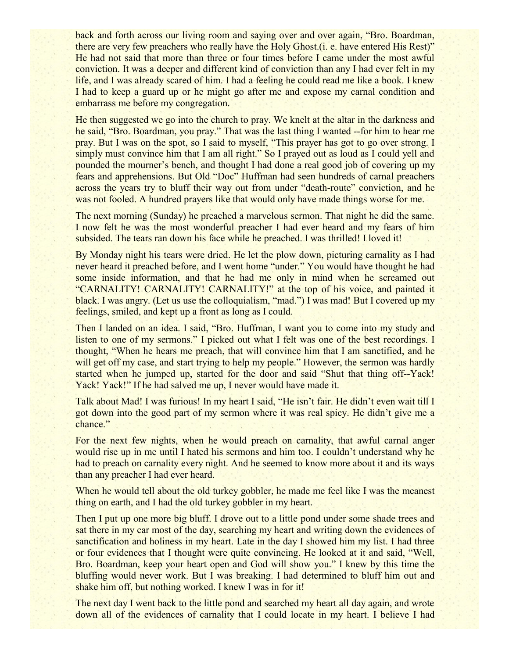back and forth across our living room and saying over and over again, "Bro. Boardman, there are very few preachers who really have the Holy Ghost.(i. e. have entered His Rest)" He had not said that more than three or four times before I came under the most awful conviction. It was a deeper and different kind of conviction than any I had ever felt in my life, and I was already scared of him. I had a feeling he could read me like a book. I knew I had to keep a guard up or he might go after me and expose my carnal condition and embarrass me before my congregation.

He then suggested we go into the church to pray. We knelt at the altar in the darkness and he said, "Bro. Boardman, you pray." That was the last thing I wanted --for him to hear me pray. But I was on the spot, so I said to myself, "This prayer has got to go over strong. I simply must convince him that I am all right." So I prayed out as loud as I could yell and pounded the mourner's bench, and thought I had done a real good job of covering up my fears and apprehensions. But Old "Doc" Huffman had seen hundreds of carnal preachers across the years try to bluff their way out from under "death-route" conviction, and he was not fooled. A hundred prayers like that would only have made things worse for me.

The next morning (Sunday) he preached a marvelous sermon. That night he did the same. I now felt he was the most wonderful preacher I had ever heard and my fears of him subsided. The tears ran down his face while he preached. I was thrilled! I loved it!

By Monday night his tears were dried. He let the plow down, picturing carnality as I had never heard it preached before, and I went home "under." You would have thought he had some inside information, and that he had me only in mind when he screamed out "CARNALITY! CARNALITY! CARNALITY!" at the top of his voice, and painted it black. I was angry. (Let us use the colloquialism, "mad.") I was mad! But I covered up my feelings, smiled, and kept up a front as long as I could.

Then I landed on an idea. I said, "Bro. Huffman, I want you to come into my study and listen to one of my sermons." I picked out what I felt was one of the best recordings. I thought, "When he hears me preach, that will convince him that I am sanctified, and he will get off my case, and start trying to help my people." However, the sermon was hardly started when he jumped up, started for the door and said "Shut that thing off--Yack! Yack! Yack!" If he had salved me up, I never would have made it.

Talk about Mad! I was furious! In my heart I said, "He isn't fair. He didn't even wait till I got down into the good part of my sermon where it was real spicy. He didn't give me a chance."

For the next few nights, when he would preach on carnality, that awful carnal anger would rise up in me until I hated his sermons and him too. I couldn't understand why he had to preach on carnality every night. And he seemed to know more about it and its ways than any preacher I had ever heard.

When he would tell about the old turkey gobbler, he made me feel like I was the meanest thing on earth, and I had the old turkey gobbler in my heart.

Then I put up one more big bluff. I drove out to a little pond under some shade trees and sat there in my car most of the day, searching my heart and writing down the evidences of sanctification and holiness in my heart. Late in the day I showed him my list. I had three or four evidences that I thought were quite convincing. He looked at it and said, "Well, Bro. Boardman, keep your heart open and God will show you." I knew by this time the bluffing would never work. But I was breaking. I had determined to bluff him out and shake him off, but nothing worked. I knew I was in for it!

The next day I went back to the little pond and searched my heart all day again, and wrote down all of the evidences of carnality that I could locate in my heart. I believe I had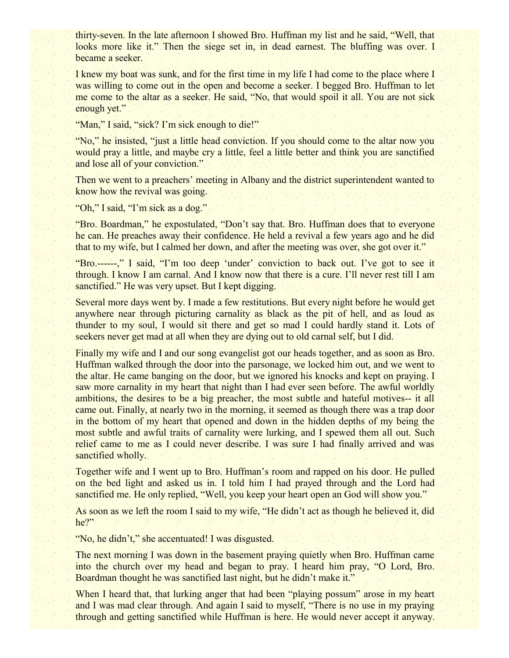thirty-seven. In the late afternoon I showed Bro. Huffman my list and he said, "Well, that looks more like it." Then the siege set in, in dead earnest. The bluffing was over. I became a seeker.

I knew my boat was sunk, and for the first time in my life I had come to the place where I was willing to come out in the open and become a seeker. I begged Bro. Huffman to let me come to the altar as a seeker. He said, "No, that would spoil it all. You are not sick enough yet."

"Man," I said, "sick? I'm sick enough to die!"

"No," he insisted, "just a little head conviction. If you should come to the altar now you would pray a little, and maybe cry a little, feel a little better and think you are sanctified and lose all of your conviction."

Then we went to a preachers' meeting in Albany and the district superintendent wanted to know how the revival was going.

"Oh," I said, "I'm sick as a dog."

"Bro. Boardman," he expostulated, "Don't say that. Bro. Huffman does that to everyone he can. He preaches away their confidence. He held a revival a few years ago and he did that to my wife, but I calmed her down, and after the meeting was over, she got over it."

"Bro.------," I said, "I'm too deep 'under' conviction to back out. I've got to see it through. I know I am carnal. And I know now that there is a cure. I'll never rest till I am sanctified." He was very upset. But I kept digging.

Several more days went by. I made a few restitutions. But every night before he would get anywhere near through picturing carnality as black as the pit of hell, and as loud as thunder to my soul, I would sit there and get so mad I could hardly stand it. Lots of seekers never get mad at all when they are dying out to old carnal self, but I did.

Finally my wife and I and our song evangelist got our heads together, and as soon as Bro. Huffman walked through the door into the parsonage, we locked him out, and we went to the altar. He came banging on the door, but we ignored his knocks and kept on praying. I saw more carnality in my heart that night than I had ever seen before. The awful worldly ambitions, the desires to be a big preacher, the most subtle and hateful motives-- it all came out. Finally, at nearly two in the morning, it seemed as though there was a trap door in the bottom of my heart that opened and down in the hidden depths of my being the most subtle and awful traits of carnality were lurking, and I spewed them all out. Such relief came to me as I could never describe. I was sure I had finally arrived and was sanctified wholly.

Together wife and I went up to Bro. Huffman's room and rapped on his door. He pulled on the bed light and asked us in. I told him I had prayed through and the Lord had sanctified me. He only replied, "Well, you keep your heart open an God will show you."

As soon as we left the room I said to my wife, "He didn't act as though he believed it, did he?"

"No, he didn't," she accentuated! I was disgusted.

The next morning I was down in the basement praying quietly when Bro. Huffman came into the church over my head and began to pray. I heard him pray, "O Lord, Bro. Boardman thought he was sanctified last night, but he didn't make it."

When I heard that, that lurking anger that had been "playing possum" arose in my heart and I was mad clear through. And again I said to myself, "There is no use in my praying through and getting sanctified while Huffman is here. He would never accept it anyway.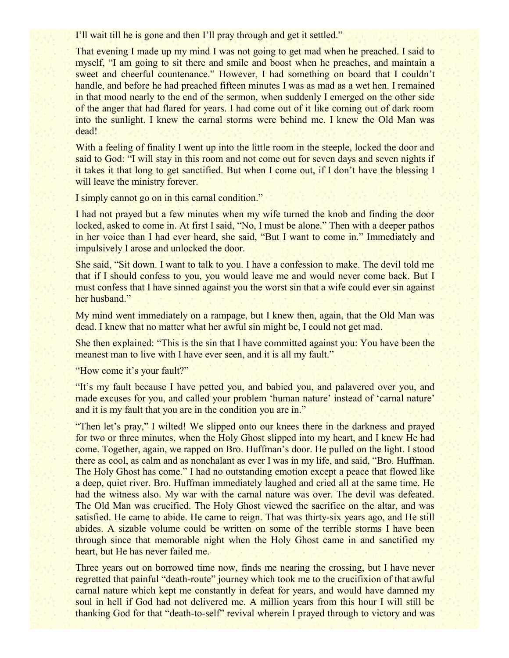I'll wait till he is gone and then I'll pray through and get it settled."

That evening I made up my mind I was not going to get mad when he preached. I said to myself, "I am going to sit there and smile and boost when he preaches, and maintain a sweet and cheerful countenance." However, I had something on board that I couldn't handle, and before he had preached fifteen minutes I was as mad as a wet hen. I remained in that mood nearly to the end of the sermon, when suddenly I emerged on the other side of the anger that had flared for years. I had come out of it like coming out of dark room into the sunlight. I knew the carnal storms were behind me. I knew the Old Man was dead!

With a feeling of finality I went up into the little room in the steeple, locked the door and said to God: "I will stay in this room and not come out for seven days and seven nights if it takes it that long to get sanctified. But when I come out, if I don't have the blessing I will leave the ministry forever.

I simply cannot go on in this carnal condition."

I had not prayed but a few minutes when my wife turned the knob and finding the door locked, asked to come in. At first I said, "No, I must be alone." Then with a deeper pathos in her voice than I had ever heard, she said, "But I want to come in." Immediately and impulsively I arose and unlocked the door.

She said, "Sit down. I want to talk to you. I have a confession to make. The devil told me that if I should confess to you, you would leave me and would never come back. But I must confess that I have sinned against you the worst sin that a wife could ever sin against her husband."

My mind went immediately on a rampage, but I knew then, again, that the Old Man was dead. I knew that no matter what her awful sin might be, I could not get mad.

She then explained: "This is the sin that I have committed against you: You have been the meanest man to live with I have ever seen, and it is all my fault."

"How come it's your fault?"

"It's my fault because I have petted you, and babied you, and palavered over you, and made excuses for you, and called your problem 'human nature' instead of 'carnal nature' and it is my fault that you are in the condition you are in."

"Then let's pray," I wilted! We slipped onto our knees there in the darkness and prayed for two or three minutes, when the Holy Ghost slipped into my heart, and I knew He had come. Together, again, we rapped on Bro. Huffman's door. He pulled on the light. I stood there as cool, as calm and as nonchalant as ever I was in my life, and said, "Bro. Huffman. The Holy Ghost has come." I had no outstanding emotion except a peace that flowed like a deep, quiet river. Bro. Huffman immediately laughed and cried all at the same time. He had the witness also. My war with the carnal nature was over. The devil was defeated. The Old Man was crucified. The Holy Ghost viewed the sacrifice on the altar, and was satisfied. He came to abide. He came to reign. That was thirty-six years ago, and He still abides. A sizable volume could be written on some of the terrible storms I have been through since that memorable night when the Holy Ghost came in and sanctified my heart, but He has never failed me.

Three years out on borrowed time now, finds me nearing the crossing, but I have never regretted that painful "death-route" journey which took me to the crucifixion of that awful carnal nature which kept me constantly in defeat for years, and would have damned my soul in hell if God had not delivered me. A million years from this hour I will still be thanking God for that "death-to-self" revival wherein I prayed through to victory and was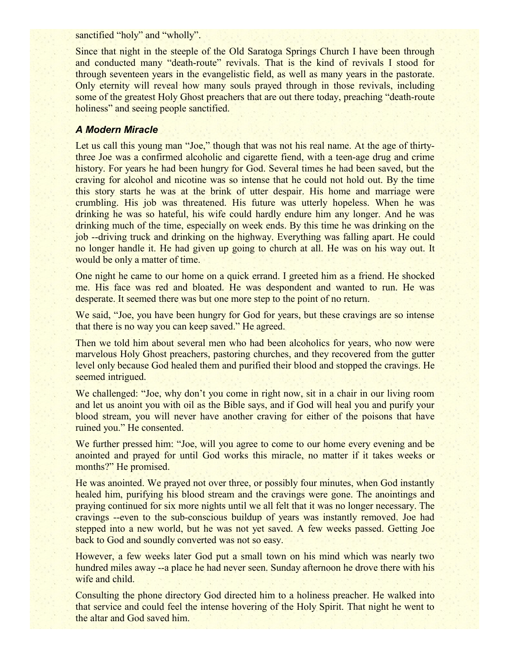sanctified "holy" and "wholly".

Since that night in the steeple of the Old Saratoga Springs Church I have been through and conducted many "death-route" revivals. That is the kind of revivals I stood for through seventeen years in the evangelistic field, as well as many years in the pastorate. Only eternity will reveal how many souls prayed through in those revivals, including some of the greatest Holy Ghost preachers that are out there today, preaching "death-route holiness" and seeing people sanctified.

# *A Modern Miracle*

Let us call this young man "Joe," though that was not his real name. At the age of thirtythree Joe was a confirmed alcoholic and cigarette fiend, with a teen-age drug and crime history. For years he had been hungry for God. Several times he had been saved, but the craving for alcohol and nicotine was so intense that he could not hold out. By the time this story starts he was at the brink of utter despair. His home and marriage were crumbling. His job was threatened. His future was utterly hopeless. When he was drinking he was so hateful, his wife could hardly endure him any longer. And he was drinking much of the time, especially on week ends. By this time he was drinking on the job --driving truck and drinking on the highway. Everything was falling apart. He could no longer handle it. He had given up going to church at all. He was on his way out. It would be only a matter of time.

One night he came to our home on a quick errand. I greeted him as a friend. He shocked me. His face was red and bloated. He was despondent and wanted to run. He was desperate. It seemed there was but one more step to the point of no return.

We said, "Joe, you have been hungry for God for years, but these cravings are so intense that there is no way you can keep saved." He agreed.

Then we told him about several men who had been alcoholics for years, who now were marvelous Holy Ghost preachers, pastoring churches, and they recovered from the gutter level only because God healed them and purified their blood and stopped the cravings. He seemed intrigued.

We challenged: "Joe, why don't you come in right now, sit in a chair in our living room and let us anoint you with oil as the Bible says, and if God will heal you and purify your blood stream, you will never have another craving for either of the poisons that have ruined you." He consented.

We further pressed him: "Joe, will you agree to come to our home every evening and be anointed and prayed for until God works this miracle, no matter if it takes weeks or months?" He promised.

He was anointed. We prayed not over three, or possibly four minutes, when God instantly healed him, purifying his blood stream and the cravings were gone. The anointings and praying continued for six more nights until we all felt that it was no longer necessary. The cravings --even to the sub-conscious buildup of years was instantly removed. Joe had stepped into a new world, but he was not yet saved. A few weeks passed. Getting Joe back to God and soundly converted was not so easy.

However, a few weeks later God put a small town on his mind which was nearly two hundred miles away --a place he had never seen. Sunday afternoon he drove there with his wife and child.

Consulting the phone directory God directed him to a holiness preacher. He walked into that service and could feel the intense hovering of the Holy Spirit. That night he went to the altar and God saved him.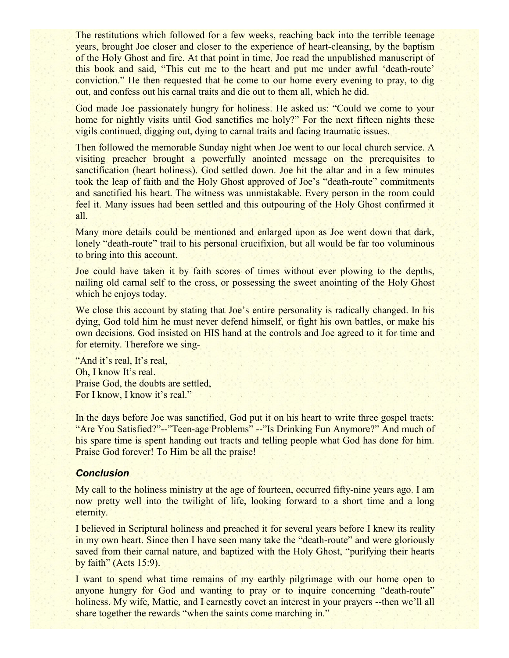The restitutions which followed for a few weeks, reaching back into the terrible teenage years, brought Joe closer and closer to the experience of heart-cleansing, by the baptism of the Holy Ghost and fire. At that point in time, Joe read the unpublished manuscript of this book and said, "This cut me to the heart and put me under awful 'death-route' conviction." He then requested that he come to our home every evening to pray, to dig out, and confess out his carnal traits and die out to them all, which he did.

God made Joe passionately hungry for holiness. He asked us: "Could we come to your home for nightly visits until God sanctifies me holy?" For the next fifteen nights these vigils continued, digging out, dying to carnal traits and facing traumatic issues.

Then followed the memorable Sunday night when Joe went to our local church service. A visiting preacher brought a powerfully anointed message on the prerequisites to sanctification (heart holiness). God settled down. Joe hit the altar and in a few minutes took the leap of faith and the Holy Ghost approved of Joe's "death-route" commitments and sanctified his heart. The witness was unmistakable. Every person in the room could feel it. Many issues had been settled and this outpouring of the Holy Ghost confirmed it all.

Many more details could be mentioned and enlarged upon as Joe went down that dark, lonely "death-route" trail to his personal crucifixion, but all would be far too voluminous to bring into this account.

Joe could have taken it by faith scores of times without ever plowing to the depths, nailing old carnal self to the cross, or possessing the sweet anointing of the Holy Ghost which he enjoys today.

We close this account by stating that Joe's entire personality is radically changed. In his dying, God told him he must never defend himself, or fight his own battles, or make his own decisions. God insisted on HIS hand at the controls and Joe agreed to it for time and for eternity. Therefore we sing-

"And it's real, It's real, Oh, I know It's real. Praise God, the doubts are settled, For I know, I know it's real."

In the days before Joe was sanctified, God put it on his heart to write three gospel tracts: "Are You Satisfied?"--"Teen-age Problems" --"Is Drinking Fun Anymore?" And much of his spare time is spent handing out tracts and telling people what God has done for him. Praise God forever! To Him be all the praise!

#### *Conclusion*

My call to the holiness ministry at the age of fourteen, occurred fifty-nine years ago. I am now pretty well into the twilight of life, looking forward to a short time and a long eternity.

I believed in Scriptural holiness and preached it for several years before I knew its reality in my own heart. Since then I have seen many take the "death-route" and were gloriously saved from their carnal nature, and baptized with the Holy Ghost, "purifying their hearts" by faith" (Acts 15:9).

I want to spend what time remains of my earthly pilgrimage with our home open to anyone hungry for God and wanting to pray or to inquire concerning "death-route" holiness. My wife, Mattie, and I earnestly covet an interest in your prayers --then we'll all share together the rewards "when the saints come marching in."